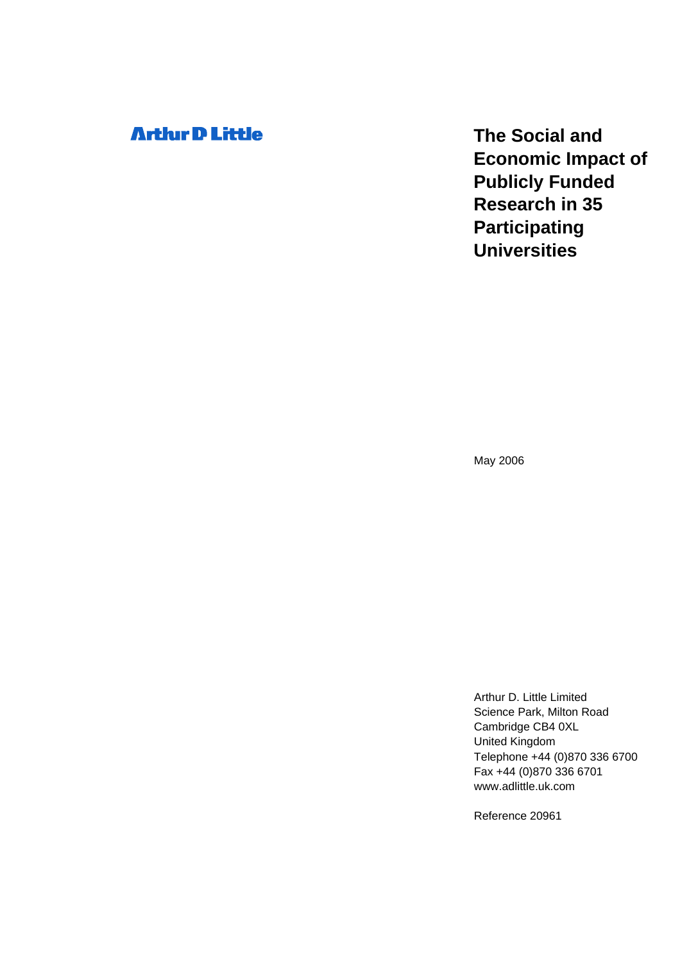## **Arthur D Little**

**The Social and Economic Impact of Publicly Funded Research in 35 Participating Universities** 

May 2006

Arthur D. Little Limited Science Park, Milton Road Cambridge CB4 0XL United Kingdom Telephone +44 (0)870 336 6700 Fax +44 (0)870 336 6701 www.adlittle.uk.com

Reference 20961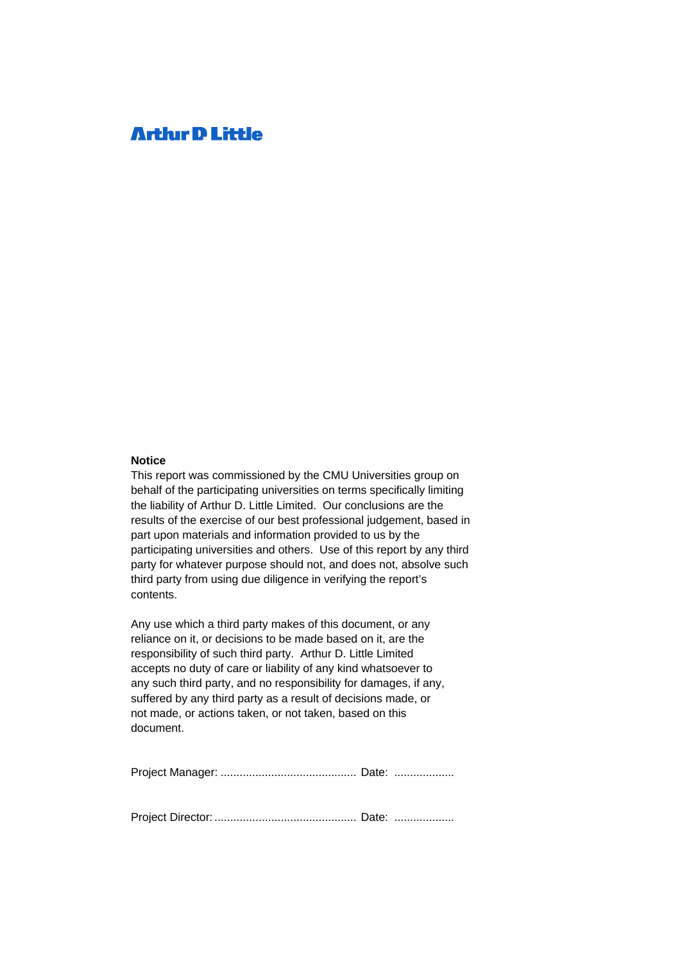### **Arthur D Little**

#### **Notice**

This report was commissioned by the CMU Universities group on behalf of the participating universities on terms specifically limiting the liability of Arthur D. Little Limited. Our conclusions are the results of the exercise of our best professional judgement, based in part upon materials and information provided to us by the participating universities and others. Use of this report by any third party for whatever purpose should not, and does not, absolve such third party from using due diligence in verifying the report's contents.

Any use which a third party makes of this document, or any reliance on it, or decisions to be made based on it, are the responsibility of such third party. Arthur D. Little Limited accepts no duty of care or liability of any kind whatsoever to any such third party, and no responsibility for damages, if any, suffered by any third party as a result of decisions made, or not made, or actions taken, or not taken, based on this document.

Project Manager: ........................................... Date: ...................

Project Director: ............................................. Date: ...................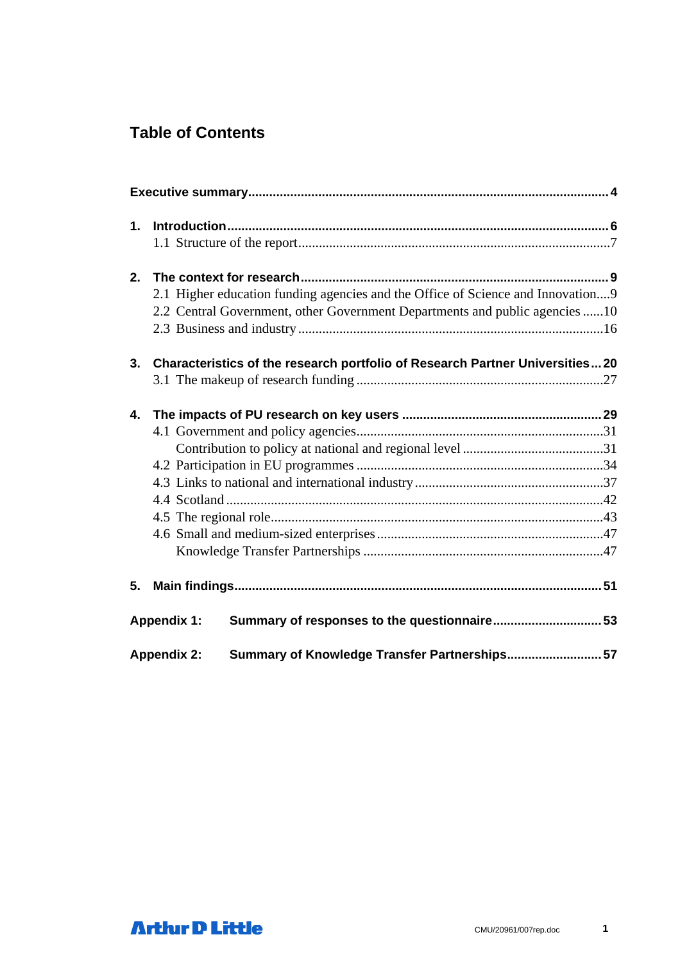## **Table of Contents**

| 1. |                    |                                                                                 |  |
|----|--------------------|---------------------------------------------------------------------------------|--|
|    |                    |                                                                                 |  |
| 2. |                    |                                                                                 |  |
|    |                    | 2.1 Higher education funding agencies and the Office of Science and Innovation9 |  |
|    |                    | 2.2 Central Government, other Government Departments and public agencies 10     |  |
|    |                    |                                                                                 |  |
| 3. |                    | Characteristics of the research portfolio of Research Partner Universities20    |  |
|    |                    |                                                                                 |  |
| 4. |                    |                                                                                 |  |
|    |                    |                                                                                 |  |
|    |                    |                                                                                 |  |
|    |                    |                                                                                 |  |
|    |                    |                                                                                 |  |
|    |                    |                                                                                 |  |
|    |                    |                                                                                 |  |
|    |                    |                                                                                 |  |
|    |                    |                                                                                 |  |
| 5. |                    |                                                                                 |  |
|    | <b>Appendix 1:</b> | Summary of responses to the questionnaire53                                     |  |
|    | <b>Appendix 2:</b> | Summary of Knowledge Transfer Partnerships 57                                   |  |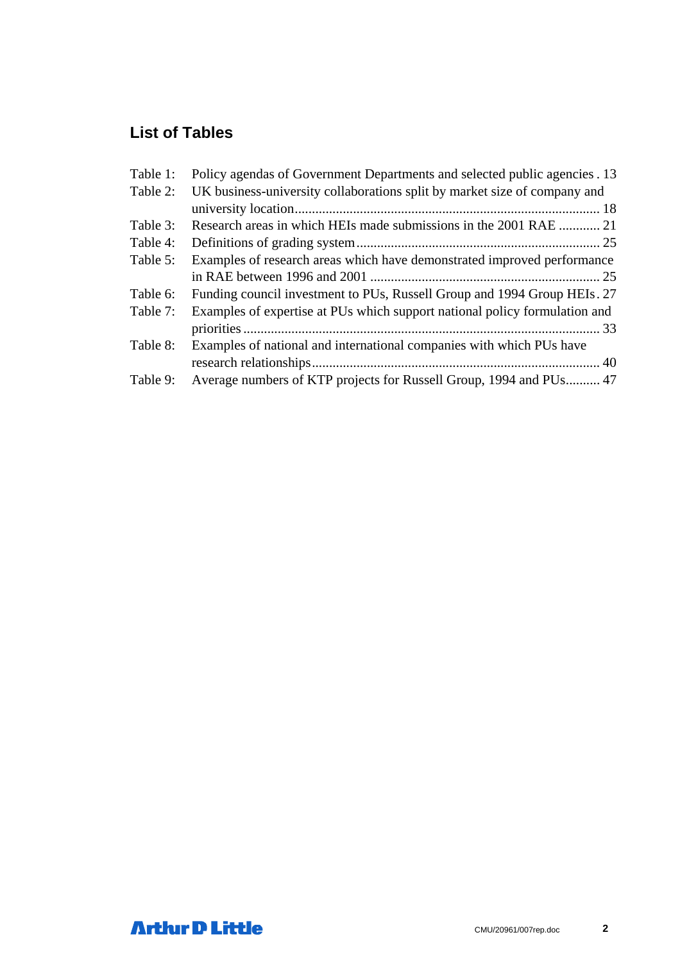## **List of Tables**

| Table 1: | Policy agendas of Government Departments and selected public agencies . 13 |
|----------|----------------------------------------------------------------------------|
| Table 2: | UK business-university collaborations split by market size of company and  |
|          |                                                                            |
| Table 3: | Research areas in which HEIs made submissions in the 2001 RAE  21          |
| Table 4: |                                                                            |
| Table 5: | Examples of research areas which have demonstrated improved performance    |
|          |                                                                            |
| Table 6: | Funding council investment to PUs, Russell Group and 1994 Group HEIs. 27   |
| Table 7: | Examples of expertise at PUs which support national policy formulation and |
|          |                                                                            |
| Table 8: | Examples of national and international companies with which PUs have       |
|          |                                                                            |
| Table 9: | Average numbers of KTP projects for Russell Group, 1994 and PUs 47         |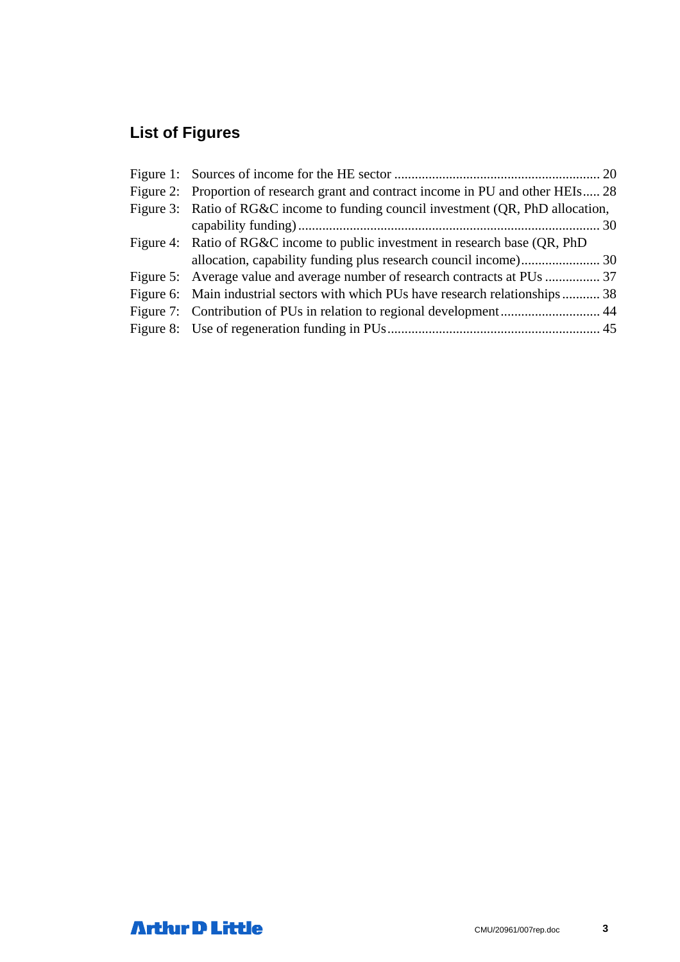# **List of Figures**

| Figure 2: Proportion of research grant and contract income in PU and other HEIs 28 |  |
|------------------------------------------------------------------------------------|--|
| Figure 3: Ratio of RG&C income to funding council investment (QR, PhD allocation,  |  |
|                                                                                    |  |
| Figure 4: Ratio of RG&C income to public investment in research base (QR, PhD)     |  |
|                                                                                    |  |
| Figure 5: Average value and average number of research contracts at PUs  37        |  |
| Figure 6: Main industrial sectors with which PUs have research relationships 38    |  |
| Figure 7: Contribution of PUs in relation to regional development 44               |  |
|                                                                                    |  |
|                                                                                    |  |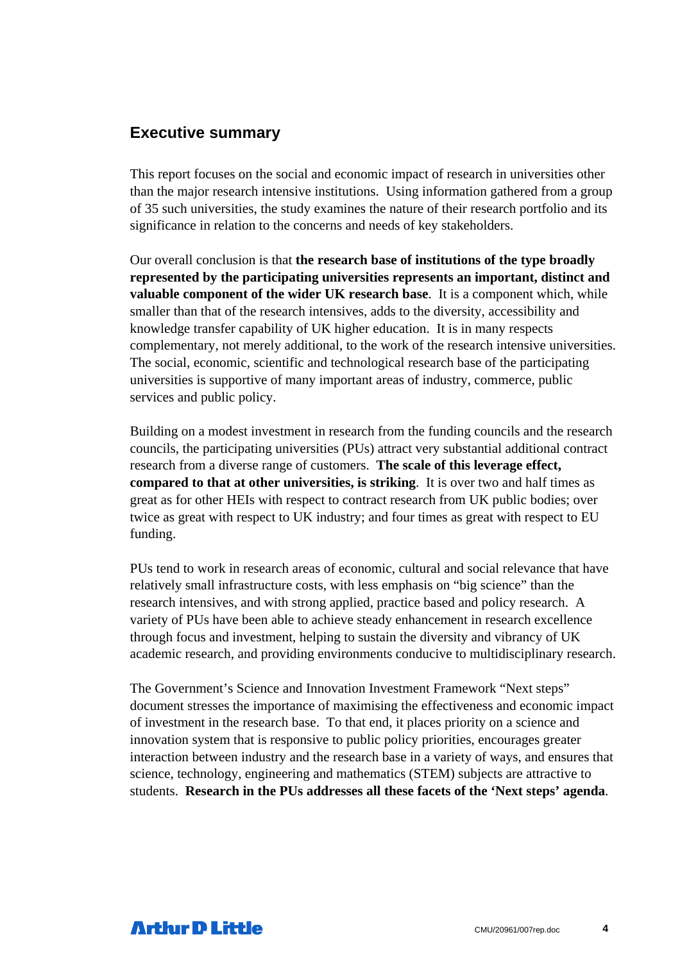### **Executive summary**

This report focuses on the social and economic impact of research in universities other than the major research intensive institutions. Using information gathered from a group of 35 such universities, the study examines the nature of their research portfolio and its significance in relation to the concerns and needs of key stakeholders.

Our overall conclusion is that **the research base of institutions of the type broadly represented by the participating universities represents an important, distinct and valuable component of the wider UK research base**. It is a component which, while smaller than that of the research intensives, adds to the diversity, accessibility and knowledge transfer capability of UK higher education. It is in many respects complementary, not merely additional, to the work of the research intensive universities. The social, economic, scientific and technological research base of the participating universities is supportive of many important areas of industry, commerce, public services and public policy.

Building on a modest investment in research from the funding councils and the research councils, the participating universities (PUs) attract very substantial additional contract research from a diverse range of customers. **The scale of this leverage effect, compared to that at other universities, is striking**. It is over two and half times as great as for other HEIs with respect to contract research from UK public bodies; over twice as great with respect to UK industry; and four times as great with respect to EU funding.

PUs tend to work in research areas of economic, cultural and social relevance that have relatively small infrastructure costs, with less emphasis on "big science" than the research intensives, and with strong applied, practice based and policy research. A variety of PUs have been able to achieve steady enhancement in research excellence through focus and investment, helping to sustain the diversity and vibrancy of UK academic research, and providing environments conducive to multidisciplinary research.

The Government's Science and Innovation Investment Framework "Next steps" document stresses the importance of maximising the effectiveness and economic impact of investment in the research base. To that end, it places priority on a science and innovation system that is responsive to public policy priorities, encourages greater interaction between industry and the research base in a variety of ways, and ensures that science, technology, engineering and mathematics (STEM) subjects are attractive to students. **Research in the PUs addresses all these facets of the 'Next steps' agenda**.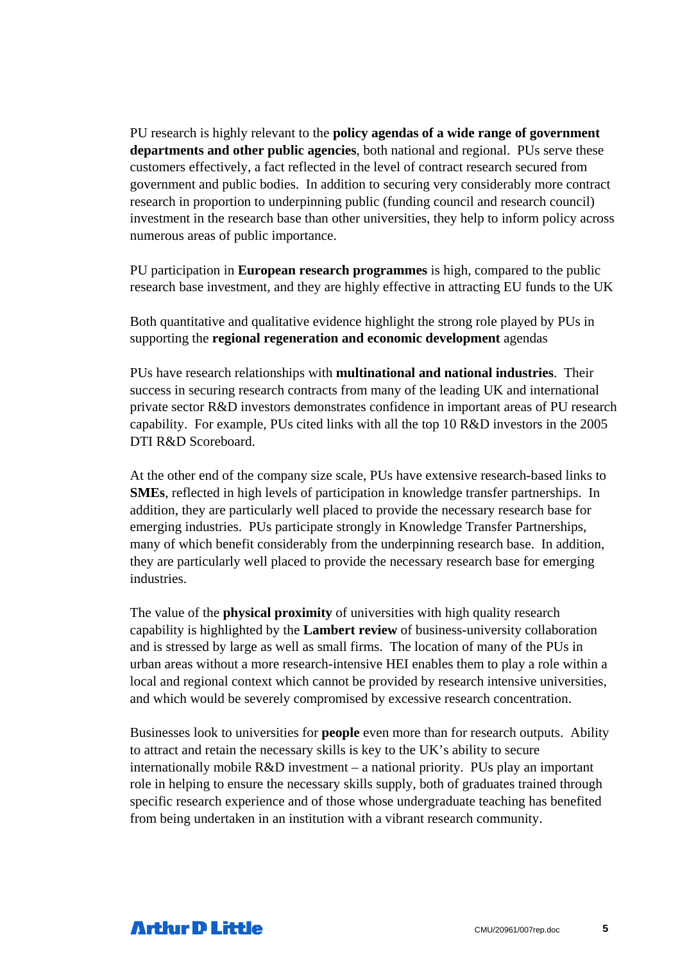PU research is highly relevant to the **policy agendas of a wide range of government departments and other public agencies**, both national and regional. PUs serve these customers effectively, a fact reflected in the level of contract research secured from government and public bodies. In addition to securing very considerably more contract research in proportion to underpinning public (funding council and research council) investment in the research base than other universities, they help to inform policy across numerous areas of public importance.

PU participation in **European research programmes** is high, compared to the public research base investment, and they are highly effective in attracting EU funds to the UK

Both quantitative and qualitative evidence highlight the strong role played by PUs in supporting the **regional regeneration and economic development** agendas

PUs have research relationships with **multinational and national industries**. Their success in securing research contracts from many of the leading UK and international private sector R&D investors demonstrates confidence in important areas of PU research capability. For example, PUs cited links with all the top 10 R&D investors in the 2005 DTI R&D Scoreboard.

At the other end of the company size scale, PUs have extensive research-based links to **SMEs**, reflected in high levels of participation in knowledge transfer partnerships. In addition, they are particularly well placed to provide the necessary research base for emerging industries. PUs participate strongly in Knowledge Transfer Partnerships, many of which benefit considerably from the underpinning research base. In addition, they are particularly well placed to provide the necessary research base for emerging industries.

The value of the **physical proximity** of universities with high quality research capability is highlighted by the **Lambert review** of business-university collaboration and is stressed by large as well as small firms. The location of many of the PUs in urban areas without a more research-intensive HEI enables them to play a role within a local and regional context which cannot be provided by research intensive universities, and which would be severely compromised by excessive research concentration.

Businesses look to universities for **people** even more than for research outputs. Ability to attract and retain the necessary skills is key to the UK's ability to secure internationally mobile R&D investment – a national priority. PUs play an important role in helping to ensure the necessary skills supply, both of graduates trained through specific research experience and of those whose undergraduate teaching has benefited from being undertaken in an institution with a vibrant research community.

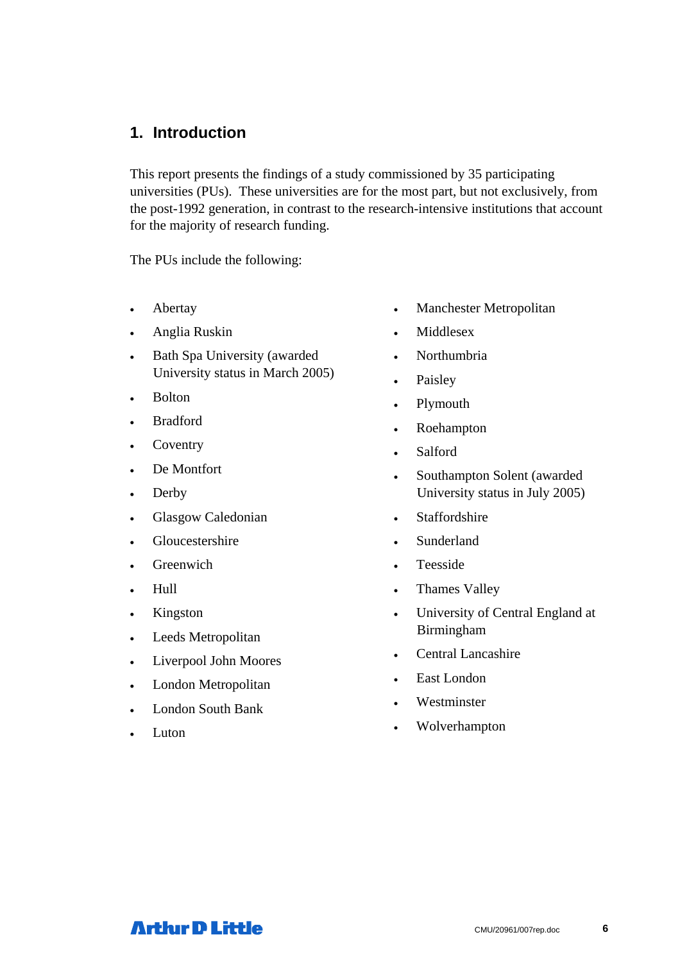### **1. Introduction**

This report presents the findings of a study commissioned by 35 participating universities (PUs). These universities are for the most part, but not exclusively, from the post-1992 generation, in contrast to the research-intensive institutions that account for the majority of research funding.

The PUs include the following:

- Abertay
- Anglia Ruskin
- Bath Spa University (awarded University status in March 2005)
- Bolton
- Bradford
- **Coventry**
- De Montfort
- Derby
- Glasgow Caledonian
- **Gloucestershire**
- **Greenwich**
- Hull
- Kingston
- Leeds Metropolitan
- Liverpool John Moores
- London Metropolitan
- London South Bank
- Luton
- Manchester Metropolitan
- Middlesex
- Northumbria
- Paisley
- Plymouth
- Roehampton
- Salford
- Southampton Solent (awarded University status in July 2005)
- Staffordshire
- Sunderland
- Teesside
- Thames Valley
- University of Central England at Birmingham
- Central Lancashire
- East London
- Westminster
- Wolverhampton

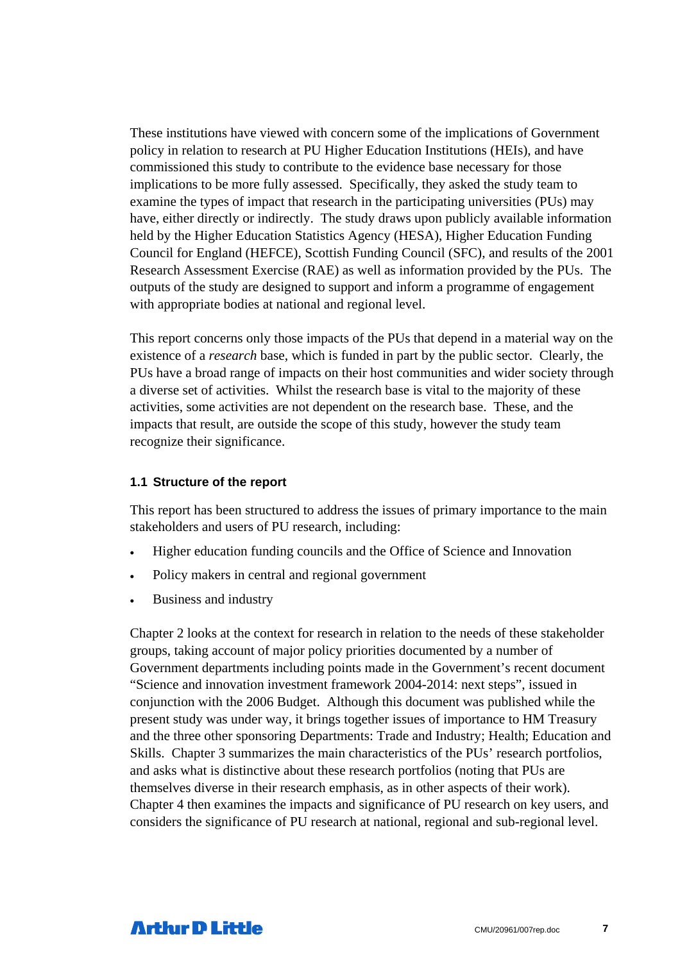These institutions have viewed with concern some of the implications of Government policy in relation to research at PU Higher Education Institutions (HEIs), and have commissioned this study to contribute to the evidence base necessary for those implications to be more fully assessed. Specifically, they asked the study team to examine the types of impact that research in the participating universities (PUs) may have, either directly or indirectly. The study draws upon publicly available information held by the Higher Education Statistics Agency (HESA), Higher Education Funding Council for England (HEFCE), Scottish Funding Council (SFC), and results of the 2001 Research Assessment Exercise (RAE) as well as information provided by the PUs. The outputs of the study are designed to support and inform a programme of engagement with appropriate bodies at national and regional level.

This report concerns only those impacts of the PUs that depend in a material way on the existence of a *research* base, which is funded in part by the public sector. Clearly, the PUs have a broad range of impacts on their host communities and wider society through a diverse set of activities. Whilst the research base is vital to the majority of these activities, some activities are not dependent on the research base. These, and the impacts that result, are outside the scope of this study, however the study team recognize their significance.

#### **1.1 Structure of the report**

This report has been structured to address the issues of primary importance to the main stakeholders and users of PU research, including:

- Higher education funding councils and the Office of Science and Innovation
- Policy makers in central and regional government
- Business and industry

Chapter 2 looks at the context for research in relation to the needs of these stakeholder groups, taking account of major policy priorities documented by a number of Government departments including points made in the Government's recent document "Science and innovation investment framework 2004-2014: next steps", issued in conjunction with the 2006 Budget. Although this document was published while the present study was under way, it brings together issues of importance to HM Treasury and the three other sponsoring Departments: Trade and Industry; Health; Education and Skills. Chapter 3 summarizes the main characteristics of the PUs' research portfolios, and asks what is distinctive about these research portfolios (noting that PUs are themselves diverse in their research emphasis, as in other aspects of their work). Chapter 4 then examines the impacts and significance of PU research on key users, and considers the significance of PU research at national, regional and sub-regional level.

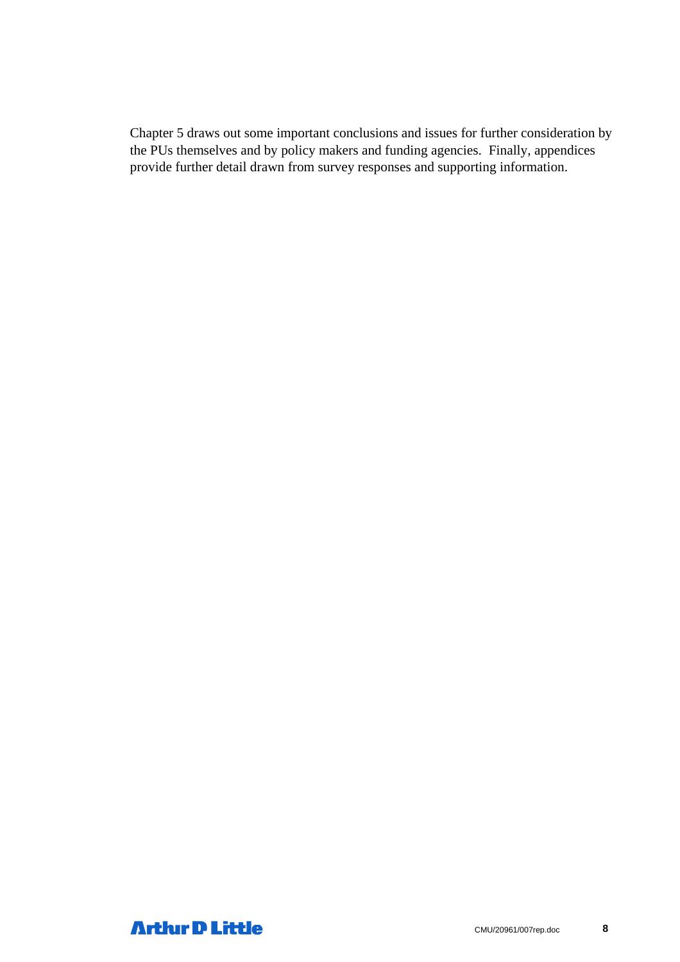Chapter 5 draws out some important conclusions and issues for further consideration by the PUs themselves and by policy makers and funding agencies. Finally, appendices provide further detail drawn from survey responses and supporting information.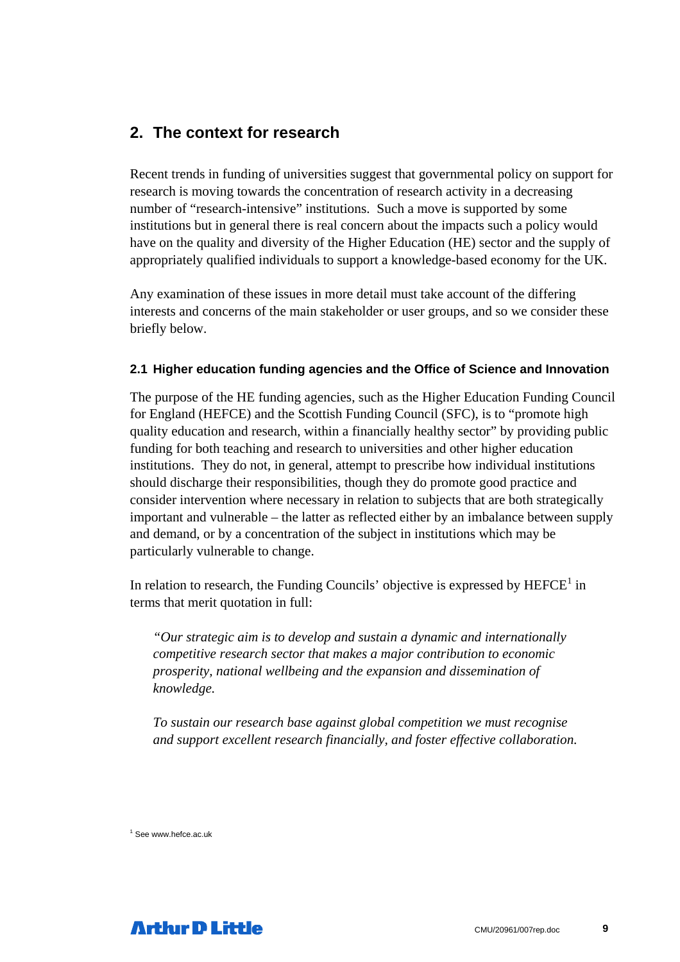### **2. The context for research**

Recent trends in funding of universities suggest that governmental policy on support for research is moving towards the concentration of research activity in a decreasing number of "research-intensive" institutions. Such a move is supported by some institutions but in general there is real concern about the impacts such a policy would have on the quality and diversity of the Higher Education (HE) sector and the supply of appropriately qualified individuals to support a knowledge-based economy for the UK.

Any examination of these issues in more detail must take account of the differing interests and concerns of the main stakeholder or user groups, and so we consider these briefly below.

#### **2.1 Higher education funding agencies and the Office of Science and Innovation**

The purpose of the HE funding agencies, such as the Higher Education Funding Council for England (HEFCE) and the Scottish Funding Council (SFC), is to "promote high quality education and research, within a financially healthy sector" by providing public funding for both teaching and research to universities and other higher education institutions. They do not, in general, attempt to prescribe how individual institutions should discharge their responsibilities, though they do promote good practice and consider intervention where necessary in relation to subjects that are both strategically important and vulnerable – the latter as reflected either by an imbalance between supply and demand, or by a concentration of the subject in institutions which may be particularly vulnerable to change.

In relation to research, the Funding Councils' objective is expressed by  $H E F C E<sup>1</sup>$  in terms that merit quotation in full:

*"Our strategic aim is to develop and sustain a dynamic and internationally competitive research sector that makes a major contribution to economic prosperity, national wellbeing and the expansion and dissemination of knowledge.* 

*To sustain our research base against global competition we must recognise and support excellent research financially, and foster effective collaboration.* 

1 See www.hefce.ac.uk

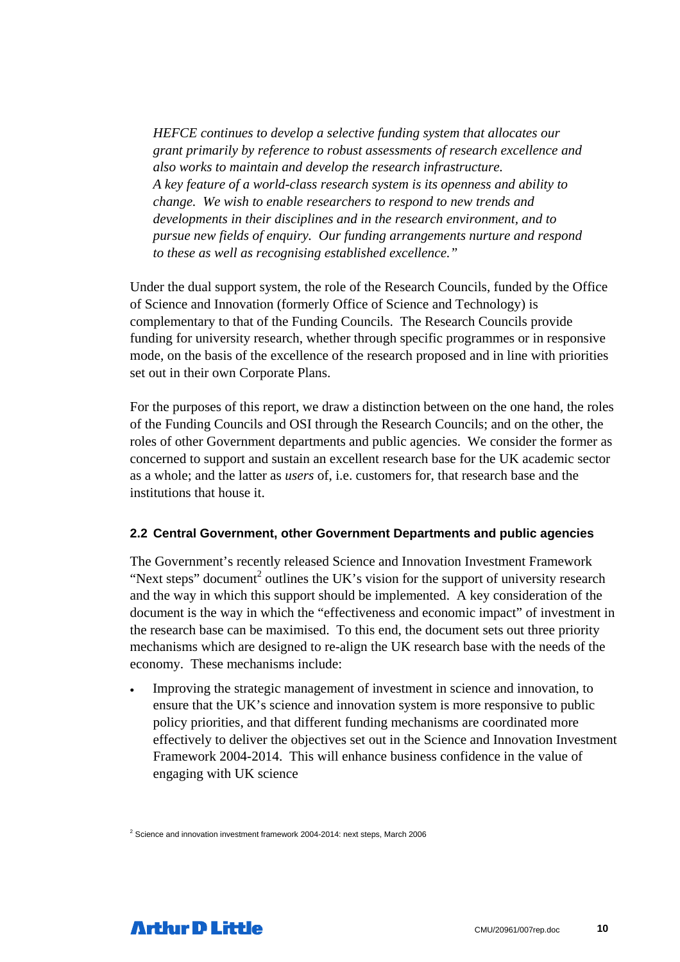*HEFCE continues to develop a selective funding system that allocates our grant primarily by reference to robust assessments of research excellence and also works to maintain and develop the research infrastructure. A key feature of a world-class research system is its openness and ability to change. We wish to enable researchers to respond to new trends and developments in their disciplines and in the research environment, and to pursue new fields of enquiry. Our funding arrangements nurture and respond to these as well as recognising established excellence."* 

Under the dual support system, the role of the Research Councils, funded by the Office of Science and Innovation (formerly Office of Science and Technology) is complementary to that of the Funding Councils. The Research Councils provide funding for university research, whether through specific programmes or in responsive mode, on the basis of the excellence of the research proposed and in line with priorities set out in their own Corporate Plans.

For the purposes of this report, we draw a distinction between on the one hand, the roles of the Funding Councils and OSI through the Research Councils; and on the other, the roles of other Government departments and public agencies. We consider the former as concerned to support and sustain an excellent research base for the UK academic sector as a whole; and the latter as *users* of, i.e. customers for, that research base and the institutions that house it.

#### **2.2 Central Government, other Government Departments and public agencies**

The Government's recently released Science and Innovation Investment Framework "Next steps" document<sup>2</sup> outlines the UK's vision for the support of university research and the way in which this support should be implemented. A key consideration of the document is the way in which the "effectiveness and economic impact" of investment in the research base can be maximised. To this end, the document sets out three priority mechanisms which are designed to re-align the UK research base with the needs of the economy. These mechanisms include:

• Improving the strategic management of investment in science and innovation, to ensure that the UK's science and innovation system is more responsive to public policy priorities, and that different funding mechanisms are coordinated more effectively to deliver the objectives set out in the Science and Innovation Investment Framework 2004-2014. This will enhance business confidence in the value of engaging with UK science



 $2$  Science and innovation investment framework 2004-2014: next steps, March 2006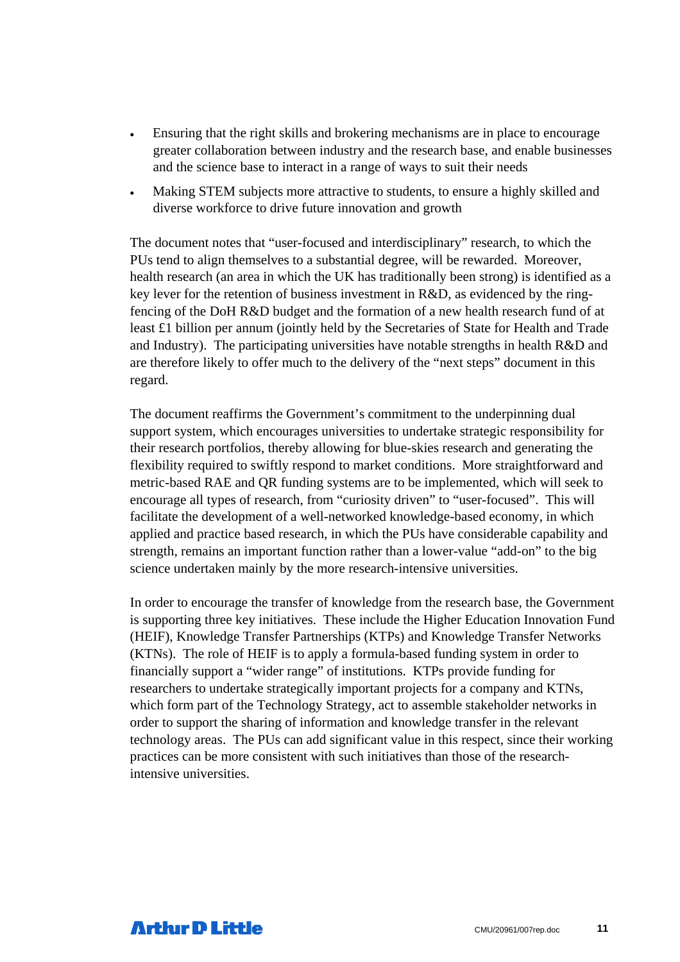- Ensuring that the right skills and brokering mechanisms are in place to encourage greater collaboration between industry and the research base, and enable businesses and the science base to interact in a range of ways to suit their needs
- Making STEM subjects more attractive to students, to ensure a highly skilled and diverse workforce to drive future innovation and growth

The document notes that "user-focused and interdisciplinary" research, to which the PUs tend to align themselves to a substantial degree, will be rewarded. Moreover, health research (an area in which the UK has traditionally been strong) is identified as a key lever for the retention of business investment in R&D, as evidenced by the ringfencing of the DoH R&D budget and the formation of a new health research fund of at least £1 billion per annum (jointly held by the Secretaries of State for Health and Trade and Industry). The participating universities have notable strengths in health R&D and are therefore likely to offer much to the delivery of the "next steps" document in this regard.

The document reaffirms the Government's commitment to the underpinning dual support system, which encourages universities to undertake strategic responsibility for their research portfolios, thereby allowing for blue-skies research and generating the flexibility required to swiftly respond to market conditions. More straightforward and metric-based RAE and QR funding systems are to be implemented, which will seek to encourage all types of research, from "curiosity driven" to "user-focused". This will facilitate the development of a well-networked knowledge-based economy, in which applied and practice based research, in which the PUs have considerable capability and strength, remains an important function rather than a lower-value "add-on" to the big science undertaken mainly by the more research-intensive universities.

In order to encourage the transfer of knowledge from the research base, the Government is supporting three key initiatives. These include the Higher Education Innovation Fund (HEIF), Knowledge Transfer Partnerships (KTPs) and Knowledge Transfer Networks (KTNs). The role of HEIF is to apply a formula-based funding system in order to financially support a "wider range" of institutions. KTPs provide funding for researchers to undertake strategically important projects for a company and KTNs, which form part of the Technology Strategy, act to assemble stakeholder networks in order to support the sharing of information and knowledge transfer in the relevant technology areas. The PUs can add significant value in this respect, since their working practices can be more consistent with such initiatives than those of the researchintensive universities.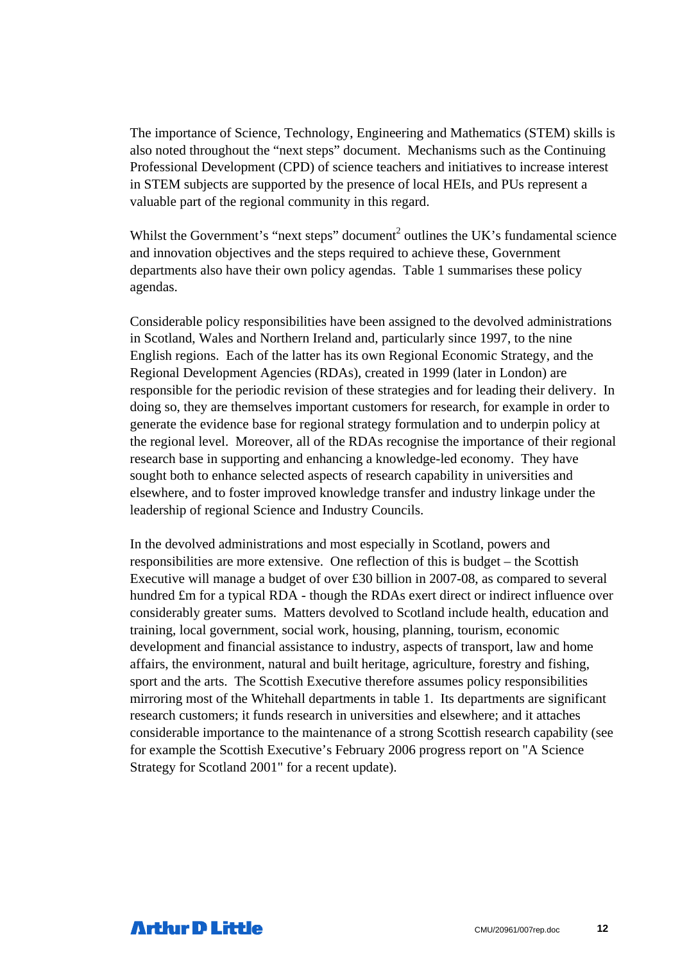The importance of Science, Technology, Engineering and Mathematics (STEM) skills is also noted throughout the "next steps" document. Mechanisms such as the Continuing Professional Development (CPD) of science teachers and initiatives to increase interest in STEM subjects are supported by the presence of local HEIs, and PUs represent a valuable part of the regional community in this regard.

Whilst the Government's "next steps" document<sup>2</sup> outlines the UK's fundamental science and innovation objectives and the steps required to achieve these, Government departments also have their own policy agendas. Table 1 summarises these policy agendas.

Considerable policy responsibilities have been assigned to the devolved administrations in Scotland, Wales and Northern Ireland and, particularly since 1997, to the nine English regions. Each of the latter has its own Regional Economic Strategy, and the Regional Development Agencies (RDAs), created in 1999 (later in London) are responsible for the periodic revision of these strategies and for leading their delivery. In doing so, they are themselves important customers for research, for example in order to generate the evidence base for regional strategy formulation and to underpin policy at the regional level. Moreover, all of the RDAs recognise the importance of their regional research base in supporting and enhancing a knowledge-led economy. They have sought both to enhance selected aspects of research capability in universities and elsewhere, and to foster improved knowledge transfer and industry linkage under the leadership of regional Science and Industry Councils.

In the devolved administrations and most especially in Scotland, powers and responsibilities are more extensive. One reflection of this is budget – the Scottish Executive will manage a budget of over £30 billion in 2007-08, as compared to several hundred £m for a typical RDA - though the RDAs exert direct or indirect influence over considerably greater sums. Matters devolved to Scotland include health, education and training, local government, social work, housing, planning, tourism, economic development and financial assistance to industry, aspects of transport, law and home affairs, the environment, natural and built heritage, agriculture, forestry and fishing, sport and the arts. The Scottish Executive therefore assumes policy responsibilities mirroring most of the Whitehall departments in table 1. Its departments are significant research customers; it funds research in universities and elsewhere; and it attaches considerable importance to the maintenance of a strong Scottish research capability (see for example the Scottish Executive's February 2006 progress report on "A Science Strategy for Scotland 2001" for a recent update).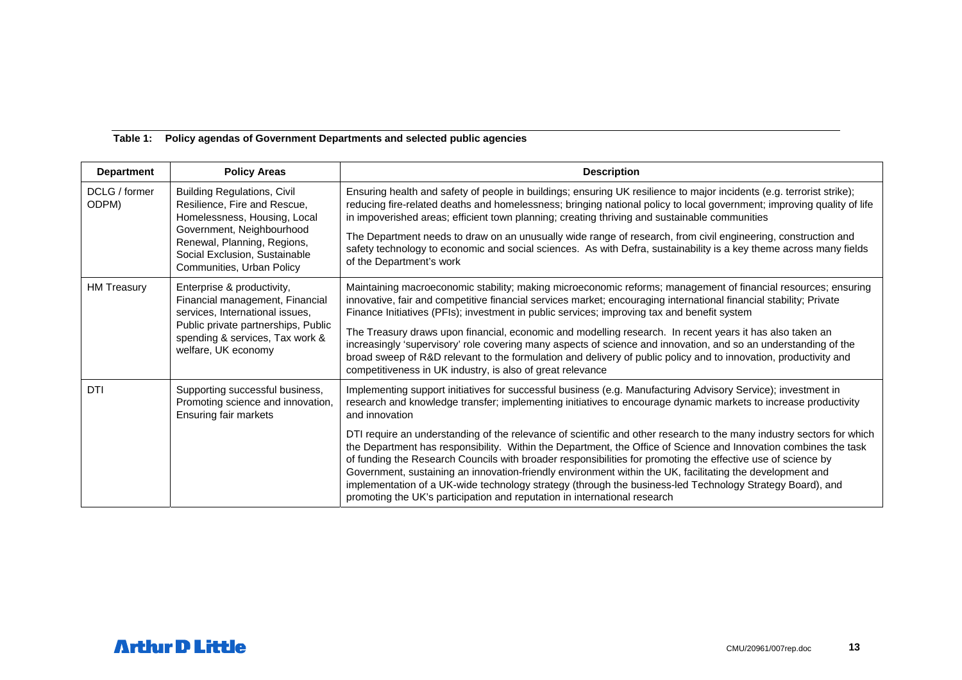| <b>Department</b>                                                                                           | <b>Policy Areas</b>                                                                                                    | <b>Description</b>                                                                                                                                                                                                                                                                                                                                                                                                                                                                                                                                                                                                                                               |  |
|-------------------------------------------------------------------------------------------------------------|------------------------------------------------------------------------------------------------------------------------|------------------------------------------------------------------------------------------------------------------------------------------------------------------------------------------------------------------------------------------------------------------------------------------------------------------------------------------------------------------------------------------------------------------------------------------------------------------------------------------------------------------------------------------------------------------------------------------------------------------------------------------------------------------|--|
| DCLG / former<br>ODPM)                                                                                      | <b>Building Regulations, Civil</b><br>Resilience, Fire and Rescue,<br>Homelessness, Housing, Local                     | Ensuring health and safety of people in buildings; ensuring UK resilience to major incidents (e.g. terrorist strike);<br>reducing fire-related deaths and homelessness; bringing national policy to local government; improving quality of life<br>in impoverished areas; efficient town planning; creating thriving and sustainable communities                                                                                                                                                                                                                                                                                                                 |  |
|                                                                                                             | Government, Neighbourhood<br>Renewal, Planning, Regions,<br>Social Exclusion, Sustainable<br>Communities, Urban Policy | The Department needs to draw on an unusually wide range of research, from civil engineering, construction and<br>safety technology to economic and social sciences. As with Defra, sustainability is a key theme across many fields<br>of the Department's work                                                                                                                                                                                                                                                                                                                                                                                                  |  |
| <b>HM Treasury</b>                                                                                          | Enterprise & productivity,<br>Financial management, Financial<br>services, International issues,                       | Maintaining macroeconomic stability; making microeconomic reforms; management of financial resources; ensuring<br>innovative, fair and competitive financial services market; encouraging international financial stability; Private<br>Finance Initiatives (PFIs); investment in public services; improving tax and benefit system                                                                                                                                                                                                                                                                                                                              |  |
|                                                                                                             | Public private partnerships, Public<br>spending & services, Tax work &<br>welfare, UK economy                          | The Treasury draws upon financial, economic and modelling research. In recent years it has also taken an<br>increasingly 'supervisory' role covering many aspects of science and innovation, and so an understanding of the<br>broad sweep of R&D relevant to the formulation and delivery of public policy and to innovation, productivity and<br>competitiveness in UK industry, is also of great relevance                                                                                                                                                                                                                                                    |  |
| <b>DTI</b><br>Supporting successful business,<br>Promoting science and innovation,<br>Ensuring fair markets |                                                                                                                        | Implementing support initiatives for successful business (e.g. Manufacturing Advisory Service); investment in<br>research and knowledge transfer; implementing initiatives to encourage dynamic markets to increase productivity<br>and innovation                                                                                                                                                                                                                                                                                                                                                                                                               |  |
|                                                                                                             |                                                                                                                        | DTI require an understanding of the relevance of scientific and other research to the many industry sectors for which<br>the Department has responsibility. Within the Department, the Office of Science and Innovation combines the task<br>of funding the Research Councils with broader responsibilities for promoting the effective use of science by<br>Government, sustaining an innovation-friendly environment within the UK, facilitating the development and<br>implementation of a UK-wide technology strategy (through the business-led Technology Strategy Board), and<br>promoting the UK's participation and reputation in international research |  |

#### **Table 1: Policy agendas of Government Departments and selected public agencies**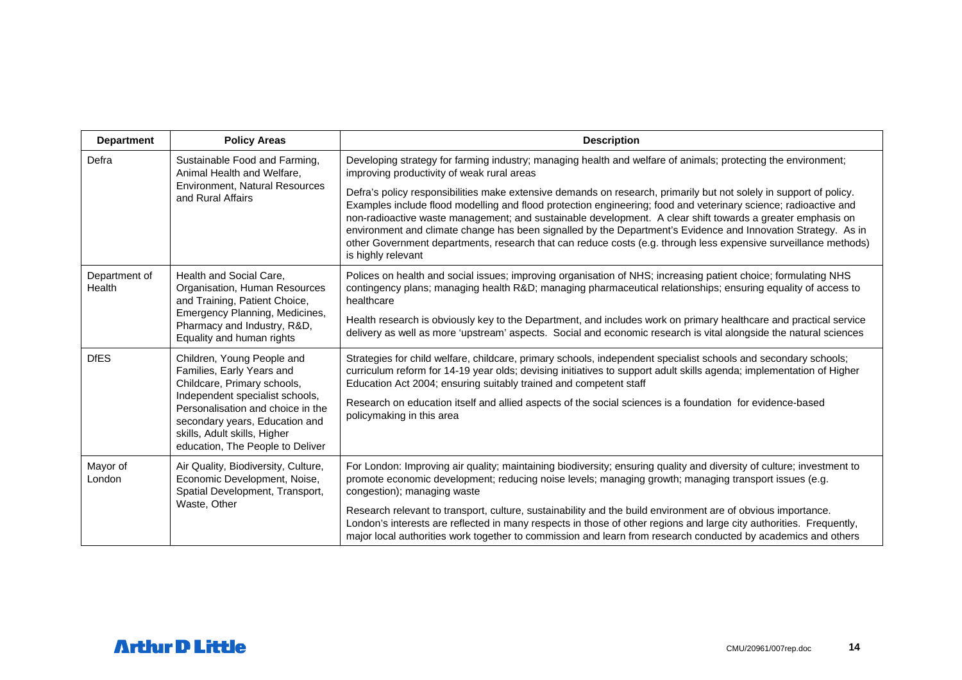| <b>Department</b>       | <b>Policy Areas</b>                                                                                                                                                        | <b>Description</b>                                                                                                                                                                                                                                                                                                                                                                                                                                                                                                                                                                                            |
|-------------------------|----------------------------------------------------------------------------------------------------------------------------------------------------------------------------|---------------------------------------------------------------------------------------------------------------------------------------------------------------------------------------------------------------------------------------------------------------------------------------------------------------------------------------------------------------------------------------------------------------------------------------------------------------------------------------------------------------------------------------------------------------------------------------------------------------|
| Defra                   | Sustainable Food and Farming,<br>Animal Health and Welfare,                                                                                                                | Developing strategy for farming industry; managing health and welfare of animals; protecting the environment;<br>improving productivity of weak rural areas                                                                                                                                                                                                                                                                                                                                                                                                                                                   |
|                         | Environment, Natural Resources<br>and Rural Affairs                                                                                                                        | Defra's policy responsibilities make extensive demands on research, primarily but not solely in support of policy.<br>Examples include flood modelling and flood protection engineering; food and veterinary science; radioactive and<br>non-radioactive waste management; and sustainable development. A clear shift towards a greater emphasis on<br>environment and climate change has been signalled by the Department's Evidence and Innovation Strategy. As in<br>other Government departments, research that can reduce costs (e.g. through less expensive surveillance methods)<br>is highly relevant |
| Department of<br>Health | Health and Social Care,<br>Organisation, Human Resources<br>and Training, Patient Choice,                                                                                  | Polices on health and social issues; improving organisation of NHS; increasing patient choice; formulating NHS<br>contingency plans; managing health R&D managing pharmaceutical relationships; ensuring equality of access to<br>healthcare                                                                                                                                                                                                                                                                                                                                                                  |
|                         | Emergency Planning, Medicines,<br>Pharmacy and Industry, R&D,<br>Equality and human rights                                                                                 | Health research is obviously key to the Department, and includes work on primary healthcare and practical service<br>delivery as well as more 'upstream' aspects. Social and economic research is vital alongside the natural sciences                                                                                                                                                                                                                                                                                                                                                                        |
| <b>DfES</b>             | Children, Young People and<br>Families, Early Years and<br>Childcare, Primary schools,                                                                                     | Strategies for child welfare, childcare, primary schools, independent specialist schools and secondary schools;<br>curriculum reform for 14-19 year olds; devising initiatives to support adult skills agenda; implementation of Higher<br>Education Act 2004; ensuring suitably trained and competent staff                                                                                                                                                                                                                                                                                                  |
|                         | Independent specialist schools,<br>Personalisation and choice in the<br>secondary years, Education and<br>skills, Adult skills, Higher<br>education, The People to Deliver | Research on education itself and allied aspects of the social sciences is a foundation for evidence-based<br>policymaking in this area                                                                                                                                                                                                                                                                                                                                                                                                                                                                        |
| Mayor of<br>London      | Air Quality, Biodiversity, Culture,<br>Economic Development, Noise,<br>Spatial Development, Transport,                                                                     | For London: Improving air quality; maintaining biodiversity; ensuring quality and diversity of culture; investment to<br>promote economic development; reducing noise levels; managing growth; managing transport issues (e.g.<br>congestion); managing waste                                                                                                                                                                                                                                                                                                                                                 |
|                         | Waste, Other                                                                                                                                                               | Research relevant to transport, culture, sustainability and the build environment are of obvious importance.<br>London's interests are reflected in many respects in those of other regions and large city authorities. Frequently,<br>major local authorities work together to commission and learn from research conducted by academics and others                                                                                                                                                                                                                                                          |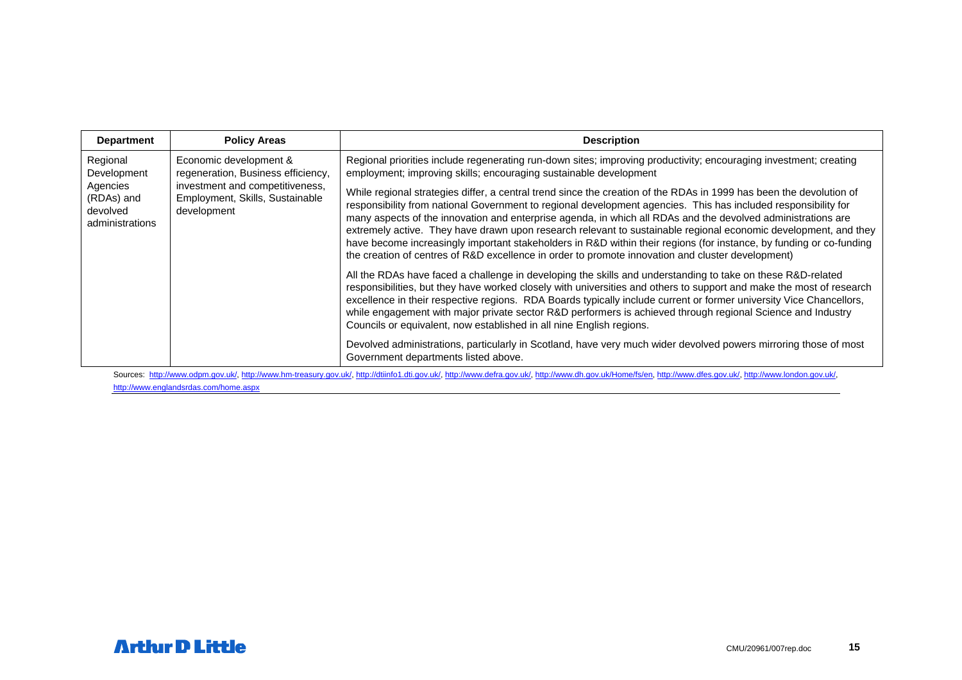| <b>Department</b>                                     | <b>Policy Areas</b>                                                               | <b>Description</b>                                                                                                                                                                                                                                                                                                                                                                                                                                                                                                                                                                                                                                                                                   |
|-------------------------------------------------------|-----------------------------------------------------------------------------------|------------------------------------------------------------------------------------------------------------------------------------------------------------------------------------------------------------------------------------------------------------------------------------------------------------------------------------------------------------------------------------------------------------------------------------------------------------------------------------------------------------------------------------------------------------------------------------------------------------------------------------------------------------------------------------------------------|
| Regional<br>Development                               | Economic development &<br>regeneration, Business efficiency,                      | Regional priorities include regenerating run-down sites; improving productivity; encouraging investment; creating<br>employment; improving skills; encouraging sustainable development                                                                                                                                                                                                                                                                                                                                                                                                                                                                                                               |
| Agencies<br>(RDAs) and<br>devolved<br>administrations | investment and competitiveness,<br>Employment, Skills, Sustainable<br>development | While regional strategies differ, a central trend since the creation of the RDAs in 1999 has been the devolution of<br>responsibility from national Government to regional development agencies. This has included responsibility for<br>many aspects of the innovation and enterprise agenda, in which all RDAs and the devolved administrations are<br>extremely active. They have drawn upon research relevant to sustainable regional economic development, and they<br>have become increasingly important stakeholders in R&D within their regions (for instance, by funding or co-funding<br>the creation of centres of R&D excellence in order to promote innovation and cluster development) |
|                                                       |                                                                                   | All the RDAs have faced a challenge in developing the skills and understanding to take on these R&D-related<br>responsibilities, but they have worked closely with universities and others to support and make the most of research<br>excellence in their respective regions. RDA Boards typically include current or former university Vice Chancellors,<br>while engagement with major private sector R&D performers is achieved through regional Science and Industry<br>Councils or equivalent, now established in all nine English regions.                                                                                                                                                    |
|                                                       |                                                                                   | Devolved administrations, particularly in Scotland, have very much wider devolved powers mirroring those of most<br>Government departments listed above.                                                                                                                                                                                                                                                                                                                                                                                                                                                                                                                                             |

Sources: http://www.odpm.gov.uk/, http://www.hm-treasury.gov.uk/, nttp://dtiinfo1.dti.gov.uk/, http://www.defra.gov.uk/, http://www.dn.gov.uk/Home/fs/en, nttp://www.dies.gov.uk/, http://www.dies.gov.uk/, http://www.london. http://www.englandsrdas.com/home.aspx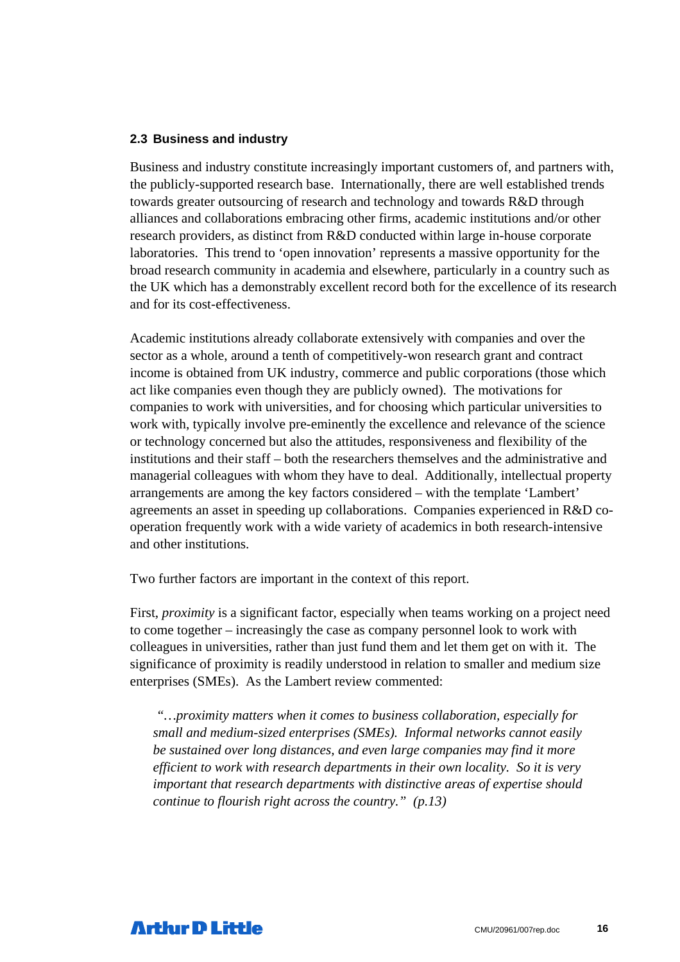#### **2.3 Business and industry**

Business and industry constitute increasingly important customers of, and partners with, the publicly-supported research base. Internationally, there are well established trends towards greater outsourcing of research and technology and towards R&D through alliances and collaborations embracing other firms, academic institutions and/or other research providers, as distinct from R&D conducted within large in-house corporate laboratories. This trend to 'open innovation' represents a massive opportunity for the broad research community in academia and elsewhere, particularly in a country such as the UK which has a demonstrably excellent record both for the excellence of its research and for its cost-effectiveness.

Academic institutions already collaborate extensively with companies and over the sector as a whole, around a tenth of competitively-won research grant and contract income is obtained from UK industry, commerce and public corporations (those which act like companies even though they are publicly owned). The motivations for companies to work with universities, and for choosing which particular universities to work with, typically involve pre-eminently the excellence and relevance of the science or technology concerned but also the attitudes, responsiveness and flexibility of the institutions and their staff – both the researchers themselves and the administrative and managerial colleagues with whom they have to deal. Additionally, intellectual property arrangements are among the key factors considered – with the template 'Lambert' agreements an asset in speeding up collaborations. Companies experienced in R&D cooperation frequently work with a wide variety of academics in both research-intensive and other institutions.

Two further factors are important in the context of this report.

First, *proximity* is a significant factor, especially when teams working on a project need to come together – increasingly the case as company personnel look to work with colleagues in universities, rather than just fund them and let them get on with it. The significance of proximity is readily understood in relation to smaller and medium size enterprises (SMEs). As the Lambert review commented:

 *"…proximity matters when it comes to business collaboration, especially for small and medium-sized enterprises (SMEs). Informal networks cannot easily be sustained over long distances, and even large companies may find it more efficient to work with research departments in their own locality. So it is very important that research departments with distinctive areas of expertise should continue to flourish right across the country." (p.13)* 

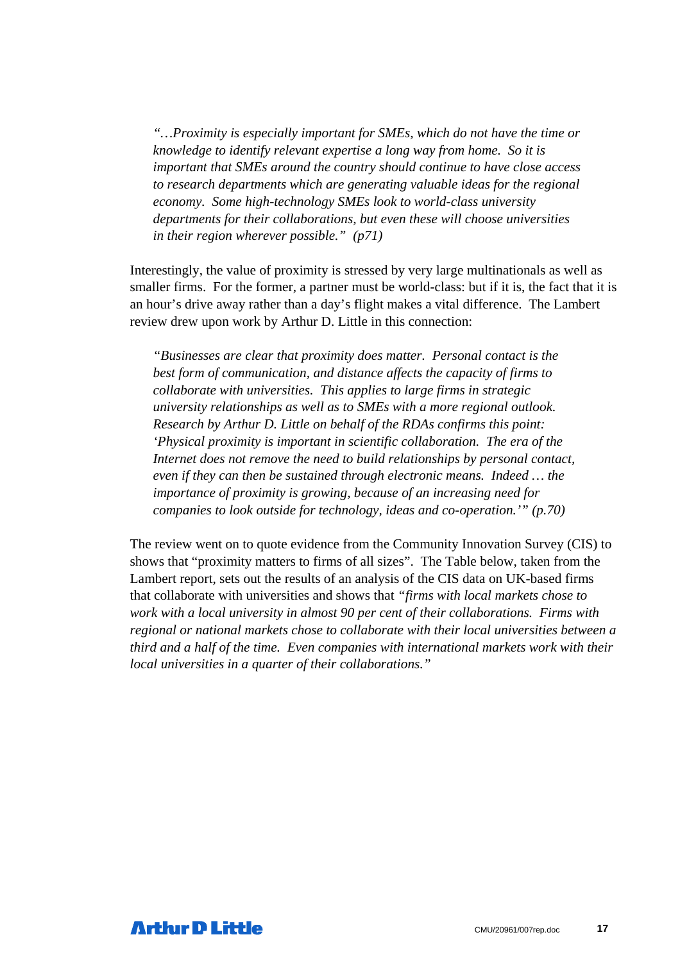*"…Proximity is especially important for SMEs, which do not have the time or knowledge to identify relevant expertise a long way from home. So it is important that SMEs around the country should continue to have close access to research departments which are generating valuable ideas for the regional economy. Some high-technology SMEs look to world-class university departments for their collaborations, but even these will choose universities in their region wherever possible." (p71)* 

Interestingly, the value of proximity is stressed by very large multinationals as well as smaller firms. For the former, a partner must be world-class: but if it is, the fact that it is an hour's drive away rather than a day's flight makes a vital difference. The Lambert review drew upon work by Arthur D. Little in this connection:

*"Businesses are clear that proximity does matter. Personal contact is the best form of communication, and distance affects the capacity of firms to collaborate with universities. This applies to large firms in strategic university relationships as well as to SMEs with a more regional outlook. Research by Arthur D. Little on behalf of the RDAs confirms this point: 'Physical proximity is important in scientific collaboration. The era of the Internet does not remove the need to build relationships by personal contact, even if they can then be sustained through electronic means. Indeed … the importance of proximity is growing, because of an increasing need for companies to look outside for technology, ideas and co-operation.'" (p.70)* 

The review went on to quote evidence from the Community Innovation Survey (CIS) to shows that "proximity matters to firms of all sizes". The Table below, taken from the Lambert report, sets out the results of an analysis of the CIS data on UK-based firms that collaborate with universities and shows that *"firms with local markets chose to work with a local university in almost 90 per cent of their collaborations. Firms with regional or national markets chose to collaborate with their local universities between a third and a half of the time. Even companies with international markets work with their local universities in a quarter of their collaborations."*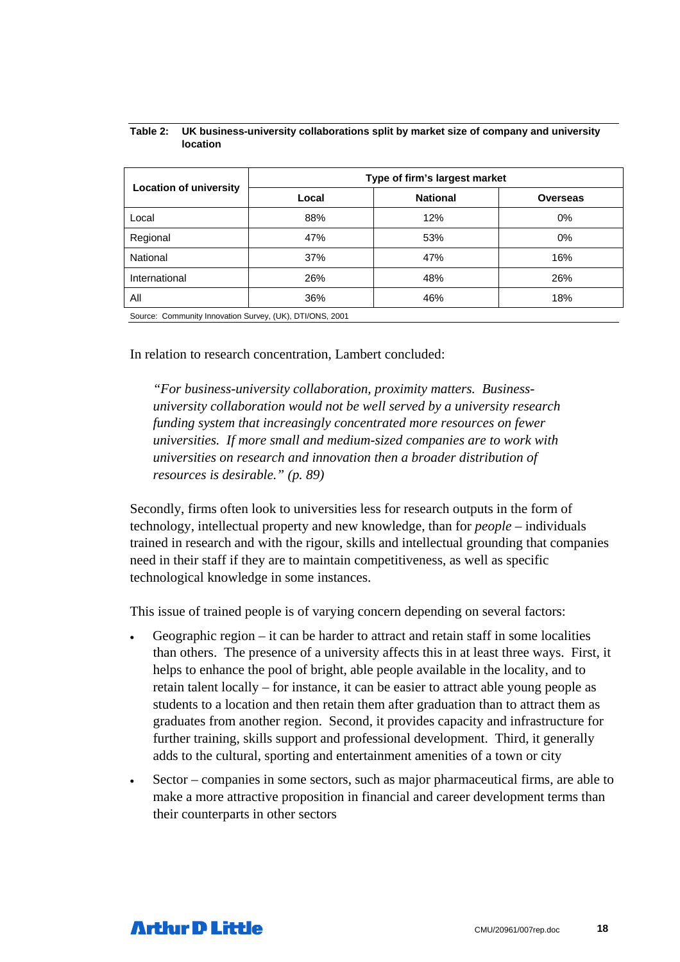|                               | Type of firm's largest market |                 |                 |  |  |
|-------------------------------|-------------------------------|-----------------|-----------------|--|--|
| <b>Location of university</b> | Local                         | <b>National</b> | <b>Overseas</b> |  |  |
| Local                         | 88%                           | 12%             | 0%              |  |  |
| Regional                      | 47%                           | 53%             | 0%              |  |  |
| National                      | 37%                           | 47%             | 16%             |  |  |
| International                 | 26%                           | 48%             | 26%             |  |  |
| All                           | 36%                           | 46%             | 18%             |  |  |

#### **Table 2: UK business-university collaborations split by market size of company and university location**

Source: Community Innovation Survey, (UK), DTI/ONS, 2001

In relation to research concentration, Lambert concluded:

*"For business-university collaboration, proximity matters. Businessuniversity collaboration would not be well served by a university research funding system that increasingly concentrated more resources on fewer universities. If more small and medium-sized companies are to work with universities on research and innovation then a broader distribution of resources is desirable." (p. 89)* 

Secondly, firms often look to universities less for research outputs in the form of technology, intellectual property and new knowledge, than for *people –* individuals trained in research and with the rigour, skills and intellectual grounding that companies need in their staff if they are to maintain competitiveness, as well as specific technological knowledge in some instances.

This issue of trained people is of varying concern depending on several factors:

- Geographic region  $-$  it can be harder to attract and retain staff in some localities than others. The presence of a university affects this in at least three ways. First, it helps to enhance the pool of bright, able people available in the locality, and to retain talent locally – for instance, it can be easier to attract able young people as students to a location and then retain them after graduation than to attract them as graduates from another region. Second, it provides capacity and infrastructure for further training, skills support and professional development. Third, it generally adds to the cultural, sporting and entertainment amenities of a town or city
- Sector companies in some sectors, such as major pharmaceutical firms, are able to make a more attractive proposition in financial and career development terms than their counterparts in other sectors

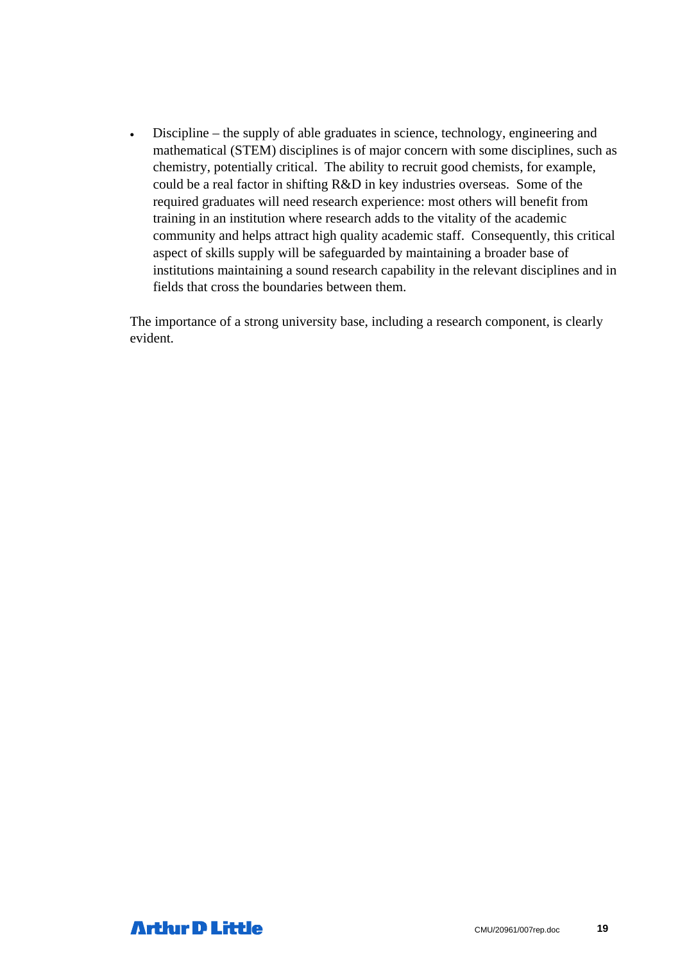• Discipline – the supply of able graduates in science, technology, engineering and mathematical (STEM) disciplines is of major concern with some disciplines, such as chemistry, potentially critical. The ability to recruit good chemists, for example, could be a real factor in shifting R&D in key industries overseas. Some of the required graduates will need research experience: most others will benefit from training in an institution where research adds to the vitality of the academic community and helps attract high quality academic staff. Consequently, this critical aspect of skills supply will be safeguarded by maintaining a broader base of institutions maintaining a sound research capability in the relevant disciplines and in fields that cross the boundaries between them.

The importance of a strong university base, including a research component, is clearly evident.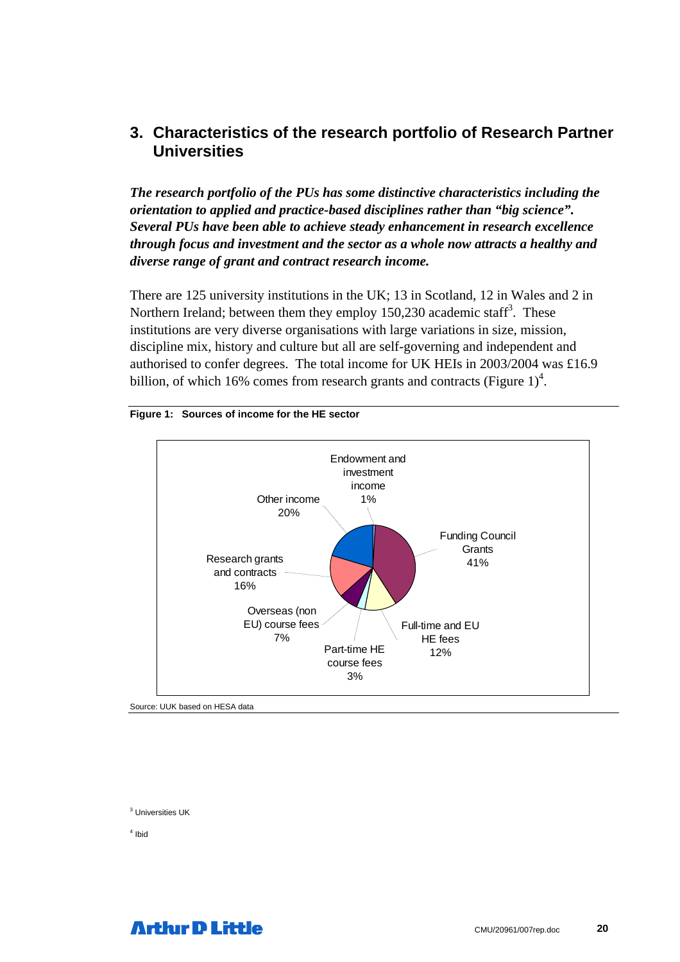### **3. Characteristics of the research portfolio of Research Partner Universities**

*The research portfolio of the PUs has some distinctive characteristics including the orientation to applied and practice-based disciplines rather than "big science". Several PUs have been able to achieve steady enhancement in research excellence through focus and investment and the sector as a whole now attracts a healthy and diverse range of grant and contract research income.* 

There are 125 university institutions in the UK; 13 in Scotland, 12 in Wales and 2 in Northern Ireland; between them they employ  $150,230$  academic staff<sup>3</sup>. These institutions are very diverse organisations with large variations in size, mission, discipline mix, history and culture but all are self-governing and independent and authorised to confer degrees. The total income for UK HEIs in 2003/2004 was £16.9 billion, of which 16% comes from research grants and contracts (Figure  $1)^4$ .



#### **Figure 1: Sources of income for the HE sector**

Source: UUK based on HESA data

<sup>3</sup> Universities UK

4 Ibid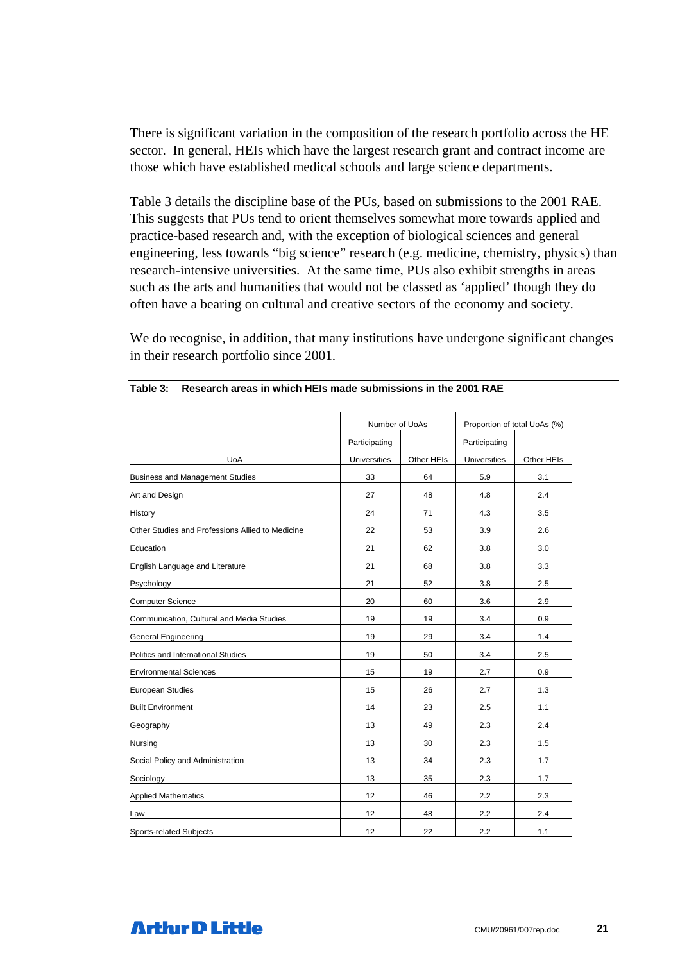There is significant variation in the composition of the research portfolio across the HE sector. In general, HEIs which have the largest research grant and contract income are those which have established medical schools and large science departments.

Table 3 details the discipline base of the PUs, based on submissions to the 2001 RAE. This suggests that PUs tend to orient themselves somewhat more towards applied and practice-based research and, with the exception of biological sciences and general engineering, less towards "big science" research (e.g. medicine, chemistry, physics) than research-intensive universities. At the same time, PUs also exhibit strengths in areas such as the arts and humanities that would not be classed as 'applied' though they do often have a bearing on cultural and creative sectors of the economy and society.

We do recognise, in addition, that many institutions have undergone significant changes in their research portfolio since 2001.

|                                                  | Number of UoAs      |            | Proportion of total UoAs (%) |            |
|--------------------------------------------------|---------------------|------------|------------------------------|------------|
|                                                  | Participating       |            | Participating                |            |
| <b>UoA</b>                                       | <b>Universities</b> | Other HEIs | <b>Universities</b>          | Other HEIs |
| Business and Management Studies                  | 33                  | 64         | 5.9                          | 3.1        |
| Art and Design                                   | 27                  | 48         | 4.8                          | 2.4        |
| History                                          | 24                  | 71         | 4.3                          | 3.5        |
| Other Studies and Professions Allied to Medicine | 22                  | 53         | 3.9                          | 2.6        |
| Education                                        | 21                  | 62         | 3.8                          | 3.0        |
| English Language and Literature                  | 21                  | 68         | 3.8                          | 3.3        |
| Psychology                                       | 21                  | 52         | 3.8                          | 2.5        |
| <b>Computer Science</b>                          | 20                  | 60         | 3.6                          | 2.9        |
| Communication, Cultural and Media Studies        | 19                  | 19         | 3.4                          | 0.9        |
| General Engineering                              | 19                  | 29         | 3.4                          | 1.4        |
| Politics and International Studies               | 19                  | 50         | 3.4                          | 2.5        |
| <b>Environmental Sciences</b>                    | 15                  | 19         | 2.7                          | 0.9        |
| <b>European Studies</b>                          | 15                  | 26         | 2.7                          | 1.3        |
| <b>Built Environment</b>                         | 14                  | 23         | 2.5                          | 1.1        |
| Geography                                        | 13                  | 49         | 2.3                          | 2.4        |
| Nursing                                          | 13                  | 30         | 2.3                          | 1.5        |
| Social Policy and Administration                 | 13                  | 34         | 2.3                          | 1.7        |
| Sociology                                        | 13                  | 35         | 2.3                          | 1.7        |
| <b>Applied Mathematics</b>                       | 12                  | 46         | 2.2                          | 2.3        |
| Law                                              | 12                  | 48         | 2.2                          | 2.4        |
| Sports-related Subjects                          | 12                  | 22         | 2.2                          | 1.1        |

| Table 3: Research areas in which HEIs made submissions in the 2001 RAE |
|------------------------------------------------------------------------|
|                                                                        |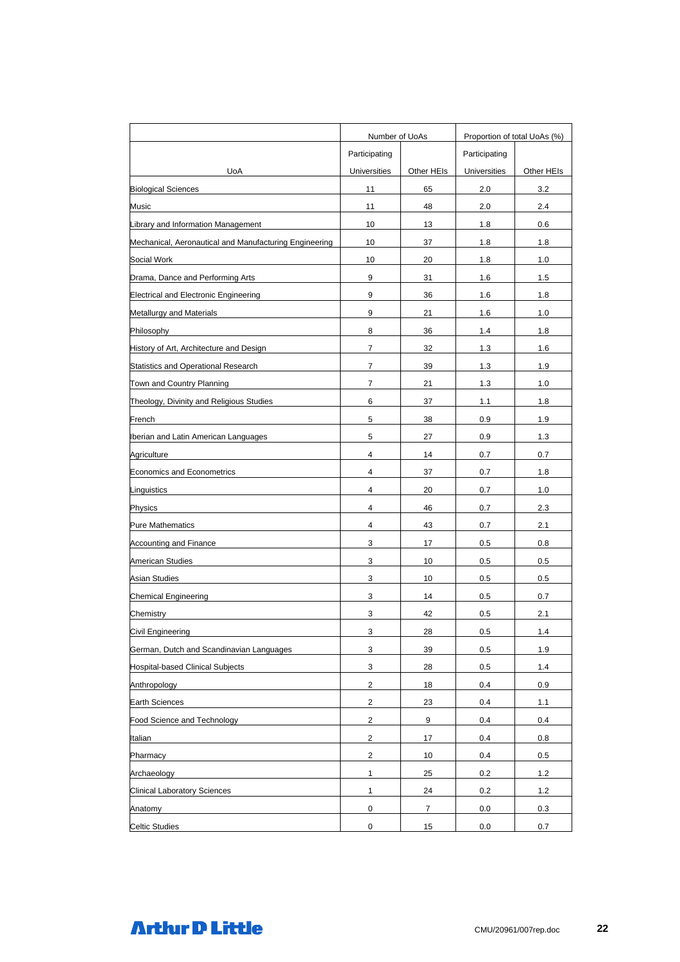|                                                        | Number of UoAs          |                | Proportion of total UoAs (%) |            |
|--------------------------------------------------------|-------------------------|----------------|------------------------------|------------|
|                                                        | Participating           |                | Participating                |            |
| UoA                                                    | Universities            | Other HEIs     | Universities                 | Other HEIs |
| <b>Biological Sciences</b>                             | 11                      | 65             | 2.0                          | 3.2        |
| Music                                                  | 11                      | 48             | 2.0                          | 2.4        |
| Library and Information Management                     | 10                      | 13             | 1.8                          | 0.6        |
| Mechanical, Aeronautical and Manufacturing Engineering | 10                      | 37             | 1.8                          | 1.8        |
| Social Work                                            | 10                      | 20             | 1.8                          | 1.0        |
| Drama, Dance and Performing Arts                       | 9                       | 31             | 1.6                          | 1.5        |
| Electrical and Electronic Engineering                  | 9                       | 36             | 1.6                          | 1.8        |
| Metallurgy and Materials                               | 9                       | 21             | 1.6                          | 1.0        |
| Philosophy                                             | 8                       | 36             | 1.4                          | 1.8        |
| History of Art, Architecture and Design                | 7                       | 32             | 1.3                          | 1.6        |
| Statistics and Operational Research                    | 7                       | 39             | 1.3                          | 1.9        |
| Town and Country Planning                              | 7                       | 21             | 1.3                          | 1.0        |
| Theology, Divinity and Religious Studies               | 6                       | 37             | 1.1                          | 1.8        |
| French                                                 | 5                       | 38             | 0.9                          | 1.9        |
| Iberian and Latin American Languages                   | 5                       | 27             | 0.9                          | 1.3        |
| Agriculture                                            | 4                       | 14             | 0.7                          | 0.7        |
| Economics and Econometrics                             | 4                       | 37             | 0.7                          | 1.8        |
| Linguistics                                            | 4                       | 20             | 0.7                          | 1.0        |
| Physics                                                | 4                       | 46             | 0.7                          | 2.3        |
| <b>Pure Mathematics</b>                                | $\overline{4}$          | 43             | 0.7                          | 2.1        |
| <b>Accounting and Finance</b>                          | 3                       | 17             | 0.5                          | 0.8        |
| American Studies                                       | 3                       | 10             | 0.5                          | 0.5        |
| <b>Asian Studies</b>                                   | 3                       | 10             | 0.5                          | 0.5        |
| <b>Chemical Engineering</b>                            | 3                       | 14             | 0.5                          | 0.7        |
| Chemistry                                              | 3                       | 42             | 0.5                          | 2.1        |
| Civil Engineering                                      | 3                       | 28             | 0.5                          | 1.4        |
| German, Dutch and Scandinavian Languages               | 3                       | 39             | 0.5                          | 1.9        |
| <b>Hospital-based Clinical Subjects</b>                | 3                       | 28             | 0.5                          | 1.4        |
| Anthropology                                           | $\sqrt{2}$              | 18             | 0.4                          | 0.9        |
| <b>Earth Sciences</b>                                  | $\sqrt{2}$              | 23             | 0.4                          | 1.1        |
| Food Science and Technology                            | $\overline{2}$          | 9              | 0.4                          | 0.4        |
| Italian                                                | 2                       | 17             | 0.4                          | 0.8        |
| Pharmacy                                               | $\overline{\mathbf{c}}$ | 10             | 0.4                          | 0.5        |
| Archaeology                                            | $\mathbf{1}$            | 25             | 0.2                          | $1.2$      |
| <b>Clinical Laboratory Sciences</b>                    | $\mathbf{1}$            | 24             | 0.2                          | 1.2        |
| Anatomy                                                | 0                       | $\overline{7}$ | 0.0                          | 0.3        |
| <b>Celtic Studies</b>                                  | $\mathsf 0$             | 15             | 0.0                          | 0.7        |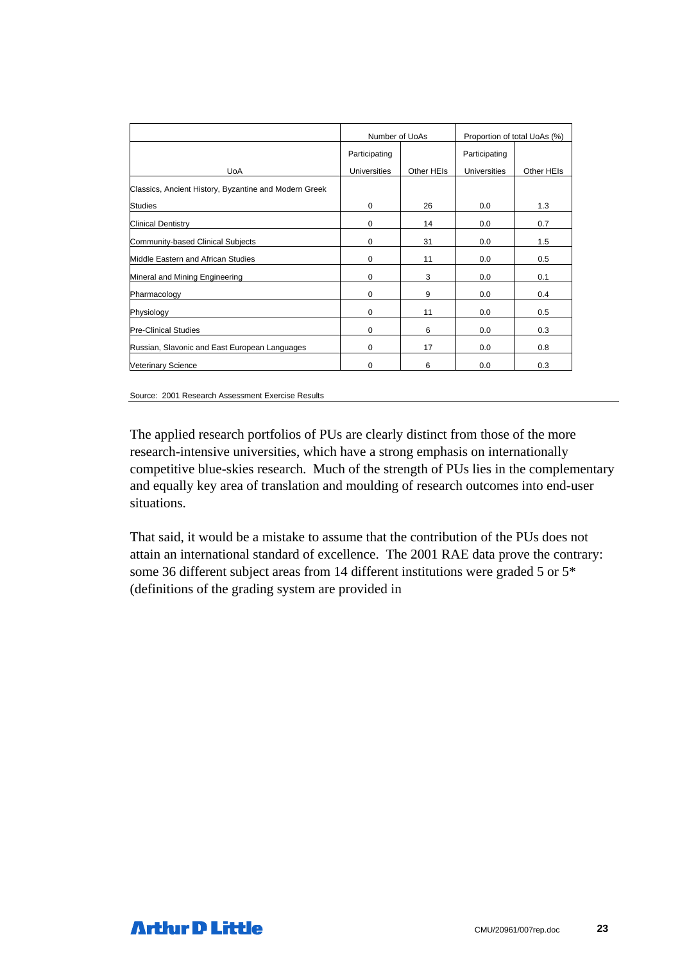|                                                       | Number of UoAs      |            | Proportion of total UoAs (%) |            |
|-------------------------------------------------------|---------------------|------------|------------------------------|------------|
|                                                       | Participating       |            | Participating                |            |
| <b>UoA</b>                                            | <b>Universities</b> | Other HEIs | <b>Universities</b>          | Other HEIs |
| Classics, Ancient History, Byzantine and Modern Greek |                     |            |                              |            |
| <b>Studies</b>                                        | 0                   | 26         | 0.0                          | 1.3        |
| <b>Clinical Dentistry</b>                             | 0                   | 14         | 0.0                          | 0.7        |
| Community-based Clinical Subjects                     | 0                   | 31         | 0.0                          | 1.5        |
| Middle Eastern and African Studies                    | 0                   | 11         | 0.0                          | 0.5        |
| Mineral and Mining Engineering                        | 0                   | 3          | 0.0                          | 0.1        |
| Pharmacology                                          | 0                   | 9          | 0.0                          | 0.4        |
| Physiology                                            | $\mathbf 0$         | 11         | 0.0                          | 0.5        |
| <b>Pre-Clinical Studies</b>                           | 0                   | 6          | 0.0                          | 0.3        |
| Russian, Slavonic and East European Languages         | 0                   | 17         | 0.0                          | 0.8        |
| <b>Veterinary Science</b>                             | 0                   | 6          | 0.0                          | 0.3        |

Source: 2001 Research Assessment Exercise Results

The applied research portfolios of PUs are clearly distinct from those of the more research-intensive universities, which have a strong emphasis on internationally competitive blue-skies research. Much of the strength of PUs lies in the complementary and equally key area of translation and moulding of research outcomes into end-user situations.

That said, it would be a mistake to assume that the contribution of the PUs does not attain an international standard of excellence. The 2001 RAE data prove the contrary: some 36 different subject areas from 14 different institutions were graded 5 or 5\* (definitions of the grading system are provided in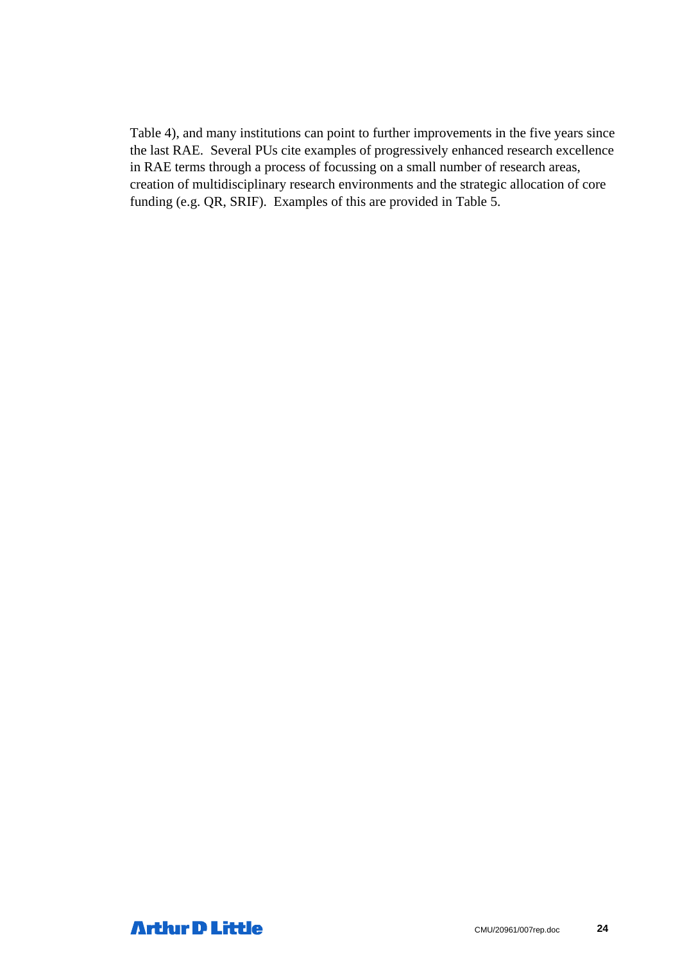Table 4), and many institutions can point to further improvements in the five years since the last RAE. Several PUs cite examples of progressively enhanced research excellence in RAE terms through a process of focussing on a small number of research areas, creation of multidisciplinary research environments and the strategic allocation of core funding (e.g. QR, SRIF). Examples of this are provided in Table 5.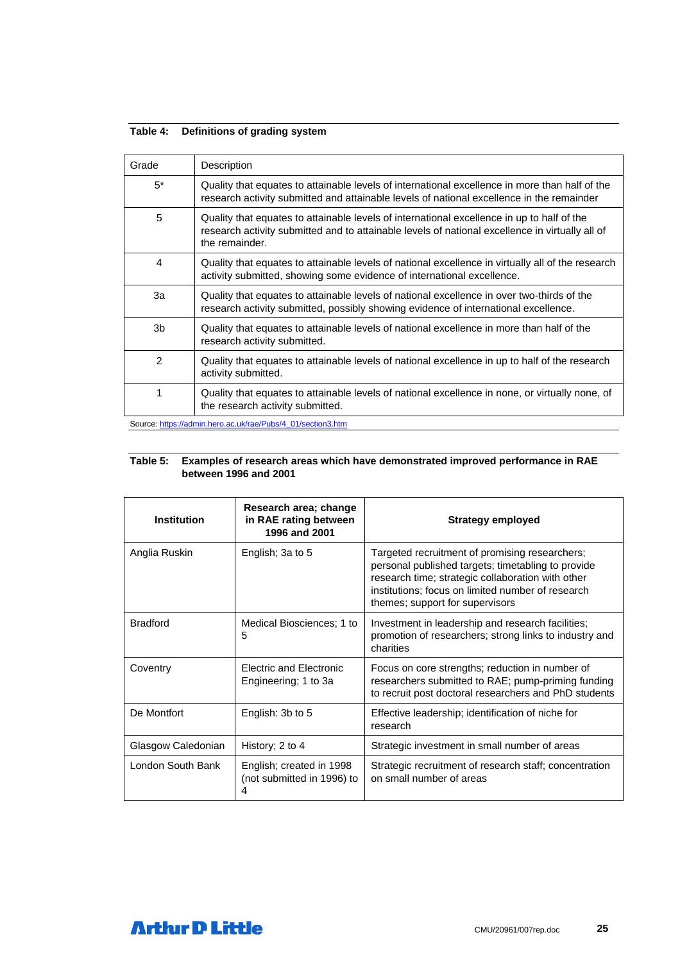| Definitions of grading system<br>Table 4: |  |
|-------------------------------------------|--|
|-------------------------------------------|--|

| Grade          | Description                                                                                                                                                                                                     |
|----------------|-----------------------------------------------------------------------------------------------------------------------------------------------------------------------------------------------------------------|
| $5^*$          | Quality that equates to attainable levels of international excellence in more than half of the<br>research activity submitted and attainable levels of national excellence in the remainder                     |
| 5              | Quality that equates to attainable levels of international excellence in up to half of the<br>research activity submitted and to attainable levels of national excellence in virtually all of<br>the remainder. |
| 4              | Quality that equates to attainable levels of national excellence in virtually all of the research<br>activity submitted, showing some evidence of international excellence.                                     |
| За             | Quality that equates to attainable levels of national excellence in over two-thirds of the<br>research activity submitted, possibly showing evidence of international excellence.                               |
| 3b             | Quality that equates to attainable levels of national excellence in more than half of the<br>research activity submitted.                                                                                       |
| $\mathfrak{p}$ | Quality that equates to attainable levels of national excellence in up to half of the research<br>activity submitted.                                                                                           |
| 1              | Quality that equates to attainable levels of national excellence in none, or virtually none, of<br>the research activity submitted.                                                                             |

Source: https://admin.hero.ac.uk/rae/Pubs/4\_01/section3.htm

#### **Table 5: Examples of research areas which have demonstrated improved performance in RAE between 1996 and 2001**

| <b>Institution</b> | Research area; change<br>in RAE rating between<br>1996 and 2001 | <b>Strategy employed</b>                                                                                                                                                                                                                          |
|--------------------|-----------------------------------------------------------------|---------------------------------------------------------------------------------------------------------------------------------------------------------------------------------------------------------------------------------------------------|
| Anglia Ruskin      | English; 3a to 5                                                | Targeted recruitment of promising researchers;<br>personal published targets; timetabling to provide<br>research time; strategic collaboration with other<br>institutions; focus on limited number of research<br>themes; support for supervisors |
| <b>Bradford</b>    | Medical Biosciences; 1 to<br>5                                  | Investment in leadership and research facilities;<br>promotion of researchers; strong links to industry and<br>charities                                                                                                                          |
| Coventry           | Electric and Electronic<br>Engineering; 1 to 3a                 | Focus on core strengths; reduction in number of<br>researchers submitted to RAE; pump-priming funding<br>to recruit post doctoral researchers and PhD students                                                                                    |
| De Montfort        | English: 3b to 5                                                | Effective leadership; identification of niche for<br>research                                                                                                                                                                                     |
| Glasgow Caledonian | History; 2 to 4                                                 | Strategic investment in small number of areas                                                                                                                                                                                                     |
| London South Bank  | English; created in 1998<br>(not submitted in 1996) to<br>4     | Strategic recruitment of research staff; concentration<br>on small number of areas                                                                                                                                                                |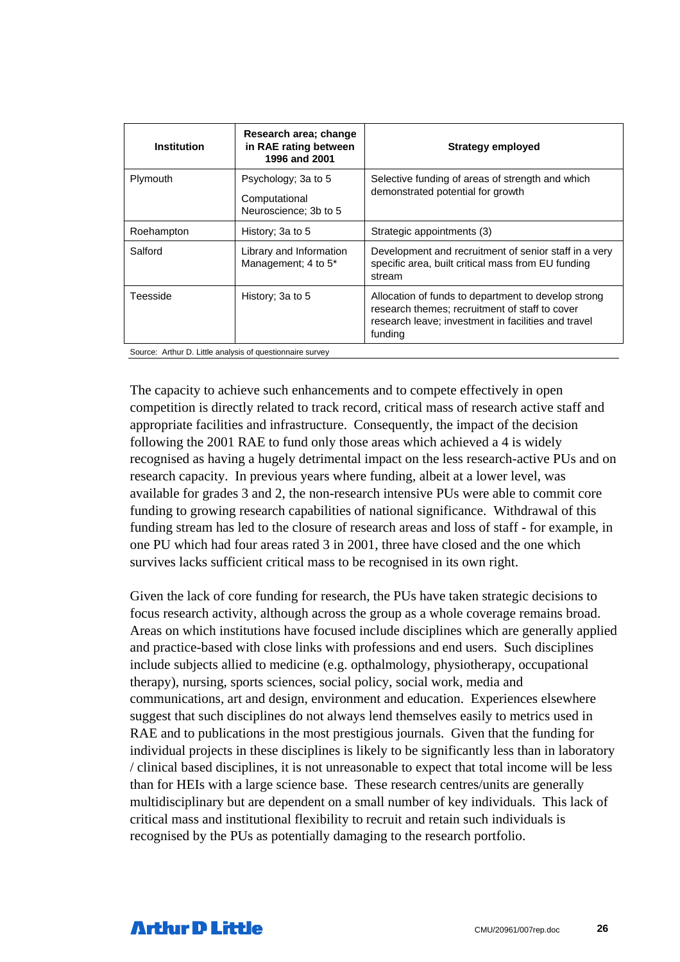| Research area; change<br>in RAE rating between<br>1996 and 2001 | <b>Strategy employed</b>                                                                                                                                                |
|-----------------------------------------------------------------|-------------------------------------------------------------------------------------------------------------------------------------------------------------------------|
| Psychology: 3a to 5<br>Computational<br>Neuroscience; 3b to 5   | Selective funding of areas of strength and which<br>demonstrated potential for growth                                                                                   |
| History; 3a to 5                                                | Strategic appointments (3)                                                                                                                                              |
| Library and Information<br>Management; 4 to 5*                  | Development and recruitment of senior staff in a very<br>specific area, built critical mass from EU funding<br>stream                                                   |
| History; 3a to 5                                                | Allocation of funds to department to develop strong<br>research themes; recruitment of staff to cover<br>research leave; investment in facilities and travel<br>funding |
|                                                                 |                                                                                                                                                                         |

The capacity to achieve such enhancements and to compete effectively in open competition is directly related to track record, critical mass of research active staff and appropriate facilities and infrastructure. Consequently, the impact of the decision following the 2001 RAE to fund only those areas which achieved a 4 is widely recognised as having a hugely detrimental impact on the less research-active PUs and on research capacity. In previous years where funding, albeit at a lower level, was available for grades 3 and 2, the non-research intensive PUs were able to commit core funding to growing research capabilities of national significance. Withdrawal of this funding stream has led to the closure of research areas and loss of staff - for example, in one PU which had four areas rated 3 in 2001, three have closed and the one which survives lacks sufficient critical mass to be recognised in its own right.

Given the lack of core funding for research, the PUs have taken strategic decisions to focus research activity, although across the group as a whole coverage remains broad. Areas on which institutions have focused include disciplines which are generally applied and practice-based with close links with professions and end users. Such disciplines include subjects allied to medicine (e.g. opthalmology, physiotherapy, occupational therapy), nursing, sports sciences, social policy, social work, media and communications, art and design, environment and education. Experiences elsewhere suggest that such disciplines do not always lend themselves easily to metrics used in RAE and to publications in the most prestigious journals. Given that the funding for individual projects in these disciplines is likely to be significantly less than in laboratory / clinical based disciplines, it is not unreasonable to expect that total income will be less than for HEIs with a large science base. These research centres/units are generally multidisciplinary but are dependent on a small number of key individuals. This lack of critical mass and institutional flexibility to recruit and retain such individuals is recognised by the PUs as potentially damaging to the research portfolio.

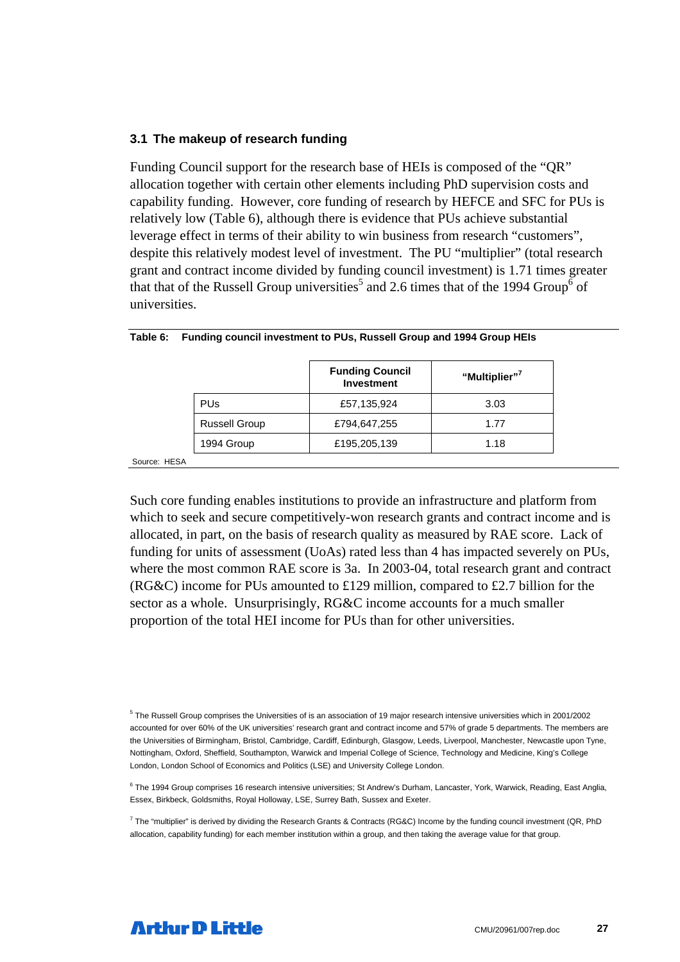#### **3.1 The makeup of research funding**

Funding Council support for the research base of HEIs is composed of the "QR" allocation together with certain other elements including PhD supervision costs and capability funding. However, core funding of research by HEFCE and SFC for PUs is relatively low (Table 6), although there is evidence that PUs achieve substantial leverage effect in terms of their ability to win business from research "customers", despite this relatively modest level of investment. The PU "multiplier" (total research grant and contract income divided by funding council investment) is 1.71 times greater that that of the Russell Group universities<sup>5</sup> and 2.6 times that of the 1994 Group<sup>6</sup> of universities.

|                      |                      | <b>Funding Council</b><br><b>Investment</b> | "Multiplier" <sup>7</sup> |
|----------------------|----------------------|---------------------------------------------|---------------------------|
|                      | <b>PUs</b>           | £57,135,924                                 | 3.03                      |
|                      | <b>Russell Group</b> | £794,647,255                                | 1.77                      |
|                      | 1994 Group           | £195,205,139                                | 1.18                      |
| $\ddot{\phantom{1}}$ |                      |                                             |                           |

|  | Table 6: Funding council investment to PUs, Russell Group and 1994 Group HEIs |  |  |  |  |
|--|-------------------------------------------------------------------------------|--|--|--|--|
|  |                                                                               |  |  |  |  |

Source: HESA

Such core funding enables institutions to provide an infrastructure and platform from which to seek and secure competitively-won research grants and contract income and is allocated, in part, on the basis of research quality as measured by RAE score. Lack of funding for units of assessment (UoAs) rated less than 4 has impacted severely on PUs, where the most common RAE score is 3a. In 2003-04, total research grant and contract (RG&C) income for PUs amounted to £129 million, compared to £2.7 billion for the sector as a whole. Unsurprisingly, RG&C income accounts for a much smaller proportion of the total HEI income for PUs than for other universities.



<sup>&</sup>lt;sup>5</sup> The Russell Group comprises the Universities of is an association of 19 major research intensive universities which in 2001/2002 accounted for over 60% of the UK universities' research grant and contract income and 57% of grade 5 departments. The members are the Universities of Birmingham, Bristol, Cambridge, Cardiff, Edinburgh, Glasgow, Leeds, Liverpool, Manchester, Newcastle upon Tyne, Nottingham, Oxford, Sheffield, Southampton, Warwick and Imperial College of Science, Technology and Medicine, King's College London, London School of Economics and Politics (LSE) and University College London.

<sup>&</sup>lt;sup>6</sup> The 1994 Group comprises 16 research intensive universities; St Andrew's Durham, Lancaster, York, Warwick, Reading, East Anglia, Essex, Birkbeck, Goldsmiths, Royal Holloway, LSE, Surrey Bath, Sussex and Exeter.

<sup>&</sup>lt;sup>7</sup> The "multiplier" is derived by dividing the Research Grants & Contracts (RG&C) Income by the funding council investment (QR, PhD allocation, capability funding) for each member institution within a group, and then taking the average value for that group.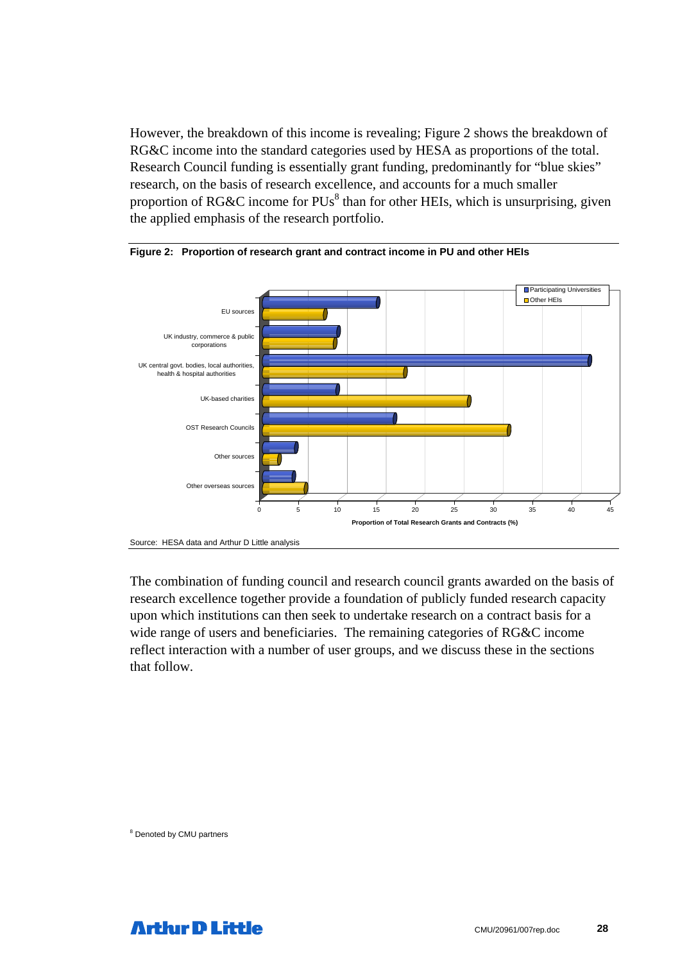However, the breakdown of this income is revealing; Figure 2 shows the breakdown of RG&C income into the standard categories used by HESA as proportions of the total. Research Council funding is essentially grant funding, predominantly for "blue skies" research, on the basis of research excellence, and accounts for a much smaller proportion of RG&C income for PUs<sup>8</sup> than for other HEIs, which is unsurprising, given the applied emphasis of the research portfolio.





The combination of funding council and research council grants awarded on the basis of research excellence together provide a foundation of publicly funded research capacity upon which institutions can then seek to undertake research on a contract basis for a wide range of users and beneficiaries. The remaining categories of RG&C income reflect interaction with a number of user groups, and we discuss these in the sections that follow.

<sup>8</sup> Denoted by CMU partners

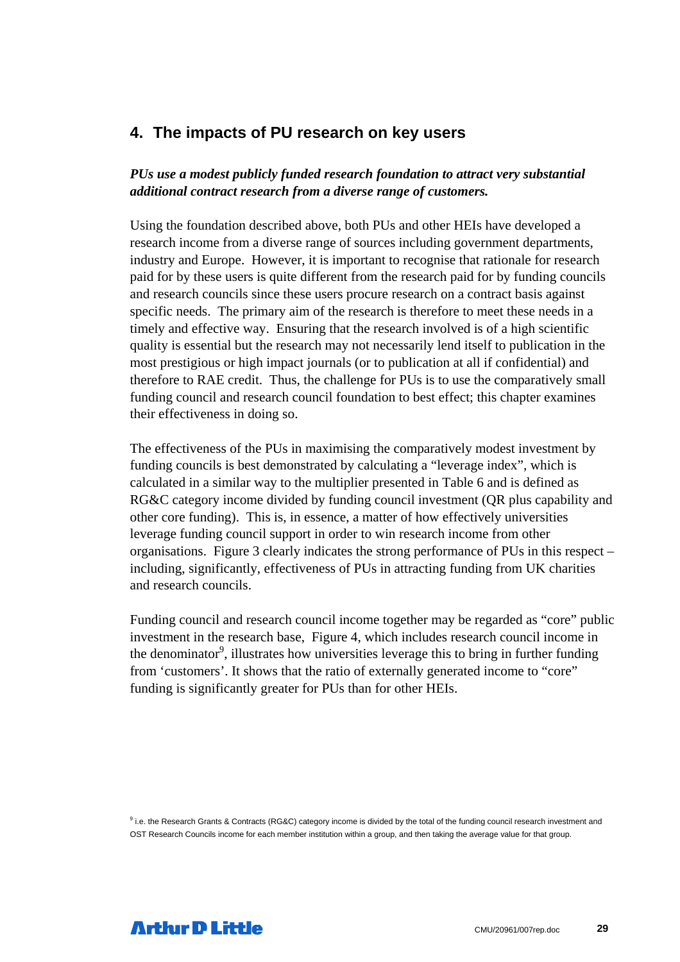### **4. The impacts of PU research on key users**

*PUs use a modest publicly funded research foundation to attract very substantial additional contract research from a diverse range of customers.* 

Using the foundation described above, both PUs and other HEIs have developed a research income from a diverse range of sources including government departments, industry and Europe. However, it is important to recognise that rationale for research paid for by these users is quite different from the research paid for by funding councils and research councils since these users procure research on a contract basis against specific needs. The primary aim of the research is therefore to meet these needs in a timely and effective way. Ensuring that the research involved is of a high scientific quality is essential but the research may not necessarily lend itself to publication in the most prestigious or high impact journals (or to publication at all if confidential) and therefore to RAE credit. Thus, the challenge for PUs is to use the comparatively small funding council and research council foundation to best effect; this chapter examines their effectiveness in doing so.

The effectiveness of the PUs in maximising the comparatively modest investment by funding councils is best demonstrated by calculating a "leverage index", which is calculated in a similar way to the multiplier presented in Table 6 and is defined as RG&C category income divided by funding council investment (QR plus capability and other core funding). This is, in essence, a matter of how effectively universities leverage funding council support in order to win research income from other organisations. Figure 3 clearly indicates the strong performance of PUs in this respect – including, significantly, effectiveness of PUs in attracting funding from UK charities and research councils.

Funding council and research council income together may be regarded as "core" public investment in the research base, Figure 4, which includes research council income in the denominator<sup>9</sup>, illustrates how universities leverage this to bring in further funding from 'customers'. It shows that the ratio of externally generated income to "core" funding is significantly greater for PUs than for other HEIs.

<sup>9</sup> i.e. the Research Grants & Contracts (RG&C) category income is divided by the total of the funding council research investment and OST Research Councils income for each member institution within a group, and then taking the average value for that group.

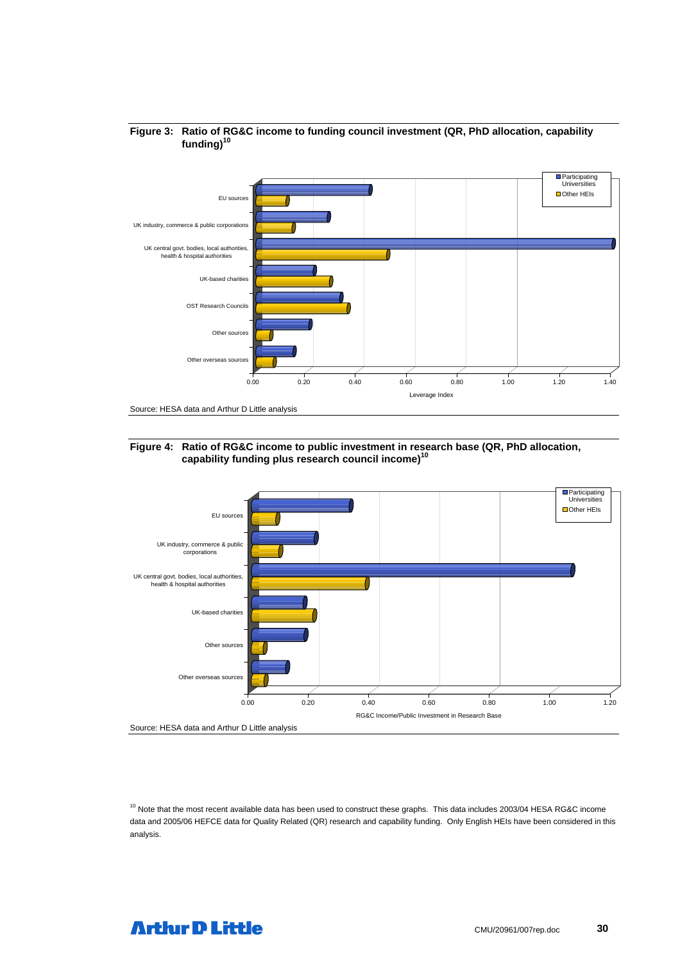

#### **Figure 3: Ratio of RG&C income to funding council investment (QR, PhD allocation, capability**  funding)<sup>10</sup>

Source: HESA data and Arthur D Little analysis

#### **Figure 4: Ratio of RG&C income to public investment in research base (QR, PhD allocation, capability funding plus research council income)10**



<sup>10</sup> Note that the most recent available data has been used to construct these graphs. This data includes 2003/04 HESA RG&C income data and 2005/06 HEFCE data for Quality Related (QR) research and capability funding. Only English HEIs have been considered in this analysis.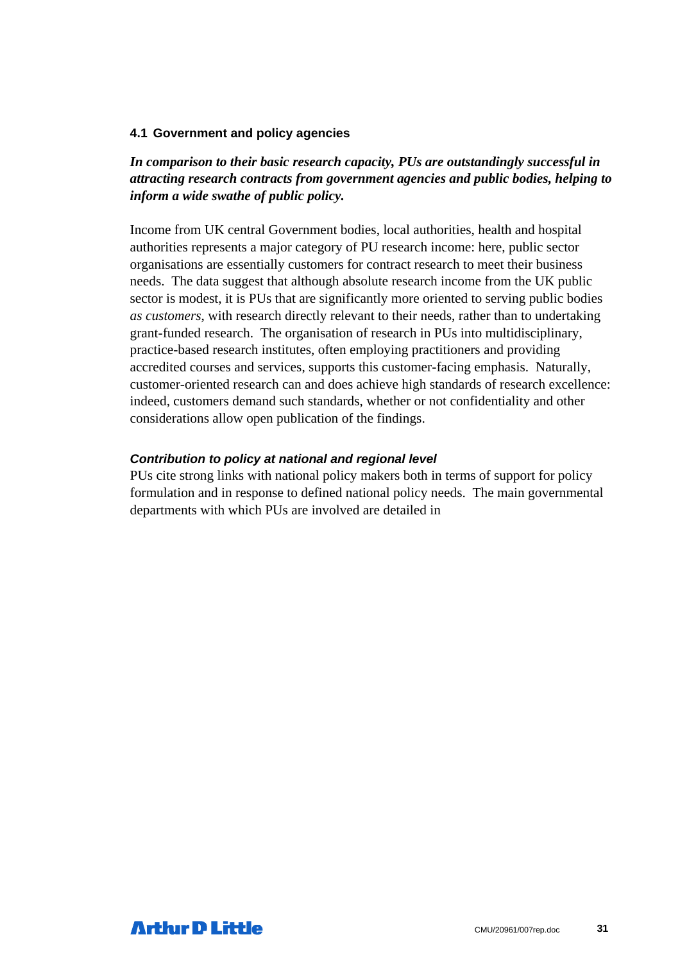#### **4.1 Government and policy agencies**

### *In comparison to their basic research capacity, PUs are outstandingly successful in attracting research contracts from government agencies and public bodies, helping to inform a wide swathe of public policy.*

Income from UK central Government bodies, local authorities, health and hospital authorities represents a major category of PU research income: here, public sector organisations are essentially customers for contract research to meet their business needs. The data suggest that although absolute research income from the UK public sector is modest, it is PUs that are significantly more oriented to serving public bodies *as customers*, with research directly relevant to their needs, rather than to undertaking grant-funded research. The organisation of research in PUs into multidisciplinary, practice-based research institutes, often employing practitioners and providing accredited courses and services, supports this customer-facing emphasis. Naturally, customer-oriented research can and does achieve high standards of research excellence: indeed, customers demand such standards, whether or not confidentiality and other considerations allow open publication of the findings.

### *Contribution to policy at national and regional level*

PUs cite strong links with national policy makers both in terms of support for policy formulation and in response to defined national policy needs. The main governmental departments with which PUs are involved are detailed in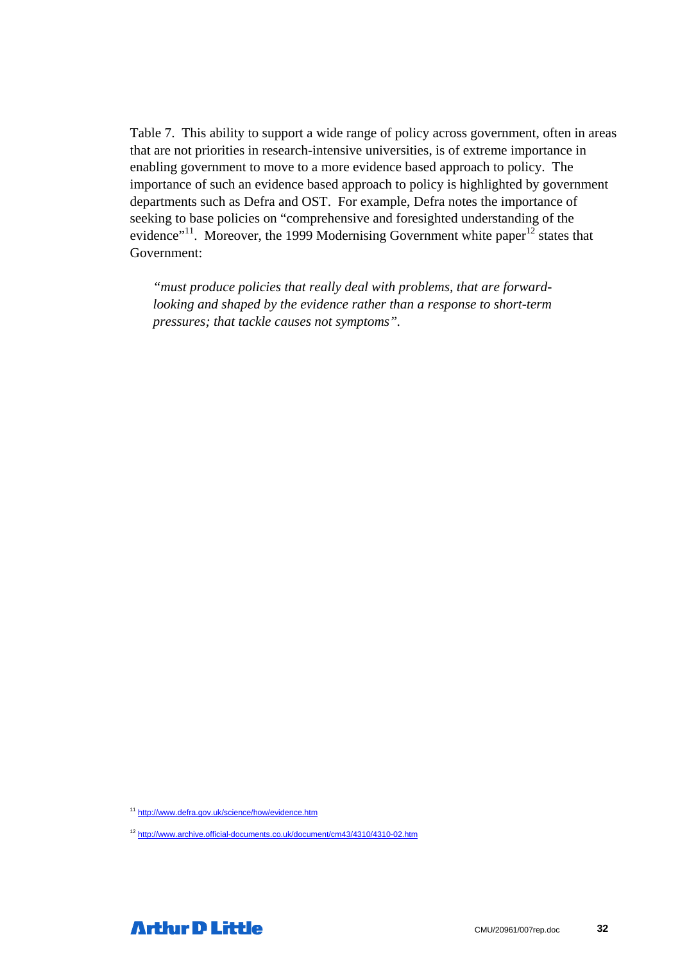Table 7. This ability to support a wide range of policy across government, often in areas that are not priorities in research-intensive universities, is of extreme importance in enabling government to move to a more evidence based approach to policy. The importance of such an evidence based approach to policy is highlighted by government departments such as Defra and OST. For example, Defra notes the importance of seeking to base policies on "comprehensive and foresighted understanding of the evidence"<sup>11</sup>. Moreover, the 1999 Modernising Government white paper<sup>12</sup> states that Government:

*"must produce policies that really deal with problems, that are forwardlooking and shaped by the evidence rather than a response to short-term pressures; that tackle causes not symptoms".* 



<sup>11</sup> http://www.defra.gov.uk/science/how/evidence.htm

<sup>12</sup> http://www.archive.official-documents.co.uk/document/cm43/4310/4310-02.htm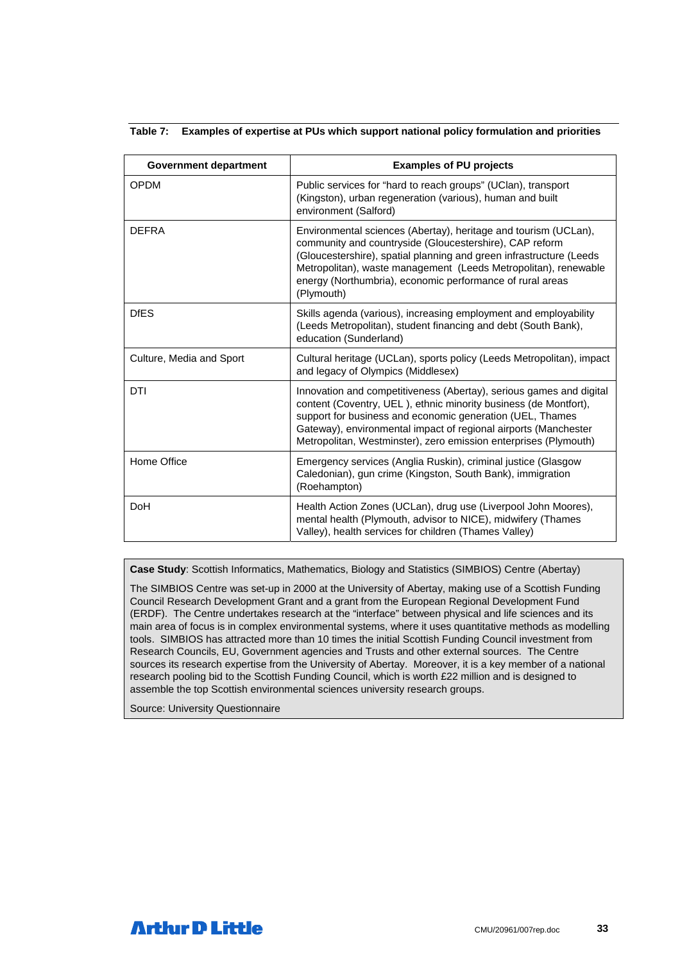#### **Table 7: Examples of expertise at PUs which support national policy formulation and priorities**

| <b>Government department</b> | <b>Examples of PU projects</b>                                                                                                                                                                                                                                                                                                                  |
|------------------------------|-------------------------------------------------------------------------------------------------------------------------------------------------------------------------------------------------------------------------------------------------------------------------------------------------------------------------------------------------|
| <b>OPDM</b>                  | Public services for "hard to reach groups" (UClan), transport<br>(Kingston), urban regeneration (various), human and built<br>environment (Salford)                                                                                                                                                                                             |
| <b>DEFRA</b>                 | Environmental sciences (Abertay), heritage and tourism (UCLan),<br>community and countryside (Gloucestershire), CAP reform<br>(Gloucestershire), spatial planning and green infrastructure (Leeds<br>Metropolitan), waste management (Leeds Metropolitan), renewable<br>energy (Northumbria), economic performance of rural areas<br>(Plymouth) |
| <b>DfES</b>                  | Skills agenda (various), increasing employment and employability<br>(Leeds Metropolitan), student financing and debt (South Bank),<br>education (Sunderland)                                                                                                                                                                                    |
| Culture, Media and Sport     | Cultural heritage (UCLan), sports policy (Leeds Metropolitan), impact<br>and legacy of Olympics (Middlesex)                                                                                                                                                                                                                                     |
| DTI                          | Innovation and competitiveness (Abertay), serious games and digital<br>content (Coventry, UEL), ethnic minority business (de Montfort),<br>support for business and economic generation (UEL, Thames<br>Gateway), environmental impact of regional airports (Manchester<br>Metropolitan, Westminster), zero emission enterprises (Plymouth)     |
| Home Office                  | Emergency services (Anglia Ruskin), criminal justice (Glasgow<br>Caledonian), gun crime (Kingston, South Bank), immigration<br>(Roehampton)                                                                                                                                                                                                     |
| <b>DoH</b>                   | Health Action Zones (UCLan), drug use (Liverpool John Moores),<br>mental health (Plymouth, advisor to NICE), midwifery (Thames<br>Valley), health services for children (Thames Valley)                                                                                                                                                         |

**Case Study**: Scottish Informatics, Mathematics, Biology and Statistics (SIMBIOS) Centre (Abertay)

The SIMBIOS Centre was set-up in 2000 at the University of Abertay, making use of a Scottish Funding Council Research Development Grant and a grant from the European Regional Development Fund (ERDF). The Centre undertakes research at the "interface" between physical and life sciences and its main area of focus is in complex environmental systems, where it uses quantitative methods as modelling tools. SIMBIOS has attracted more than 10 times the initial Scottish Funding Council investment from Research Councils, EU, Government agencies and Trusts and other external sources. The Centre sources its research expertise from the University of Abertay. Moreover, it is a key member of a national research pooling bid to the Scottish Funding Council, which is worth £22 million and is designed to assemble the top Scottish environmental sciences university research groups.

Source: University Questionnaire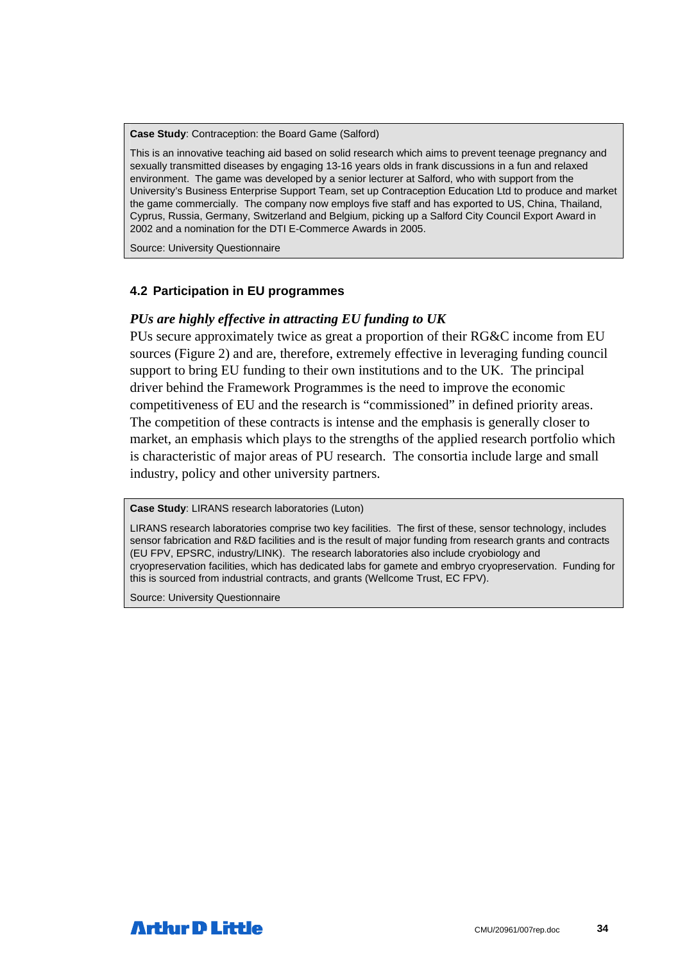**Case Study**: Contraception: the Board Game (Salford)

This is an innovative teaching aid based on solid research which aims to prevent teenage pregnancy and sexually transmitted diseases by engaging 13-16 years olds in frank discussions in a fun and relaxed environment. The game was developed by a senior lecturer at Salford, who with support from the University's Business Enterprise Support Team, set up Contraception Education Ltd to produce and market the game commercially. The company now employs five staff and has exported to US, China, Thailand, Cyprus, Russia, Germany, Switzerland and Belgium, picking up a Salford City Council Export Award in 2002 and a nomination for the DTI E-Commerce Awards in 2005.

Source: University Questionnaire

#### **4.2 Participation in EU programmes**

#### *PUs are highly effective in attracting EU funding to UK*

PUs secure approximately twice as great a proportion of their RG&C income from EU sources (Figure 2) and are, therefore, extremely effective in leveraging funding council support to bring EU funding to their own institutions and to the UK. The principal driver behind the Framework Programmes is the need to improve the economic competitiveness of EU and the research is "commissioned" in defined priority areas. The competition of these contracts is intense and the emphasis is generally closer to market, an emphasis which plays to the strengths of the applied research portfolio which is characteristic of major areas of PU research. The consortia include large and small industry, policy and other university partners.

**Case Study**: LIRANS research laboratories (Luton)

LIRANS research laboratories comprise two key facilities. The first of these, sensor technology, includes sensor fabrication and R&D facilities and is the result of major funding from research grants and contracts (EU FPV, EPSRC, industry/LINK). The research laboratories also include cryobiology and cryopreservation facilities, which has dedicated labs for gamete and embryo cryopreservation. Funding for this is sourced from industrial contracts, and grants (Wellcome Trust, EC FPV).

Source: University Questionnaire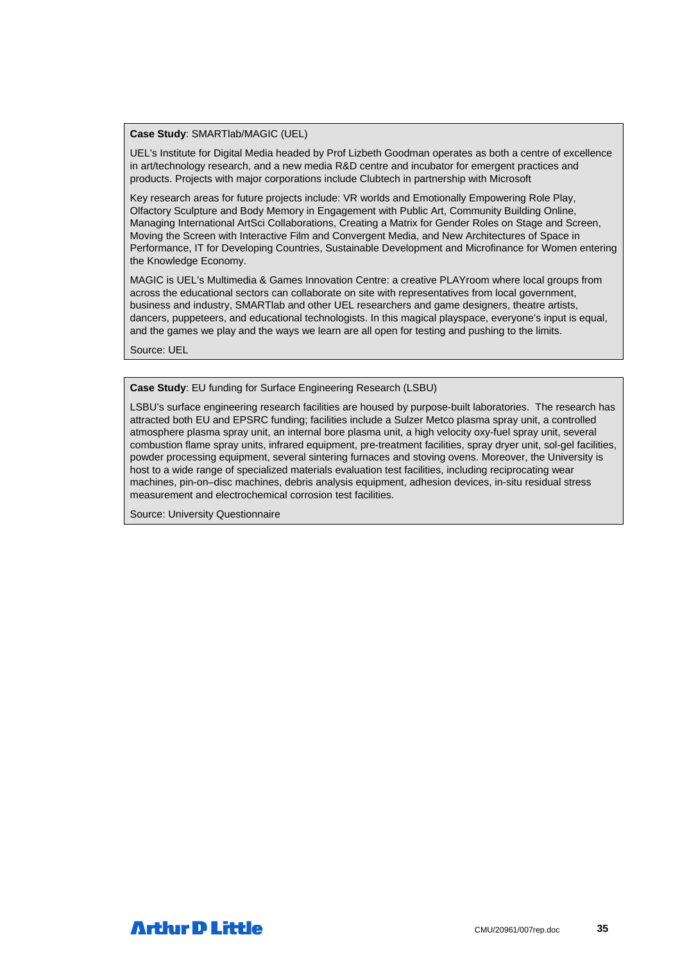#### **Case Study**: SMARTlab/MAGIC (UEL)

UEL's Institute for Digital Media headed by Prof Lizbeth Goodman operates as both a centre of excellence in art/technology research, and a new media R&D centre and incubator for emergent practices and products. Projects with major corporations include Clubtech in partnership with Microsoft

Key research areas for future projects include: VR worlds and Emotionally Empowering Role Play, Olfactory Sculpture and Body Memory in Engagement with Public Art, Community Building Online, Managing International ArtSci Collaborations, Creating a Matrix for Gender Roles on Stage and Screen, Moving the Screen with Interactive Film and Convergent Media, and New Architectures of Space in Performance, IT for Developing Countries, Sustainable Development and Microfinance for Women entering the Knowledge Economy.

MAGIC is UEL's Multimedia & Games Innovation Centre: a creative PLAYroom where local groups from across the educational sectors can collaborate on site with representatives from local government, business and industry, SMARTlab and other UEL researchers and game designers, theatre artists, dancers, puppeteers, and educational technologists. In this magical playspace, everyone's input is equal, and the games we play and the ways we learn are all open for testing and pushing to the limits.

Source: UEL

**Case Study**: EU funding for Surface Engineering Research (LSBU)

LSBU's surface engineering research facilities are housed by purpose-built laboratories. The research has attracted both EU and EPSRC funding; facilities include a Sulzer Metco plasma spray unit, a controlled atmosphere plasma spray unit, an internal bore plasma unit, a high velocity oxy-fuel spray unit, several combustion flame spray units, infrared equipment, pre-treatment facilities, spray dryer unit, sol-gel facilities, powder processing equipment, several sintering furnaces and stoving ovens. Moreover, the University is host to a wide range of specialized materials evaluation test facilities, including reciprocating wear machines, pin-on–disc machines, debris analysis equipment, adhesion devices, in-situ residual stress measurement and electrochemical corrosion test facilities.

Source: University Questionnaire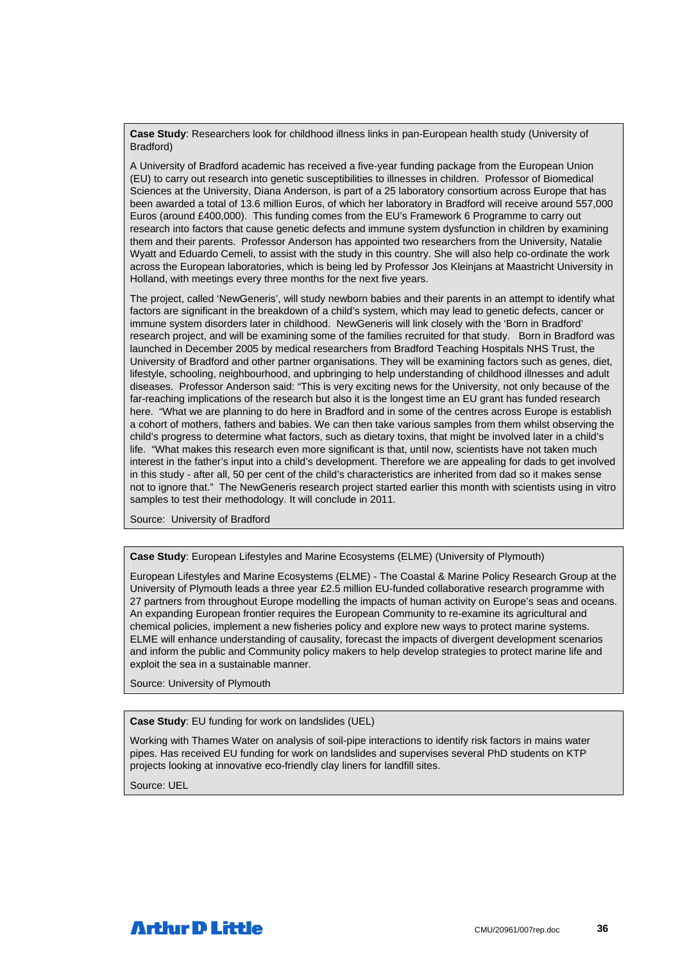**Case Study**: Researchers look for childhood illness links in pan-European health study (University of Bradford)

A University of Bradford academic has received a five-year funding package from the European Union (EU) to carry out research into genetic susceptibilities to illnesses in children. Professor of Biomedical Sciences at the University, Diana Anderson, is part of a 25 laboratory consortium across Europe that has been awarded a total of 13.6 million Euros, of which her laboratory in Bradford will receive around 557,000 Euros (around £400,000). This funding comes from the EU's Framework 6 Programme to carry out research into factors that cause genetic defects and immune system dysfunction in children by examining them and their parents. Professor Anderson has appointed two researchers from the University, Natalie Wyatt and Eduardo Cemeli, to assist with the study in this country. She will also help co-ordinate the work across the European laboratories, which is being led by Professor Jos Kleinjans at Maastricht University in Holland, with meetings every three months for the next five years.

The project, called 'NewGeneris', will study newborn babies and their parents in an attempt to identify what factors are significant in the breakdown of a child's system, which may lead to genetic defects, cancer or immune system disorders later in childhood. NewGeneris will link closely with the 'Born in Bradford' research project, and will be examining some of the families recruited for that study. Born in Bradford was launched in December 2005 by medical researchers from Bradford Teaching Hospitals NHS Trust, the University of Bradford and other partner organisations. They will be examining factors such as genes, diet, lifestyle, schooling, neighbourhood, and upbringing to help understanding of childhood illnesses and adult diseases. Professor Anderson said: "This is very exciting news for the University, not only because of the far-reaching implications of the research but also it is the longest time an EU grant has funded research here. "What we are planning to do here in Bradford and in some of the centres across Europe is establish a cohort of mothers, fathers and babies. We can then take various samples from them whilst observing the child's progress to determine what factors, such as dietary toxins, that might be involved later in a child's life. "What makes this research even more significant is that, until now, scientists have not taken much interest in the father's input into a child's development. Therefore we are appealing for dads to get involved in this study - after all, 50 per cent of the child's characteristics are inherited from dad so it makes sense not to ignore that." The NewGeneris research project started earlier this month with scientists using in vitro samples to test their methodology. It will conclude in 2011.

Source: University of Bradford

**Case Study**: European Lifestyles and Marine Ecosystems (ELME) (University of Plymouth)

European Lifestyles and Marine Ecosystems (ELME) - The Coastal & Marine Policy Research Group at the University of Plymouth leads a three year £2.5 million EU-funded collaborative research programme with 27 partners from throughout Europe modelling the impacts of human activity on Europe's seas and oceans. An expanding European frontier requires the European Community to re-examine its agricultural and chemical policies, implement a new fisheries policy and explore new ways to protect marine systems. ELME will enhance understanding of causality, forecast the impacts of divergent development scenarios and inform the public and Community policy makers to help develop strategies to protect marine life and exploit the sea in a sustainable manner.

Source: University of Plymouth

**Case Study**: EU funding for work on landslides (UEL)

Working with Thames Water on analysis of soil-pipe interactions to identify risk factors in mains water pipes. Has received EU funding for work on landslides and supervises several PhD students on KTP projects looking at innovative eco-friendly clay liners for landfill sites.

Source: UEL

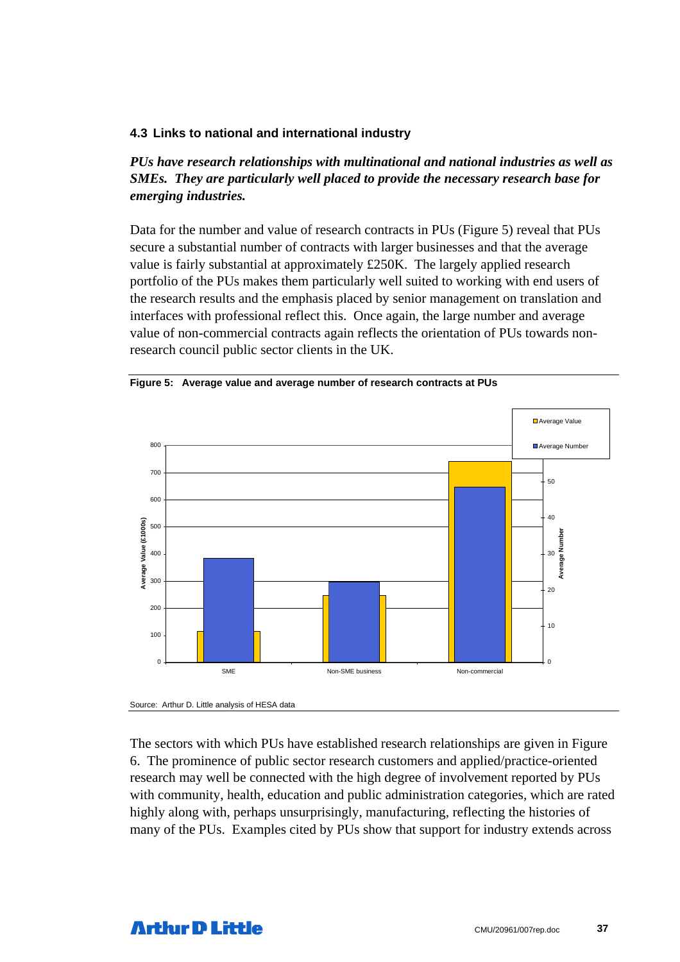#### **4.3 Links to national and international industry**

*PUs have research relationships with multinational and national industries as well as SMEs. They are particularly well placed to provide the necessary research base for emerging industries.* 

Data for the number and value of research contracts in PUs (Figure 5) reveal that PUs secure a substantial number of contracts with larger businesses and that the average value is fairly substantial at approximately £250K. The largely applied research portfolio of the PUs makes them particularly well suited to working with end users of the research results and the emphasis placed by senior management on translation and interfaces with professional reflect this. Once again, the large number and average value of non-commercial contracts again reflects the orientation of PUs towards nonresearch council public sector clients in the UK.





The sectors with which PUs have established research relationships are given in Figure 6. The prominence of public sector research customers and applied/practice-oriented research may well be connected with the high degree of involvement reported by PUs with community, health, education and public administration categories, which are rated highly along with, perhaps unsurprisingly, manufacturing, reflecting the histories of many of the PUs. Examples cited by PUs show that support for industry extends across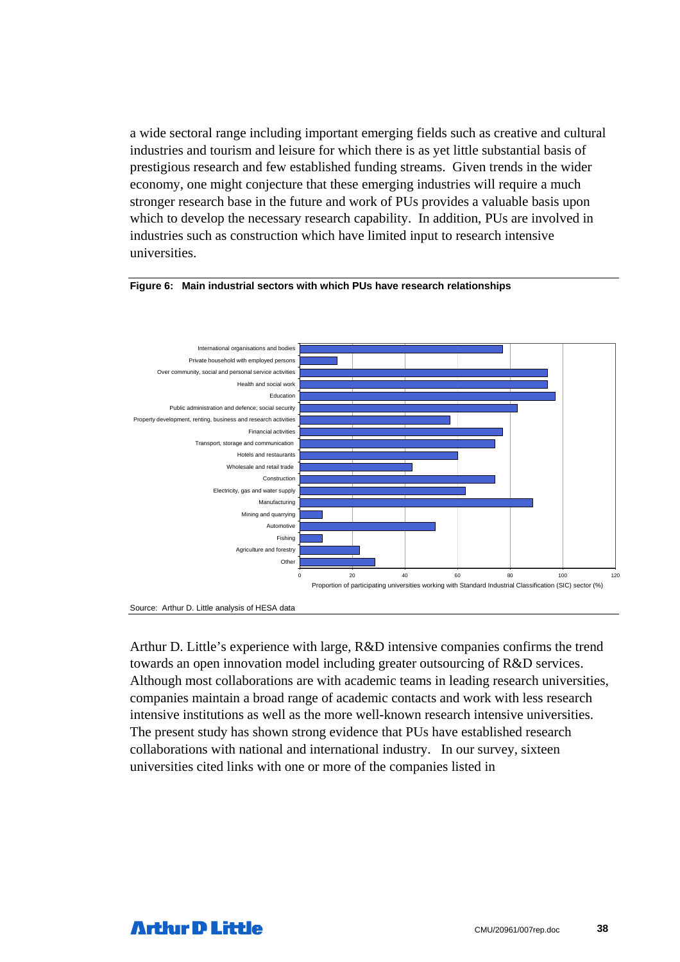a wide sectoral range including important emerging fields such as creative and cultural industries and tourism and leisure for which there is as yet little substantial basis of prestigious research and few established funding streams. Given trends in the wider economy, one might conjecture that these emerging industries will require a much stronger research base in the future and work of PUs provides a valuable basis upon which to develop the necessary research capability. In addition, PUs are involved in industries such as construction which have limited input to research intensive universities.



#### **Figure 6: Main industrial sectors with which PUs have research relationships**

Arthur D. Little's experience with large, R&D intensive companies confirms the trend towards an open innovation model including greater outsourcing of R&D services. Although most collaborations are with academic teams in leading research universities, companies maintain a broad range of academic contacts and work with less research intensive institutions as well as the more well-known research intensive universities. The present study has shown strong evidence that PUs have established research collaborations with national and international industry. In our survey, sixteen universities cited links with one or more of the companies listed in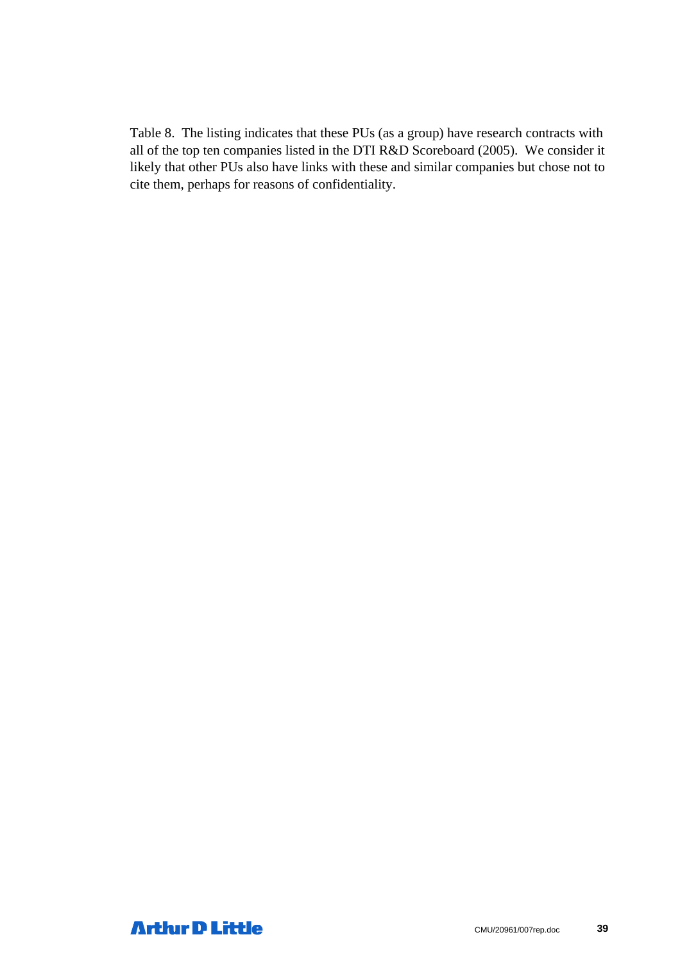Table 8. The listing indicates that these PUs (as a group) have research contracts with all of the top ten companies listed in the DTI R&D Scoreboard (2005). We consider it likely that other PUs also have links with these and similar companies but chose not to cite them, perhaps for reasons of confidentiality.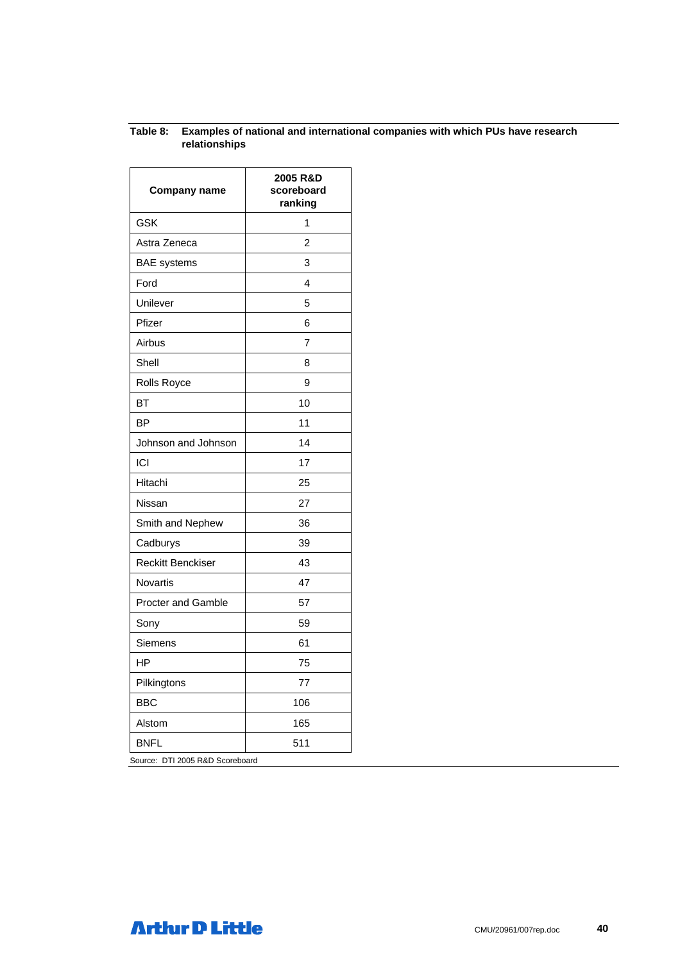#### **Table 8: Examples of national and international companies with which PUs have research relationships**

| Company name                  | 2005 R&D<br>scoreboard<br>ranking |
|-------------------------------|-----------------------------------|
| <b>GSK</b>                    | 1                                 |
| Astra Zeneca                  | 2                                 |
| <b>BAE</b> systems            | 3                                 |
| Ford                          | 4                                 |
| Unilever                      | 5                                 |
| Pfizer                        | 6                                 |
| Airbus                        | 7                                 |
| Shell                         | 8                                 |
| Rolls Royce                   | 9                                 |
| <b>BT</b>                     | 10                                |
| BP                            | 11                                |
| Johnson and Johnson           | 14                                |
| ICI                           | 17                                |
| Hitachi                       | 25                                |
| Nissan                        | 27                                |
| Smith and Nephew              | 36                                |
| Cadburys                      | 39                                |
| <b>Reckitt Benckiser</b>      | 43                                |
| <b>Novartis</b>               | 47                                |
| Procter and Gamble            | 57                                |
| Sony                          | 59                                |
| Siemens                       | 61                                |
| HP                            | 75                                |
| Pilkingtons                   | 77                                |
| <b>BBC</b>                    | 106                               |
| Alstom                        | 165                               |
| <b>BNFL</b>                   | 511                               |
| DTI 2005 DRD CA<br>a ha a sal |                                   |

Source: DTI 2005 R&D Scoreboard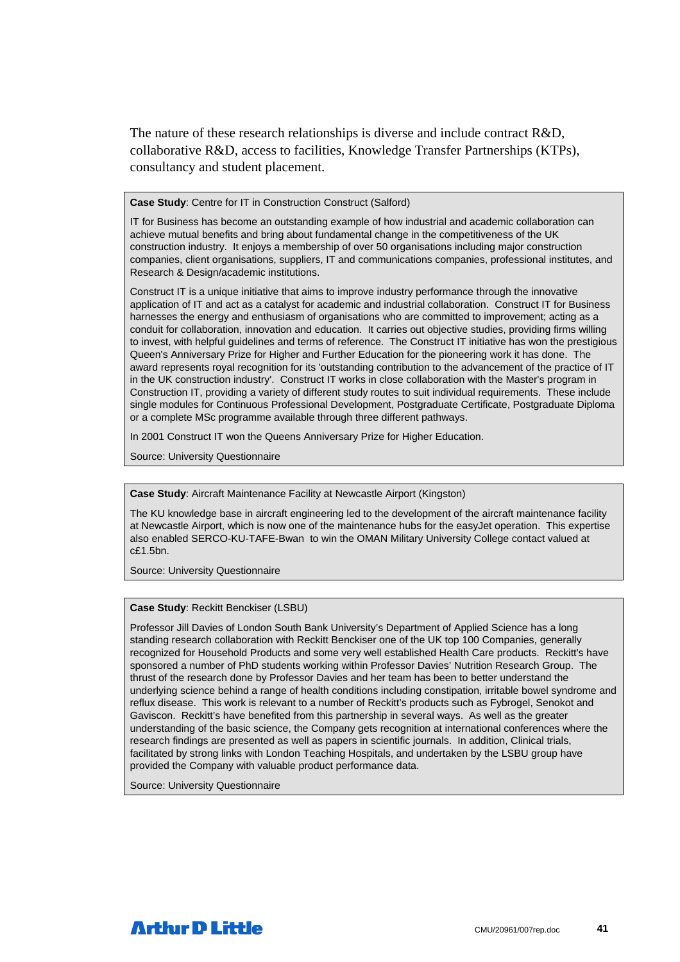The nature of these research relationships is diverse and include contract R&D, collaborative R&D, access to facilities, Knowledge Transfer Partnerships (KTPs), consultancy and student placement.

**Case Study**: Centre for IT in Construction Construct (Salford)

IT for Business has become an outstanding example of how industrial and academic collaboration can achieve mutual benefits and bring about fundamental change in the competitiveness of the UK construction industry. It enjoys a membership of over 50 organisations including major construction companies, client organisations, suppliers, IT and communications companies, professional institutes, and Research & Design/academic institutions.

Construct IT is a unique initiative that aims to improve industry performance through the innovative application of IT and act as a catalyst for academic and industrial collaboration. Construct IT for Business harnesses the energy and enthusiasm of organisations who are committed to improvement; acting as a conduit for collaboration, innovation and education. It carries out objective studies, providing firms willing to invest, with helpful guidelines and terms of reference. The Construct IT initiative has won the prestigious Queen's Anniversary Prize for Higher and Further Education for the pioneering work it has done. The award represents royal recognition for its 'outstanding contribution to the advancement of the practice of IT in the UK construction industry'. Construct IT works in close collaboration with the Master's program in Construction IT, providing a variety of different study routes to suit individual requirements. These include single modules for Continuous Professional Development, Postgraduate Certificate, Postgraduate Diploma or a complete MSc programme available through three different pathways.

In 2001 Construct IT won the Queens Anniversary Prize for Higher Education.

Source: University Questionnaire

**Case Study**: Aircraft Maintenance Facility at Newcastle Airport (Kingston)

The KU knowledge base in aircraft engineering led to the development of the aircraft maintenance facility at Newcastle Airport, which is now one of the maintenance hubs for the easyJet operation. This expertise also enabled SERCO-KU-TAFE-Bwan to win the OMAN Military University College contact valued at  $cf1.5$ bn.

Source: University Questionnaire

#### **Case Study**: Reckitt Benckiser (LSBU)

Professor Jill Davies of London South Bank University's Department of Applied Science has a long standing research collaboration with Reckitt Benckiser one of the UK top 100 Companies, generally recognized for Household Products and some very well established Health Care products. Reckitt's have sponsored a number of PhD students working within Professor Davies' Nutrition Research Group. The thrust of the research done by Professor Davies and her team has been to better understand the underlying science behind a range of health conditions including constipation, irritable bowel syndrome and reflux disease. This work is relevant to a number of Reckitt's products such as Fybrogel, Senokot and Gaviscon. Reckitt's have benefited from this partnership in several ways. As well as the greater understanding of the basic science, the Company gets recognition at international conferences where the research findings are presented as well as papers in scientific journals. In addition, Clinical trials, facilitated by strong links with London Teaching Hospitals, and undertaken by the LSBU group have provided the Company with valuable product performance data.

Source: University Questionnaire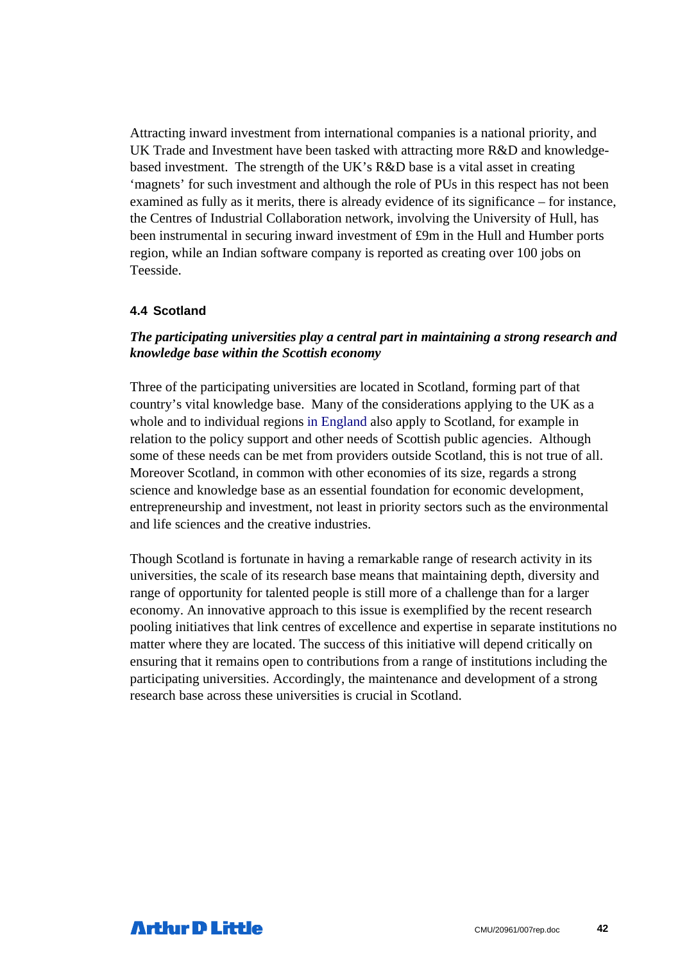Attracting inward investment from international companies is a national priority, and UK Trade and Investment have been tasked with attracting more R&D and knowledgebased investment. The strength of the UK's R&D base is a vital asset in creating 'magnets' for such investment and although the role of PUs in this respect has not been examined as fully as it merits, there is already evidence of its significance – for instance, the Centres of Industrial Collaboration network, involving the University of Hull, has been instrumental in securing inward investment of £9m in the Hull and Humber ports region, while an Indian software company is reported as creating over 100 jobs on Teesside.

#### **4.4 Scotland**

#### *The participating universities play a central part in maintaining a strong research and knowledge base within the Scottish economy*

Three of the participating universities are located in Scotland, forming part of that country's vital knowledge base. Many of the considerations applying to the UK as a whole and to individual regions in England also apply to Scotland, for example in relation to the policy support and other needs of Scottish public agencies. Although some of these needs can be met from providers outside Scotland, this is not true of all. Moreover Scotland, in common with other economies of its size, regards a strong science and knowledge base as an essential foundation for economic development, entrepreneurship and investment, not least in priority sectors such as the environmental and life sciences and the creative industries.

Though Scotland is fortunate in having a remarkable range of research activity in its universities, the scale of its research base means that maintaining depth, diversity and range of opportunity for talented people is still more of a challenge than for a larger economy. An innovative approach to this issue is exemplified by the recent research pooling initiatives that link centres of excellence and expertise in separate institutions no matter where they are located. The success of this initiative will depend critically on ensuring that it remains open to contributions from a range of institutions including the participating universities. Accordingly, the maintenance and development of a strong research base across these universities is crucial in Scotland.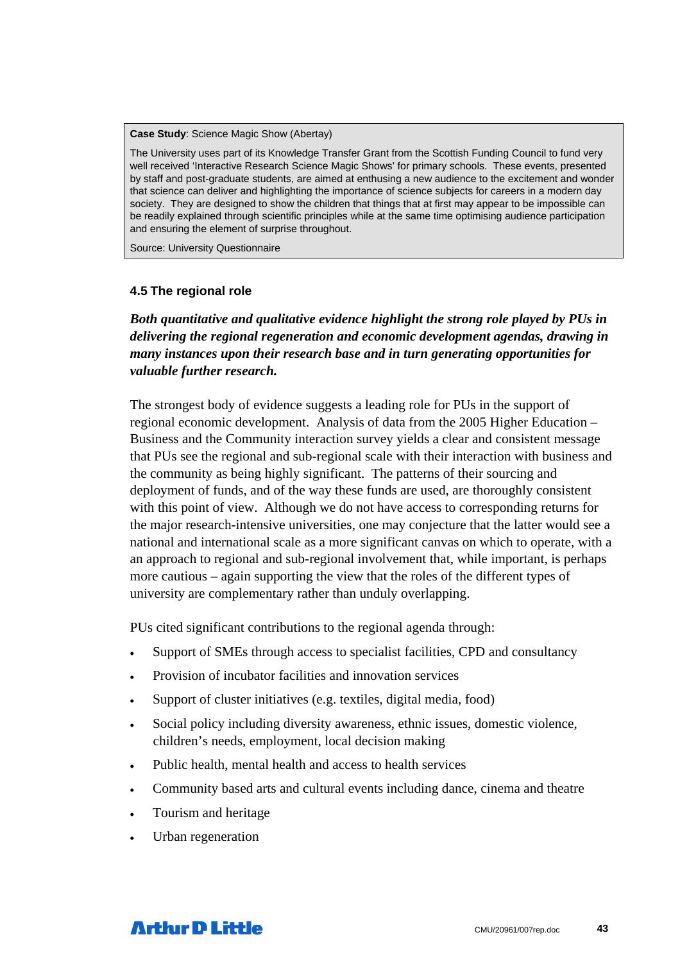#### **Case Study**: Science Magic Show (Abertay)

The University uses part of its Knowledge Transfer Grant from the Scottish Funding Council to fund very well received 'Interactive Research Science Magic Shows' for primary schools. These events, presented by staff and post-graduate students, are aimed at enthusing a new audience to the excitement and wonder that science can deliver and highlighting the importance of science subjects for careers in a modern day society. They are designed to show the children that things that at first may appear to be impossible can be readily explained through scientific principles while at the same time optimising audience participation and ensuring the element of surprise throughout.

Source: University Questionnaire

#### **4.5 The regional role**

*Both quantitative and qualitative evidence highlight the strong role played by PUs in delivering the regional regeneration and economic development agendas, drawing in many instances upon their research base and in turn generating opportunities for valuable further research.* 

The strongest body of evidence suggests a leading role for PUs in the support of regional economic development. Analysis of data from the 2005 Higher Education – Business and the Community interaction survey yields a clear and consistent message that PUs see the regional and sub-regional scale with their interaction with business and the community as being highly significant. The patterns of their sourcing and deployment of funds, and of the way these funds are used, are thoroughly consistent with this point of view. Although we do not have access to corresponding returns for the major research-intensive universities, one may conjecture that the latter would see a national and international scale as a more significant canvas on which to operate, with a an approach to regional and sub-regional involvement that, while important, is perhaps more cautious – again supporting the view that the roles of the different types of university are complementary rather than unduly overlapping.

PUs cited significant contributions to the regional agenda through:

- Support of SMEs through access to specialist facilities, CPD and consultancy
- Provision of incubator facilities and innovation services
- Support of cluster initiatives (e.g. textiles, digital media, food)
- Social policy including diversity awareness, ethnic issues, domestic violence, children's needs, employment, local decision making
- Public health, mental health and access to health services
- Community based arts and cultural events including dance, cinema and theatre
- Tourism and heritage
- Urban regeneration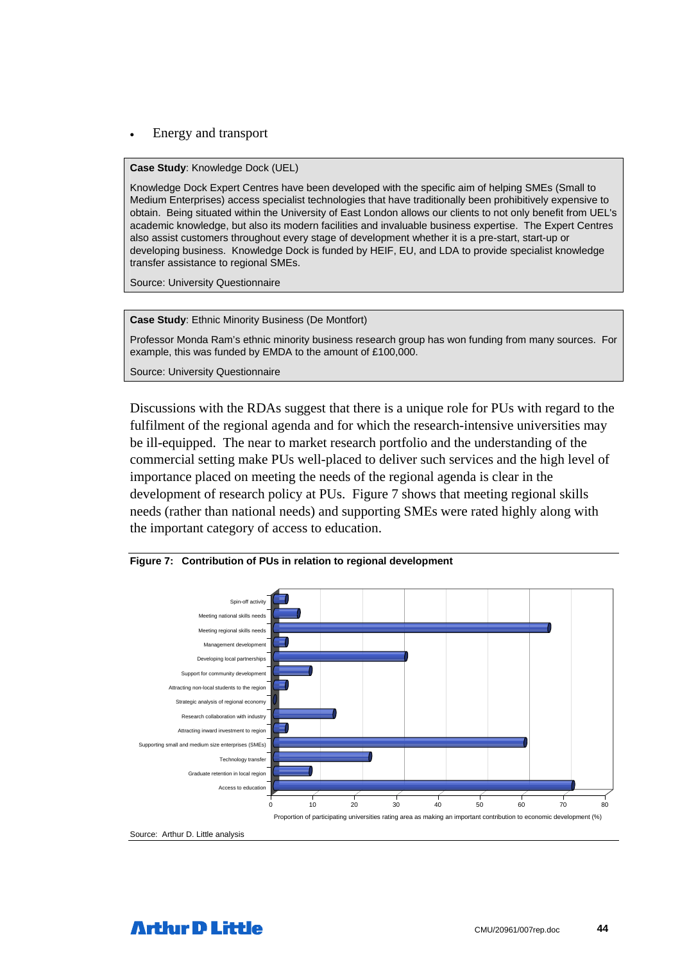• Energy and transport

**Case Study**: Knowledge Dock (UEL)

Knowledge Dock Expert Centres have been developed with the specific aim of helping SMEs (Small to Medium Enterprises) access specialist technologies that have traditionally been prohibitively expensive to obtain. Being situated within the University of East London allows our clients to not only benefit from UEL's academic knowledge, but also its modern facilities and invaluable business expertise. The Expert Centres also assist customers throughout every stage of development whether it is a pre-start, start-up or developing business. Knowledge Dock is funded by HEIF, EU, and LDA to provide specialist knowledge transfer assistance to regional SMEs.

Source: University Questionnaire

**Case Study**: Ethnic Minority Business (De Montfort)

Professor Monda Ram's ethnic minority business research group has won funding from many sources. For example, this was funded by EMDA to the amount of £100,000.

Source: University Questionnaire

Discussions with the RDAs suggest that there is a unique role for PUs with regard to the fulfilment of the regional agenda and for which the research-intensive universities may be ill-equipped. The near to market research portfolio and the understanding of the commercial setting make PUs well-placed to deliver such services and the high level of importance placed on meeting the needs of the regional agenda is clear in the development of research policy at PUs. Figure 7 shows that meeting regional skills needs (rather than national needs) and supporting SMEs were rated highly along with the important category of access to education.



**Figure 7: Contribution of PUs in relation to regional development** 

Source: Arthur D. Little analysis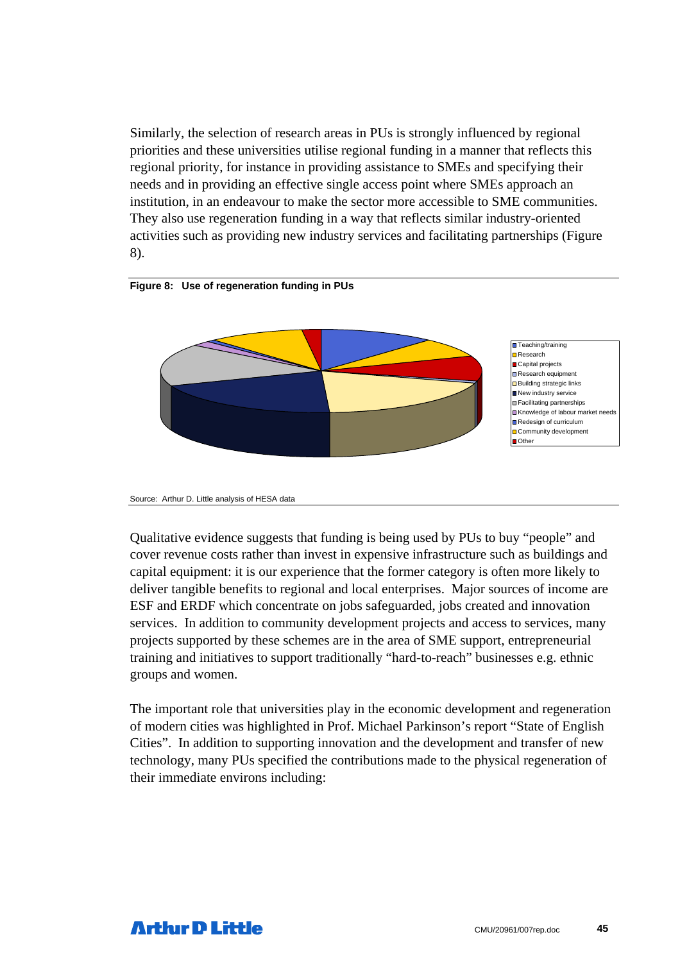Similarly, the selection of research areas in PUs is strongly influenced by regional priorities and these universities utilise regional funding in a manner that reflects this regional priority, for instance in providing assistance to SMEs and specifying their needs and in providing an effective single access point where SMEs approach an institution, in an endeavour to make the sector more accessible to SME communities. They also use regeneration funding in a way that reflects similar industry-oriented activities such as providing new industry services and facilitating partnerships (Figure 8).





Qualitative evidence suggests that funding is being used by PUs to buy "people" and cover revenue costs rather than invest in expensive infrastructure such as buildings and capital equipment: it is our experience that the former category is often more likely to deliver tangible benefits to regional and local enterprises. Major sources of income are ESF and ERDF which concentrate on jobs safeguarded, jobs created and innovation services. In addition to community development projects and access to services, many projects supported by these schemes are in the area of SME support, entrepreneurial training and initiatives to support traditionally "hard-to-reach" businesses e.g. ethnic groups and women.

The important role that universities play in the economic development and regeneration of modern cities was highlighted in Prof. Michael Parkinson's report "State of English Cities". In addition to supporting innovation and the development and transfer of new technology, many PUs specified the contributions made to the physical regeneration of their immediate environs including:

Source: Arthur D. Little analysis of HESA data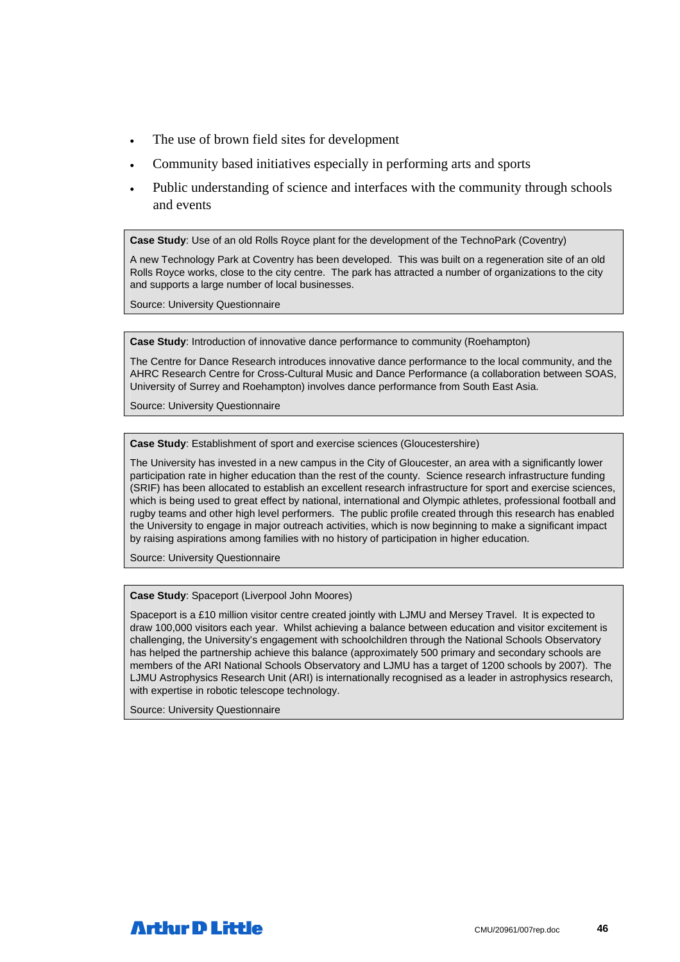- The use of brown field sites for development
- Community based initiatives especially in performing arts and sports
- Public understanding of science and interfaces with the community through schools and events

**Case Study**: Use of an old Rolls Royce plant for the development of the TechnoPark (Coventry)

A new Technology Park at Coventry has been developed. This was built on a regeneration site of an old Rolls Royce works, close to the city centre. The park has attracted a number of organizations to the city and supports a large number of local businesses.

Source: University Questionnaire

**Case Study**: Introduction of innovative dance performance to community (Roehampton)

The Centre for Dance Research introduces innovative dance performance to the local community, and the AHRC Research Centre for Cross-Cultural Music and Dance Performance (a collaboration between SOAS, University of Surrey and Roehampton) involves dance performance from South East Asia.

Source: University Questionnaire

**Case Study**: Establishment of sport and exercise sciences (Gloucestershire)

The University has invested in a new campus in the City of Gloucester, an area with a significantly lower participation rate in higher education than the rest of the county. Science research infrastructure funding (SRIF) has been allocated to establish an excellent research infrastructure for sport and exercise sciences, which is being used to great effect by national, international and Olympic athletes, professional football and rugby teams and other high level performers. The public profile created through this research has enabled the University to engage in major outreach activities, which is now beginning to make a significant impact by raising aspirations among families with no history of participation in higher education.

Source: University Questionnaire

**Case Study**: Spaceport (Liverpool John Moores)

Spaceport is a £10 million visitor centre created jointly with LJMU and Mersey Travel. It is expected to draw 100,000 visitors each year. Whilst achieving a balance between education and visitor excitement is challenging, the University's engagement with schoolchildren through the National Schools Observatory has helped the partnership achieve this balance (approximately 500 primary and secondary schools are members of the ARI National Schools Observatory and LJMU has a target of 1200 schools by 2007). The LJMU Astrophysics Research Unit (ARI) is internationally recognised as a leader in astrophysics research, with expertise in robotic telescope technology.

Source: University Questionnaire

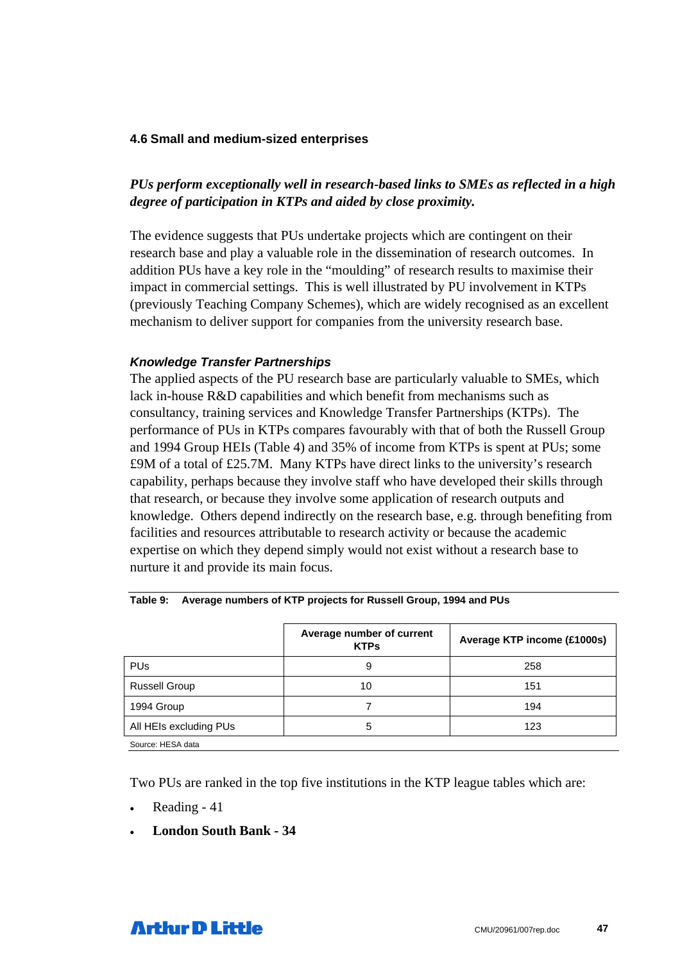#### **4.6 Small and medium-sized enterprises**

### *PUs perform exceptionally well in research-based links to SMEs as reflected in a high degree of participation in KTPs and aided by close proximity.*

The evidence suggests that PUs undertake projects which are contingent on their research base and play a valuable role in the dissemination of research outcomes. In addition PUs have a key role in the "moulding" of research results to maximise their impact in commercial settings. This is well illustrated by PU involvement in KTPs (previously Teaching Company Schemes), which are widely recognised as an excellent mechanism to deliver support for companies from the university research base.

#### *Knowledge Transfer Partnerships*

The applied aspects of the PU research base are particularly valuable to SMEs, which lack in-house R&D capabilities and which benefit from mechanisms such as consultancy, training services and Knowledge Transfer Partnerships (KTPs). The performance of PUs in KTPs compares favourably with that of both the Russell Group and 1994 Group HEIs (Table 4) and 35% of income from KTPs is spent at PUs; some £9M of a total of £25.7M. Many KTPs have direct links to the university's research capability, perhaps because they involve staff who have developed their skills through that research, or because they involve some application of research outputs and knowledge. Others depend indirectly on the research base, e.g. through benefiting from facilities and resources attributable to research activity or because the academic expertise on which they depend simply would not exist without a research base to nurture it and provide its main focus.

|                        | Average number of current<br><b>KTPs</b> | Average KTP income (£1000s) |
|------------------------|------------------------------------------|-----------------------------|
| <b>PU<sub>s</sub></b>  | 9                                        | 258                         |
| <b>Russell Group</b>   | 10                                       | 151                         |
| 1994 Group             |                                          | 194                         |
| All HEIs excluding PUs | 5                                        | 123                         |
| Source: HESA data      |                                          |                             |

| Table 9: Average numbers of KTP projects for Russell Group, 1994 and PUs |  |
|--------------------------------------------------------------------------|--|
|                                                                          |  |

Two PUs are ranked in the top five institutions in the KTP league tables which are:

- Reading 41
- **London South Bank 34**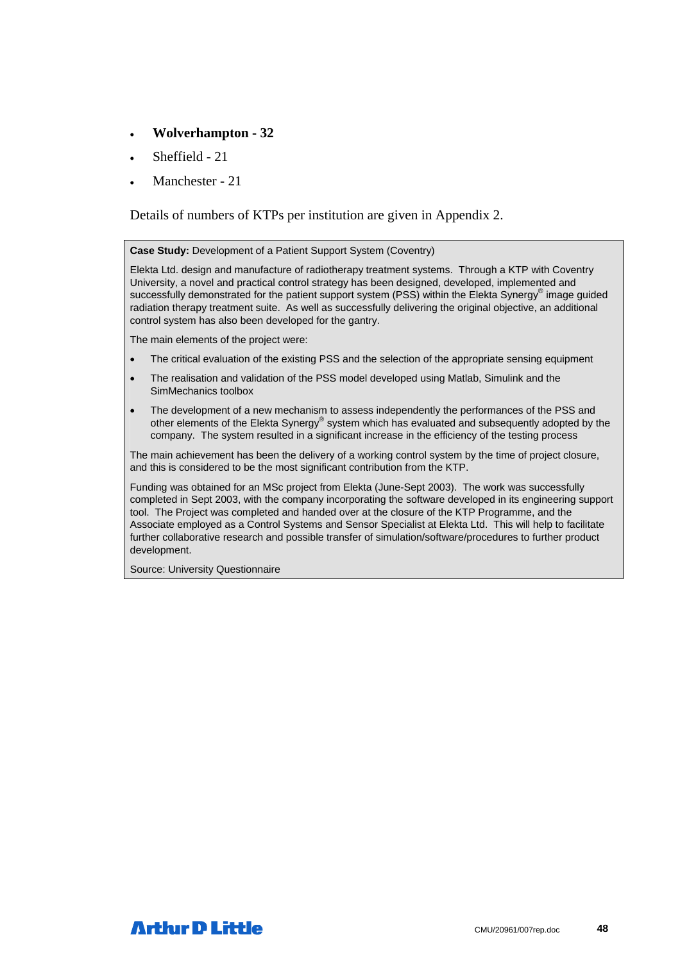- **Wolverhampton 32**
- Sheffield 21
- Manchester 21

Details of numbers of KTPs per institution are given in Appendix 2.

**Case Study:** Development of a Patient Support System (Coventry)

Elekta Ltd. design and manufacture of radiotherapy treatment systems. Through a KTP with Coventry University, a novel and practical control strategy has been designed, developed, implemented and successfully demonstrated for the patient support system (PSS) within the Elekta Synergy® image guided radiation therapy treatment suite. As well as successfully delivering the original objective, an additional control system has also been developed for the gantry.

The main elements of the project were:

- The critical evaluation of the existing PSS and the selection of the appropriate sensing equipment
- The realisation and validation of the PSS model developed using Matlab, Simulink and the SimMechanics toolbox
- The development of a new mechanism to assess independently the performances of the PSS and other elements of the Elekta Synergy® system which has evaluated and subsequently adopted by the company. The system resulted in a significant increase in the efficiency of the testing process

The main achievement has been the delivery of a working control system by the time of project closure, and this is considered to be the most significant contribution from the KTP.

Funding was obtained for an MSc project from Elekta (June-Sept 2003). The work was successfully completed in Sept 2003, with the company incorporating the software developed in its engineering support tool. The Project was completed and handed over at the closure of the KTP Programme, and the Associate employed as a Control Systems and Sensor Specialist at Elekta Ltd. This will help to facilitate further collaborative research and possible transfer of simulation/software/procedures to further product development.

Source: University Questionnaire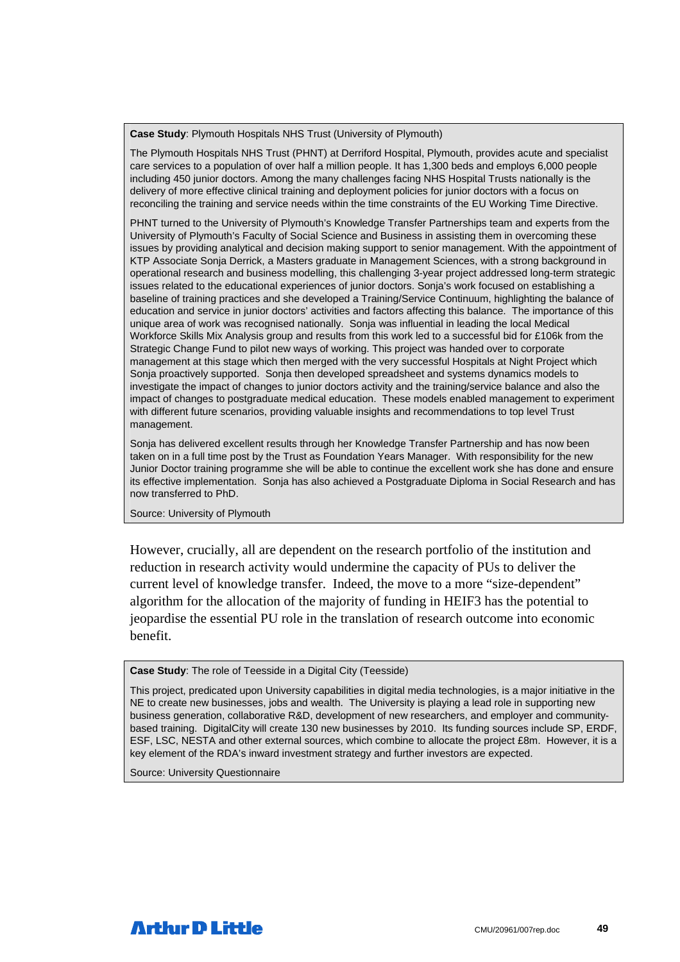#### **Case Study**: Plymouth Hospitals NHS Trust (University of Plymouth)

The Plymouth Hospitals NHS Trust (PHNT) at Derriford Hospital, Plymouth, provides acute and specialist care services to a population of over half a million people. It has 1,300 beds and employs 6,000 people including 450 junior doctors. Among the many challenges facing NHS Hospital Trusts nationally is the delivery of more effective clinical training and deployment policies for junior doctors with a focus on reconciling the training and service needs within the time constraints of the EU Working Time Directive.

PHNT turned to the University of Plymouth's Knowledge Transfer Partnerships team and experts from the University of Plymouth's Faculty of Social Science and Business in assisting them in overcoming these issues by providing analytical and decision making support to senior management. With the appointment of KTP Associate Sonja Derrick, a Masters graduate in Management Sciences, with a strong background in operational research and business modelling, this challenging 3-year project addressed long-term strategic issues related to the educational experiences of junior doctors. Sonja's work focused on establishing a baseline of training practices and she developed a Training/Service Continuum, highlighting the balance of education and service in junior doctors' activities and factors affecting this balance. The importance of this unique area of work was recognised nationally. Sonja was influential in leading the local Medical Workforce Skills Mix Analysis group and results from this work led to a successful bid for £106k from the Strategic Change Fund to pilot new ways of working. This project was handed over to corporate management at this stage which then merged with the very successful Hospitals at Night Project which Sonja proactively supported. Sonja then developed spreadsheet and systems dynamics models to investigate the impact of changes to junior doctors activity and the training/service balance and also the impact of changes to postgraduate medical education. These models enabled management to experiment with different future scenarios, providing valuable insights and recommendations to top level Trust management.

Sonja has delivered excellent results through her Knowledge Transfer Partnership and has now been taken on in a full time post by the Trust as Foundation Years Manager. With responsibility for the new Junior Doctor training programme she will be able to continue the excellent work she has done and ensure its effective implementation. Sonja has also achieved a Postgraduate Diploma in Social Research and has now transferred to PhD.

Source: University of Plymouth

However, crucially, all are dependent on the research portfolio of the institution and reduction in research activity would undermine the capacity of PUs to deliver the current level of knowledge transfer. Indeed, the move to a more "size-dependent" algorithm for the allocation of the majority of funding in HEIF3 has the potential to jeopardise the essential PU role in the translation of research outcome into economic benefit.

#### **Case Study**: The role of Teesside in a Digital City (Teesside)

This project, predicated upon University capabilities in digital media technologies, is a major initiative in the NE to create new businesses, jobs and wealth. The University is playing a lead role in supporting new business generation, collaborative R&D, development of new researchers, and employer and communitybased training. DigitalCity will create 130 new businesses by 2010. Its funding sources include SP, ERDF, ESF, LSC, NESTA and other external sources, which combine to allocate the project £8m. However, it is a key element of the RDA's inward investment strategy and further investors are expected.

Source: University Questionnaire

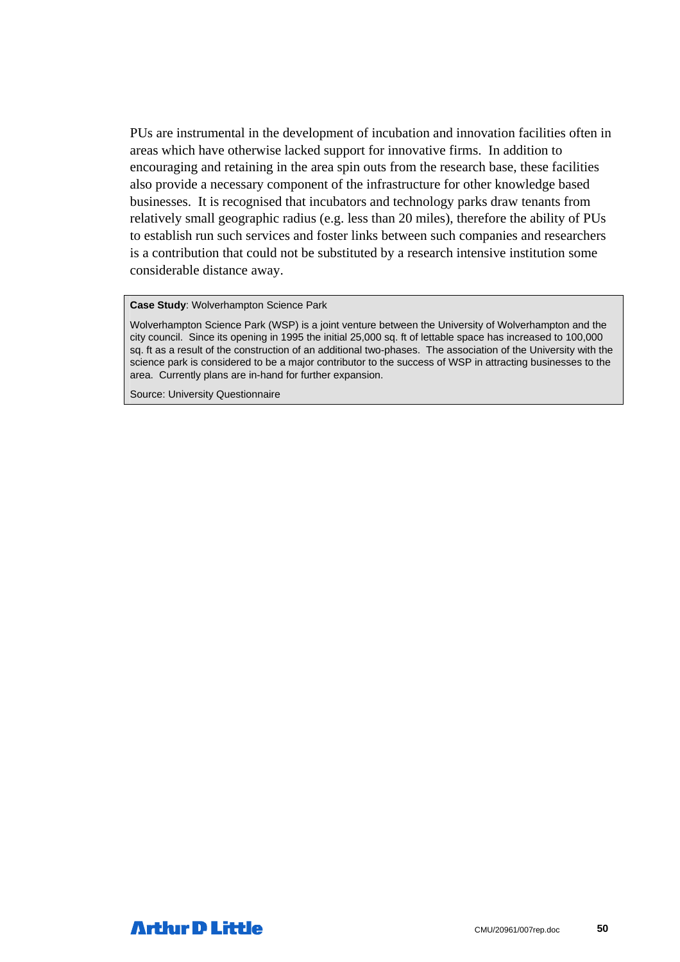PUs are instrumental in the development of incubation and innovation facilities often in areas which have otherwise lacked support for innovative firms. In addition to encouraging and retaining in the area spin outs from the research base, these facilities also provide a necessary component of the infrastructure for other knowledge based businesses. It is recognised that incubators and technology parks draw tenants from relatively small geographic radius (e.g. less than 20 miles), therefore the ability of PUs to establish run such services and foster links between such companies and researchers is a contribution that could not be substituted by a research intensive institution some considerable distance away.

#### **Case Study**: Wolverhampton Science Park

Wolverhampton Science Park (WSP) is a joint venture between the University of Wolverhampton and the city council. Since its opening in 1995 the initial 25,000 sq. ft of lettable space has increased to 100,000 sq. ft as a result of the construction of an additional two-phases. The association of the University with the science park is considered to be a major contributor to the success of WSP in attracting businesses to the area. Currently plans are in-hand for further expansion.

Source: University Questionnaire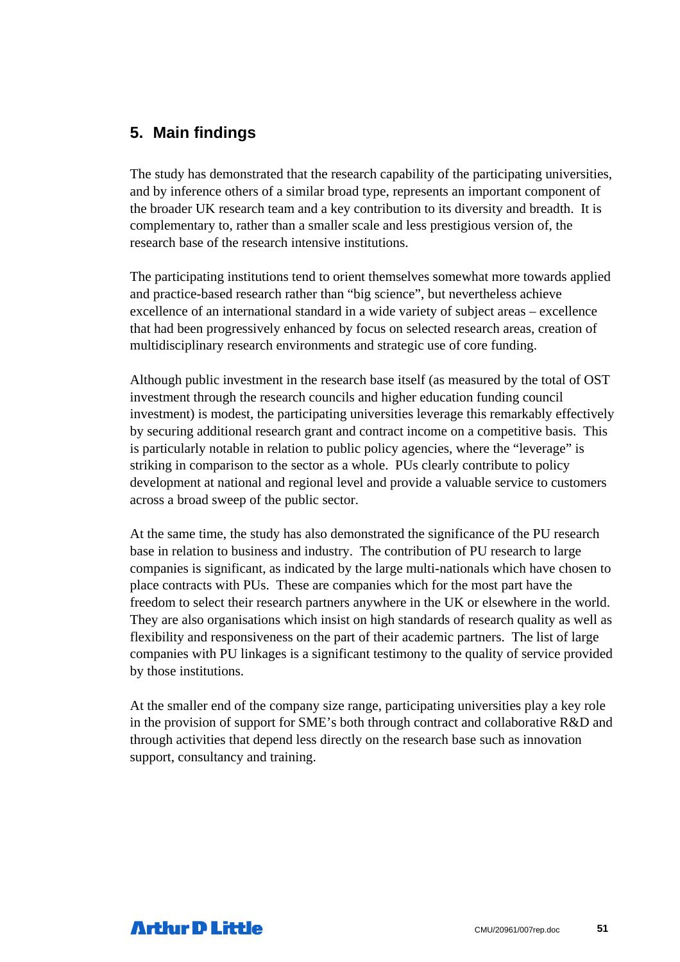### **5. Main findings**

The study has demonstrated that the research capability of the participating universities, and by inference others of a similar broad type, represents an important component of the broader UK research team and a key contribution to its diversity and breadth. It is complementary to, rather than a smaller scale and less prestigious version of, the research base of the research intensive institutions.

The participating institutions tend to orient themselves somewhat more towards applied and practice-based research rather than "big science", but nevertheless achieve excellence of an international standard in a wide variety of subject areas – excellence that had been progressively enhanced by focus on selected research areas, creation of multidisciplinary research environments and strategic use of core funding.

Although public investment in the research base itself (as measured by the total of OST investment through the research councils and higher education funding council investment) is modest, the participating universities leverage this remarkably effectively by securing additional research grant and contract income on a competitive basis. This is particularly notable in relation to public policy agencies, where the "leverage" is striking in comparison to the sector as a whole. PUs clearly contribute to policy development at national and regional level and provide a valuable service to customers across a broad sweep of the public sector.

At the same time, the study has also demonstrated the significance of the PU research base in relation to business and industry. The contribution of PU research to large companies is significant, as indicated by the large multi-nationals which have chosen to place contracts with PUs. These are companies which for the most part have the freedom to select their research partners anywhere in the UK or elsewhere in the world. They are also organisations which insist on high standards of research quality as well as flexibility and responsiveness on the part of their academic partners. The list of large companies with PU linkages is a significant testimony to the quality of service provided by those institutions.

At the smaller end of the company size range, participating universities play a key role in the provision of support for SME's both through contract and collaborative R&D and through activities that depend less directly on the research base such as innovation support, consultancy and training.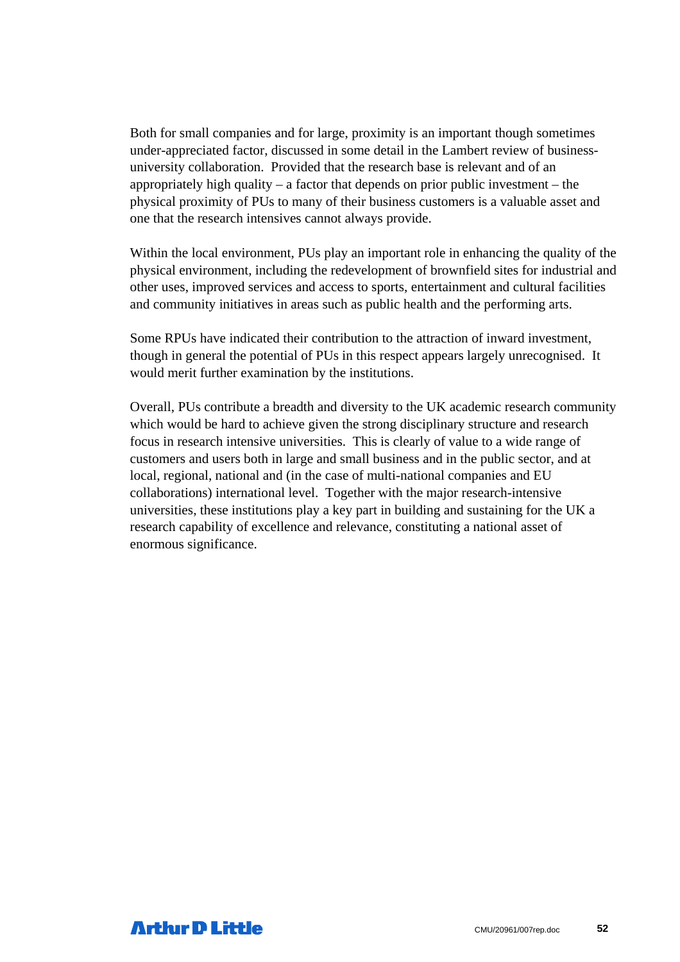Both for small companies and for large, proximity is an important though sometimes under-appreciated factor, discussed in some detail in the Lambert review of businessuniversity collaboration. Provided that the research base is relevant and of an appropriately high quality – a factor that depends on prior public investment – the physical proximity of PUs to many of their business customers is a valuable asset and one that the research intensives cannot always provide.

Within the local environment, PUs play an important role in enhancing the quality of the physical environment, including the redevelopment of brownfield sites for industrial and other uses, improved services and access to sports, entertainment and cultural facilities and community initiatives in areas such as public health and the performing arts.

Some RPUs have indicated their contribution to the attraction of inward investment, though in general the potential of PUs in this respect appears largely unrecognised. It would merit further examination by the institutions.

Overall, PUs contribute a breadth and diversity to the UK academic research community which would be hard to achieve given the strong disciplinary structure and research focus in research intensive universities. This is clearly of value to a wide range of customers and users both in large and small business and in the public sector, and at local, regional, national and (in the case of multi-national companies and EU collaborations) international level. Together with the major research-intensive universities, these institutions play a key part in building and sustaining for the UK a research capability of excellence and relevance, constituting a national asset of enormous significance.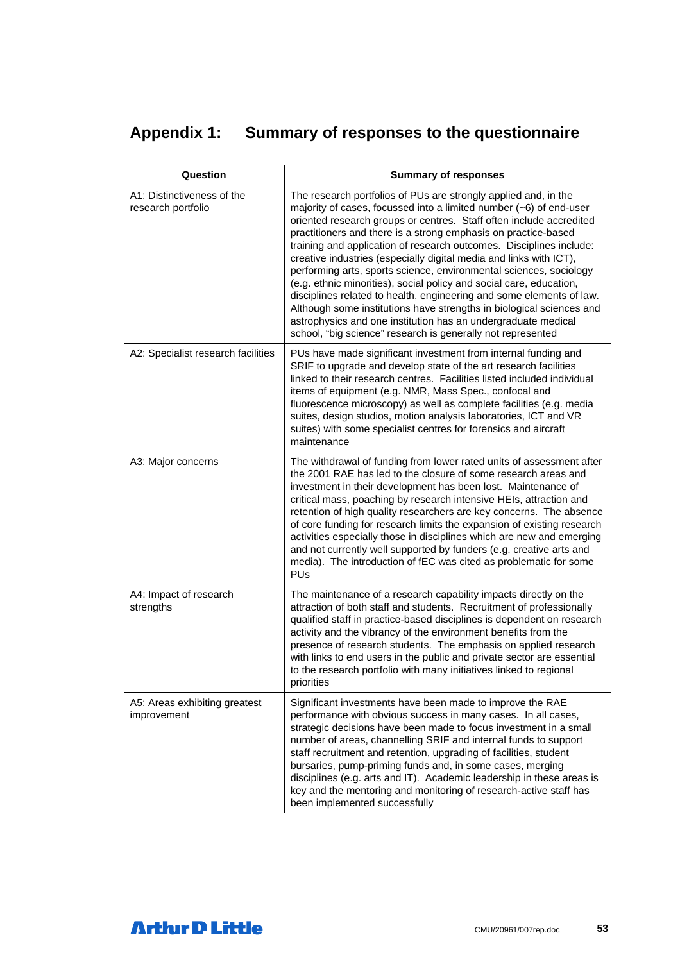# **Appendix 1: Summary of responses to the questionnaire**

| Question                                         | <b>Summary of responses</b>                                                                                                                                                                                                                                                                                                                                                                                                                                                                                                                                                                                                                                                                                                                                                                                                                                |
|--------------------------------------------------|------------------------------------------------------------------------------------------------------------------------------------------------------------------------------------------------------------------------------------------------------------------------------------------------------------------------------------------------------------------------------------------------------------------------------------------------------------------------------------------------------------------------------------------------------------------------------------------------------------------------------------------------------------------------------------------------------------------------------------------------------------------------------------------------------------------------------------------------------------|
| A1: Distinctiveness of the<br>research portfolio | The research portfolios of PUs are strongly applied and, in the<br>majority of cases, focussed into a limited number $(-6)$ of end-user<br>oriented research groups or centres. Staff often include accredited<br>practitioners and there is a strong emphasis on practice-based<br>training and application of research outcomes. Disciplines include:<br>creative industries (especially digital media and links with ICT),<br>performing arts, sports science, environmental sciences, sociology<br>(e.g. ethnic minorities), social policy and social care, education,<br>disciplines related to health, engineering and some elements of law.<br>Although some institutions have strengths in biological sciences and<br>astrophysics and one institution has an undergraduate medical<br>school, "big science" research is generally not represented |
| A2: Specialist research facilities               | PUs have made significant investment from internal funding and<br>SRIF to upgrade and develop state of the art research facilities<br>linked to their research centres. Facilities listed included individual<br>items of equipment (e.g. NMR, Mass Spec., confocal and<br>fluorescence microscopy) as well as complete facilities (e.g. media<br>suites, design studios, motion analysis laboratories, ICT and VR<br>suites) with some specialist centres for forensics and aircraft<br>maintenance                                                                                                                                                                                                                                                                                                                                                       |
| A3: Major concerns                               | The withdrawal of funding from lower rated units of assessment after<br>the 2001 RAE has led to the closure of some research areas and<br>investment in their development has been lost. Maintenance of<br>critical mass, poaching by research intensive HEIs, attraction and<br>retention of high quality researchers are key concerns. The absence<br>of core funding for research limits the expansion of existing research<br>activities especially those in disciplines which are new and emerging<br>and not currently well supported by funders (e.g. creative arts and<br>media). The introduction of fEC was cited as problematic for some<br>PUs                                                                                                                                                                                                 |
| A4: Impact of research<br>strengths              | The maintenance of a research capability impacts directly on the<br>attraction of both staff and students. Recruitment of professionally<br>qualified staff in practice-based disciplines is dependent on research<br>activity and the vibrancy of the environment benefits from the<br>presence of research students. The emphasis on applied research<br>with links to end users in the public and private sector are essential<br>to the research portfolio with many initiatives linked to regional<br>priorities                                                                                                                                                                                                                                                                                                                                      |
| A5: Areas exhibiting greatest<br>improvement     | Significant investments have been made to improve the RAE<br>performance with obvious success in many cases. In all cases,<br>strategic decisions have been made to focus investment in a small<br>number of areas, channelling SRIF and internal funds to support<br>staff recruitment and retention, upgrading of facilities, student<br>bursaries, pump-priming funds and, in some cases, merging<br>disciplines (e.g. arts and IT). Academic leadership in these areas is<br>key and the mentoring and monitoring of research-active staff has<br>been implemented successfully                                                                                                                                                                                                                                                                        |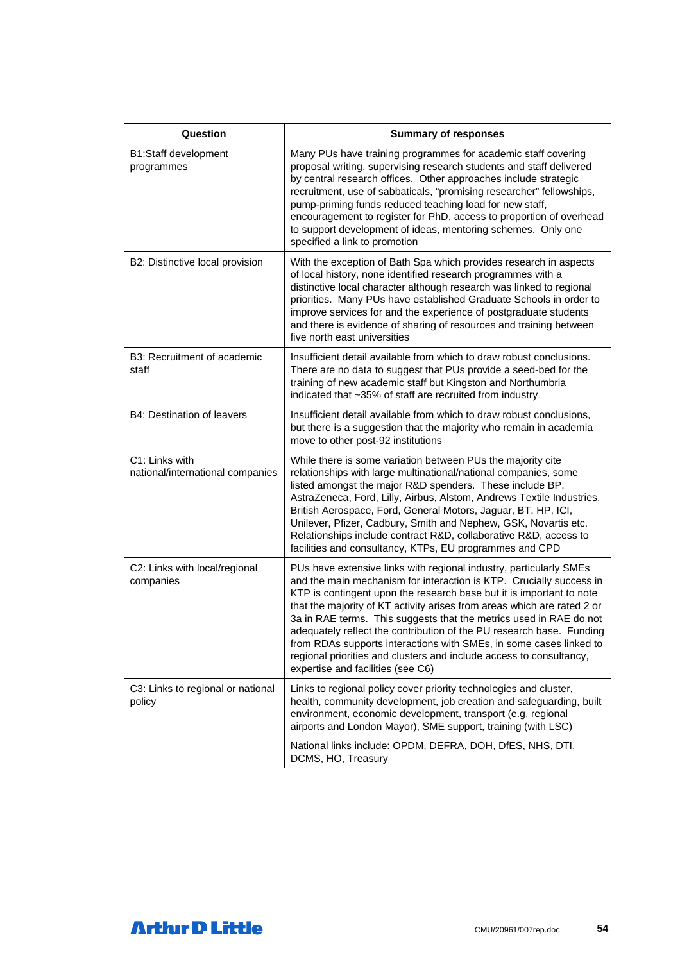| Question                                           | <b>Summary of responses</b>                                                                                                                                                                                                                                                                                                                                                                                                                                                                                                                                                                                                  |  |  |
|----------------------------------------------------|------------------------------------------------------------------------------------------------------------------------------------------------------------------------------------------------------------------------------------------------------------------------------------------------------------------------------------------------------------------------------------------------------------------------------------------------------------------------------------------------------------------------------------------------------------------------------------------------------------------------------|--|--|
| B1:Staff development<br>programmes                 | Many PUs have training programmes for academic staff covering<br>proposal writing, supervising research students and staff delivered<br>by central research offices. Other approaches include strategic<br>recruitment, use of sabbaticals, "promising researcher" fellowships,<br>pump-priming funds reduced teaching load for new staff,<br>encouragement to register for PhD, access to proportion of overhead<br>to support development of ideas, mentoring schemes. Only one<br>specified a link to promotion                                                                                                           |  |  |
| B2: Distinctive local provision                    | With the exception of Bath Spa which provides research in aspects<br>of local history, none identified research programmes with a<br>distinctive local character although research was linked to regional<br>priorities. Many PUs have established Graduate Schools in order to<br>improve services for and the experience of postgraduate students<br>and there is evidence of sharing of resources and training between<br>five north east universities                                                                                                                                                                    |  |  |
| B3: Recruitment of academic<br>staff               | Insufficient detail available from which to draw robust conclusions.<br>There are no data to suggest that PUs provide a seed-bed for the<br>training of new academic staff but Kingston and Northumbria<br>indicated that ~35% of staff are recruited from industry                                                                                                                                                                                                                                                                                                                                                          |  |  |
| B4: Destination of leavers                         | Insufficient detail available from which to draw robust conclusions,<br>but there is a suggestion that the majority who remain in academia<br>move to other post-92 institutions                                                                                                                                                                                                                                                                                                                                                                                                                                             |  |  |
| C1: Links with<br>national/international companies | While there is some variation between PUs the majority cite<br>relationships with large multinational/national companies, some<br>listed amongst the major R&D spenders. These include BP,<br>AstraZeneca, Ford, Lilly, Airbus, Alstom, Andrews Textile Industries,<br>British Aerospace, Ford, General Motors, Jaguar, BT, HP, ICI,<br>Unilever, Pfizer, Cadbury, Smith and Nephew, GSK, Novartis etc.<br>Relationships include contract R&D, collaborative R&D, access to<br>facilities and consultancy, KTPs, EU programmes and CPD                                                                                       |  |  |
| C2: Links with local/regional<br>companies         | PUs have extensive links with regional industry, particularly SMEs<br>and the main mechanism for interaction is KTP. Crucially success in<br>KTP is contingent upon the research base but it is important to note<br>that the majority of KT activity arises from areas which are rated 2 or<br>3a in RAE terms. This suggests that the metrics used in RAE do not<br>adequately reflect the contribution of the PU research base. Funding<br>from RDAs supports interactions with SMEs, in some cases linked to<br>regional priorities and clusters and include access to consultancy,<br>expertise and facilities (see C6) |  |  |
| C3: Links to regional or national<br>policy        | Links to regional policy cover priority technologies and cluster,<br>health, community development, job creation and safeguarding, built<br>environment, economic development, transport (e.g. regional<br>airports and London Mayor), SME support, training (with LSC)                                                                                                                                                                                                                                                                                                                                                      |  |  |
|                                                    | National links include: OPDM, DEFRA, DOH, DfES, NHS, DTI,<br>DCMS, HO, Treasury                                                                                                                                                                                                                                                                                                                                                                                                                                                                                                                                              |  |  |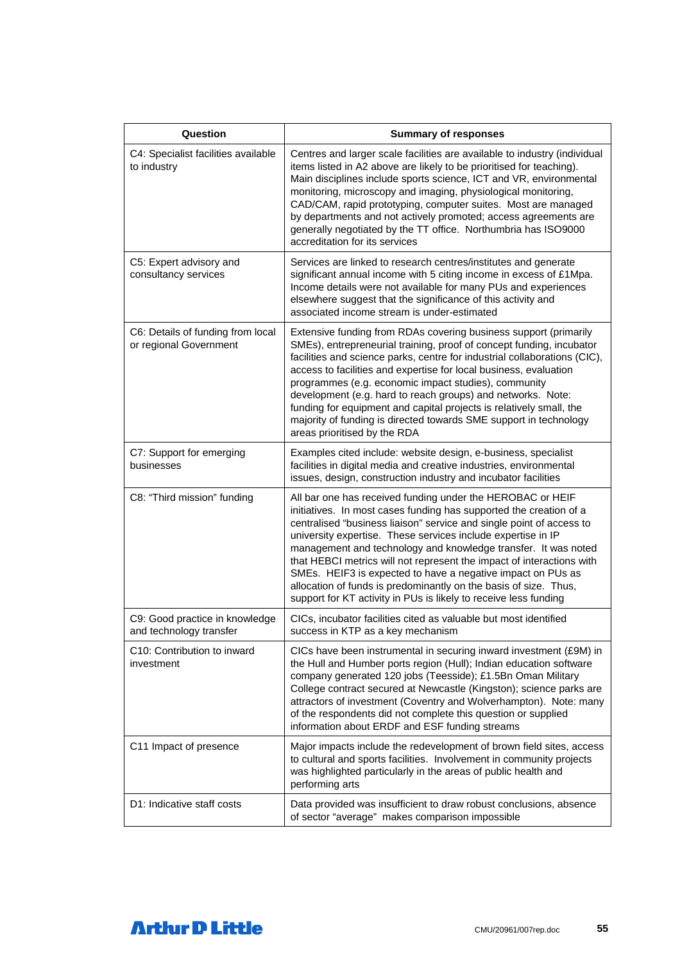| Question                                                    | <b>Summary of responses</b>                                                                                                                                                                                                                                                                                                                                                                                                                                                                                                                                                                                                |
|-------------------------------------------------------------|----------------------------------------------------------------------------------------------------------------------------------------------------------------------------------------------------------------------------------------------------------------------------------------------------------------------------------------------------------------------------------------------------------------------------------------------------------------------------------------------------------------------------------------------------------------------------------------------------------------------------|
| C4: Specialist facilities available<br>to industry          | Centres and larger scale facilities are available to industry (individual<br>items listed in A2 above are likely to be prioritised for teaching).<br>Main disciplines include sports science, ICT and VR, environmental<br>monitoring, microscopy and imaging, physiological monitoring,<br>CAD/CAM, rapid prototyping, computer suites. Most are managed<br>by departments and not actively promoted; access agreements are<br>generally negotiated by the TT office. Northumbria has ISO9000<br>accreditation for its services                                                                                           |
| C5: Expert advisory and<br>consultancy services             | Services are linked to research centres/institutes and generate<br>significant annual income with 5 citing income in excess of £1Mpa.<br>Income details were not available for many PUs and experiences<br>elsewhere suggest that the significance of this activity and<br>associated income stream is under-estimated                                                                                                                                                                                                                                                                                                     |
| C6: Details of funding from local<br>or regional Government | Extensive funding from RDAs covering business support (primarily<br>SMEs), entrepreneurial training, proof of concept funding, incubator<br>facilities and science parks, centre for industrial collaborations (CIC),<br>access to facilities and expertise for local business, evaluation<br>programmes (e.g. economic impact studies), community<br>development (e.g. hard to reach groups) and networks. Note:<br>funding for equipment and capital projects is relatively small, the<br>majority of funding is directed towards SME support in technology<br>areas prioritised by the RDA                              |
| C7: Support for emerging<br>businesses                      | Examples cited include: website design, e-business, specialist<br>facilities in digital media and creative industries, environmental<br>issues, design, construction industry and incubator facilities                                                                                                                                                                                                                                                                                                                                                                                                                     |
| C8: "Third mission" funding                                 | All bar one has received funding under the HEROBAC or HEIF<br>initiatives. In most cases funding has supported the creation of a<br>centralised "business liaison" service and single point of access to<br>university expertise. These services include expertise in IP<br>management and technology and knowledge transfer. It was noted<br>that HEBCI metrics will not represent the impact of interactions with<br>SMEs. HEIF3 is expected to have a negative impact on PUs as<br>allocation of funds is predominantly on the basis of size. Thus,<br>support for KT activity in PUs is likely to receive less funding |
| C9: Good practice in knowledge<br>and technology transfer   | CICs, incubator facilities cited as valuable but most identified<br>success in KTP as a key mechanism                                                                                                                                                                                                                                                                                                                                                                                                                                                                                                                      |
| C10: Contribution to inward<br>investment                   | CICs have been instrumental in securing inward investment (£9M) in<br>the Hull and Humber ports region (Hull); Indian education software<br>company generated 120 jobs (Teesside); £1.5Bn Oman Military<br>College contract secured at Newcastle (Kingston); science parks are<br>attractors of investment (Coventry and Wolverhampton). Note: many<br>of the respondents did not complete this question or supplied<br>information about ERDF and ESF funding streams                                                                                                                                                     |
| C11 Impact of presence                                      | Major impacts include the redevelopment of brown field sites, access<br>to cultural and sports facilities. Involvement in community projects<br>was highlighted particularly in the areas of public health and<br>performing arts                                                                                                                                                                                                                                                                                                                                                                                          |
| D1: Indicative staff costs                                  | Data provided was insufficient to draw robust conclusions, absence<br>of sector "average" makes comparison impossible                                                                                                                                                                                                                                                                                                                                                                                                                                                                                                      |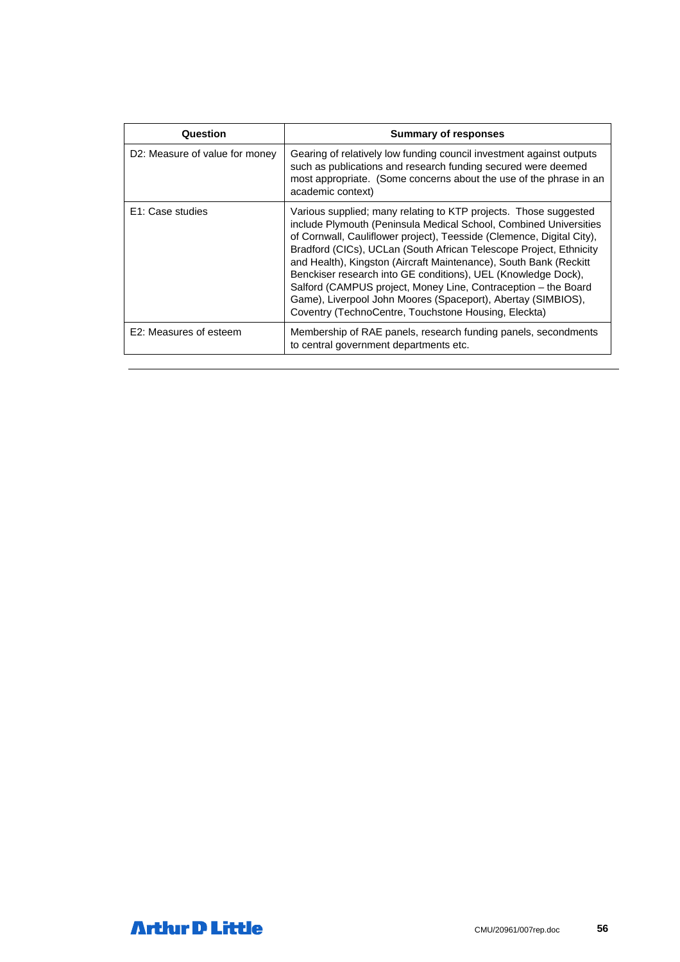| Question                       | <b>Summary of responses</b>                                                                                                                                                                                                                                                                                                                                                                                                                                                                                                                                                                                          |
|--------------------------------|----------------------------------------------------------------------------------------------------------------------------------------------------------------------------------------------------------------------------------------------------------------------------------------------------------------------------------------------------------------------------------------------------------------------------------------------------------------------------------------------------------------------------------------------------------------------------------------------------------------------|
| D2: Measure of value for money | Gearing of relatively low funding council investment against outputs<br>such as publications and research funding secured were deemed<br>most appropriate. (Some concerns about the use of the phrase in an<br>academic context)                                                                                                                                                                                                                                                                                                                                                                                     |
| E1: Case studies               | Various supplied; many relating to KTP projects. Those suggested<br>include Plymouth (Peninsula Medical School, Combined Universities<br>of Cornwall, Cauliflower project), Teesside (Clemence, Digital City),<br>Bradford (CICs), UCLan (South African Telescope Project, Ethnicity<br>and Health), Kingston (Aircraft Maintenance), South Bank (Reckitt<br>Benckiser research into GE conditions), UEL (Knowledge Dock),<br>Salford (CAMPUS project, Money Line, Contraception - the Board<br>Game), Liverpool John Moores (Spaceport), Abertay (SIMBIOS),<br>Coventry (TechnoCentre, Touchstone Housing, Eleckta) |
| E2: Measures of esteem         | Membership of RAE panels, research funding panels, secondments<br>to central government departments etc.                                                                                                                                                                                                                                                                                                                                                                                                                                                                                                             |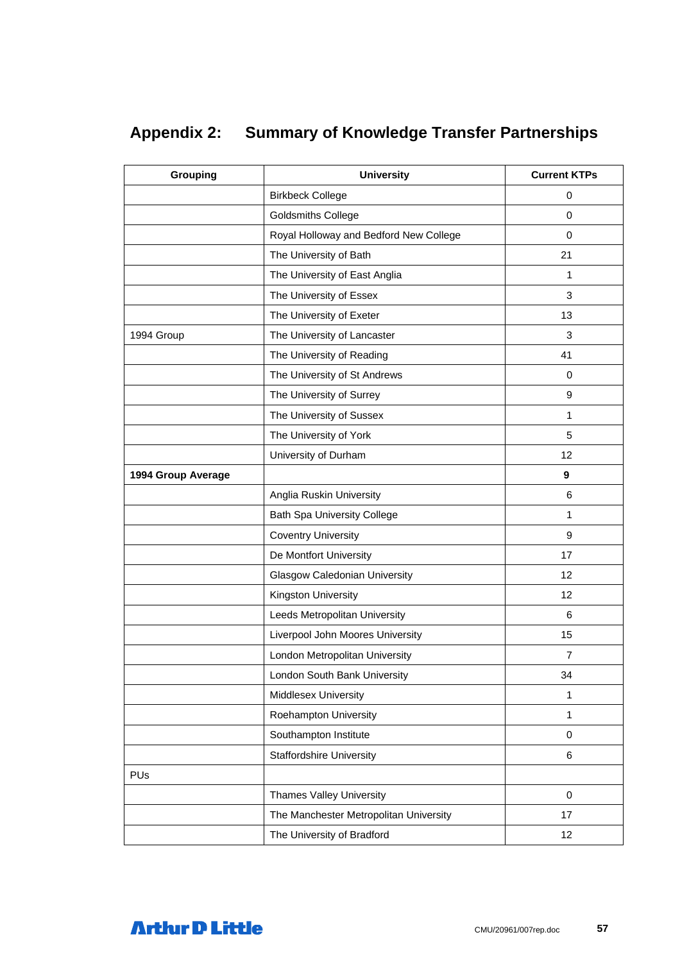# **Appendix 2: Summary of Knowledge Transfer Partnerships**

| Grouping           | <b>University</b>                      | <b>Current KTPs</b> |
|--------------------|----------------------------------------|---------------------|
|                    | <b>Birkbeck College</b>                | 0                   |
|                    | <b>Goldsmiths College</b>              | 0                   |
|                    | Royal Holloway and Bedford New College | 0                   |
|                    | The University of Bath                 | 21                  |
|                    | The University of East Anglia          | 1                   |
|                    | The University of Essex                | 3                   |
|                    | The University of Exeter               | 13                  |
| 1994 Group         | The University of Lancaster            | 3                   |
|                    | The University of Reading              | 41                  |
|                    | The University of St Andrews           | 0                   |
|                    | The University of Surrey               | 9                   |
|                    | The University of Sussex               | $\mathbf{1}$        |
|                    | The University of York                 | 5                   |
|                    | University of Durham                   | 12                  |
| 1994 Group Average |                                        | 9                   |
|                    | Anglia Ruskin University               | 6                   |
|                    | <b>Bath Spa University College</b>     | $\mathbf{1}$        |
|                    | <b>Coventry University</b>             | 9                   |
|                    | De Montfort University                 | 17                  |
|                    | Glasgow Caledonian University          | 12                  |
|                    | Kingston University                    | 12                  |
|                    | Leeds Metropolitan University          | 6                   |
|                    | Liverpool John Moores University       | 15                  |
|                    | London Metropolitan University         | 7                   |
|                    | London South Bank University           | 34                  |
|                    | <b>Middlesex University</b>            | 1                   |
|                    | Roehampton University                  | 1                   |
|                    | Southampton Institute                  | 0                   |
|                    | <b>Staffordshire University</b>        | 6                   |
| PUs                |                                        |                     |
|                    | <b>Thames Valley University</b>        | $\mathbf 0$         |
|                    | The Manchester Metropolitan University | 17                  |
|                    | The University of Bradford             | 12                  |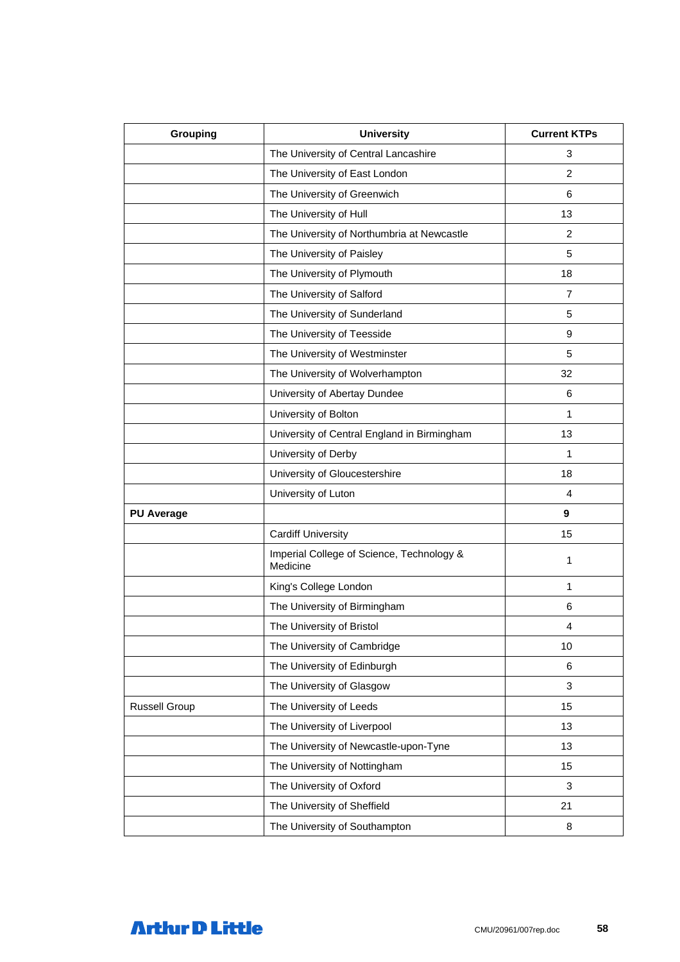| Grouping             | <b>University</b>                                     | <b>Current KTPs</b> |
|----------------------|-------------------------------------------------------|---------------------|
|                      | The University of Central Lancashire                  | 3                   |
|                      | The University of East London                         | $\overline{2}$      |
|                      | The University of Greenwich                           | 6                   |
|                      | The University of Hull                                | 13                  |
|                      | The University of Northumbria at Newcastle            | $\overline{2}$      |
|                      | The University of Paisley                             | 5                   |
|                      | The University of Plymouth                            | 18                  |
|                      | The University of Salford                             | 7                   |
|                      | The University of Sunderland                          | 5                   |
|                      | The University of Teesside                            | 9                   |
|                      | The University of Westminster                         | 5                   |
|                      | The University of Wolverhampton                       | 32                  |
|                      | University of Abertay Dundee                          | 6                   |
|                      | University of Bolton                                  | 1                   |
|                      | University of Central England in Birmingham           | 13                  |
|                      | University of Derby                                   | 1                   |
|                      | University of Gloucestershire                         | 18                  |
|                      | University of Luton                                   | 4                   |
| <b>PU Average</b>    |                                                       | 9                   |
|                      | <b>Cardiff University</b>                             | 15                  |
|                      | Imperial College of Science, Technology &<br>Medicine | 1                   |
|                      | King's College London                                 | 1                   |
|                      | The University of Birmingham                          | 6                   |
|                      | The University of Bristol                             | 4                   |
|                      | The University of Cambridge                           | 10                  |
|                      | The University of Edinburgh                           | 6                   |
|                      | The University of Glasgow                             | 3                   |
| <b>Russell Group</b> | The University of Leeds                               | 15                  |
|                      | The University of Liverpool                           | 13                  |
|                      | The University of Newcastle-upon-Tyne                 | 13                  |
|                      | The University of Nottingham                          | 15                  |
|                      | The University of Oxford                              | 3                   |
|                      | The University of Sheffield                           | 21                  |
|                      | The University of Southampton                         | 8                   |